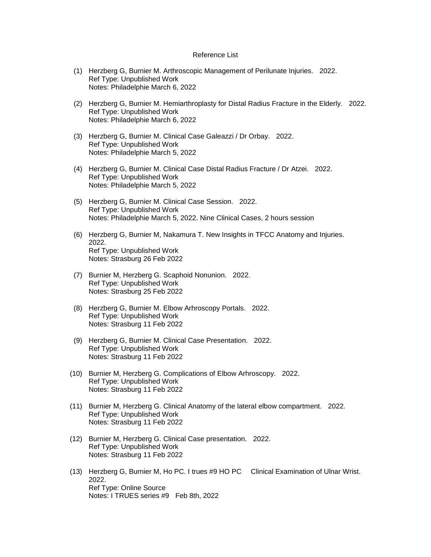## Reference List

- (1) Herzberg G, Burnier M. Arthroscopic Management of Perilunate Injuries. 2022. Ref Type: Unpublished Work Notes: Philadelphie March 6, 2022
- (2) Herzberg G, Burnier M. Hemiarthroplasty for Distal Radius Fracture in the Elderly. 2022. Ref Type: Unpublished Work Notes: Philadelphie March 6, 2022
- (3) Herzberg G, Burnier M. Clinical Case Galeazzi / Dr Orbay. 2022. Ref Type: Unpublished Work Notes: Philadelphie March 5, 2022
- (4) Herzberg G, Burnier M. Clinical Case Distal Radius Fracture / Dr Atzei. 2022. Ref Type: Unpublished Work Notes: Philadelphie March 5, 2022
- (5) Herzberg G, Burnier M. Clinical Case Session. 2022. Ref Type: Unpublished Work Notes: Philadelphie March 5, 2022. Nine Clinical Cases, 2 hours session
- (6) Herzberg G, Burnier M, Nakamura T. New Insights in TFCC Anatomy and Injuries. 2022. Ref Type: Unpublished Work Notes: Strasburg 26 Feb 2022
- (7) Burnier M, Herzberg G. Scaphoid Nonunion. 2022. Ref Type: Unpublished Work Notes: Strasburg 25 Feb 2022
- (8) Herzberg G, Burnier M. Elbow Arhroscopy Portals. 2022. Ref Type: Unpublished Work Notes: Strasburg 11 Feb 2022
- (9) Herzberg G, Burnier M. Clinical Case Presentation. 2022. Ref Type: Unpublished Work Notes: Strasburg 11 Feb 2022
- (10) Burnier M, Herzberg G. Complications of Elbow Arhroscopy. 2022. Ref Type: Unpublished Work Notes: Strasburg 11 Feb 2022
- (11) Burnier M, Herzberg G. Clinical Anatomy of the lateral elbow compartment. 2022. Ref Type: Unpublished Work Notes: Strasburg 11 Feb 2022
- (12) Burnier M, Herzberg G. Clinical Case presentation. 2022. Ref Type: Unpublished Work Notes: Strasburg 11 Feb 2022
- (13) Herzberg G, Burnier M, Ho PC. I trues #9 HO PC Clinical Examination of Ulnar Wrist. 2022. Ref Type: Online Source Notes: I TRUES series #9 Feb 8th, 2022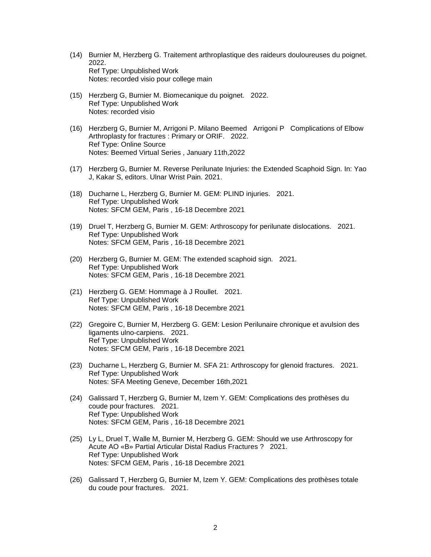- (14) Burnier M, Herzberg G. Traitement arthroplastique des raideurs douloureuses du poignet. 2022. Ref Type: Unpublished Work Notes: recorded visio pour college main
- (15) Herzberg G, Burnier M. Biomecanique du poignet. 2022. Ref Type: Unpublished Work Notes: recorded visio
- (16) Herzberg G, Burnier M, Arrigoni P. Milano Beemed Arrigoni P Complications of Elbow Arthroplasty for fractures : Primary or ORIF. 2022. Ref Type: Online Source Notes: Beemed Virtual Series , January 11th,2022
- (17) Herzberg G, Burnier M. Reverse Perilunate Injuries: the Extended Scaphoid Sign. In: Yao J, Kakar S, editors. Ulnar Wrist Pain. 2021.
- (18) Ducharne L, Herzberg G, Burnier M. GEM: PLIND injuries. 2021. Ref Type: Unpublished Work Notes: SFCM GEM, Paris , 16-18 Decembre 2021
- (19) Druel T, Herzberg G, Burnier M. GEM: Arthroscopy for perilunate dislocations. 2021. Ref Type: Unpublished Work Notes: SFCM GEM, Paris , 16-18 Decembre 2021
- (20) Herzberg G, Burnier M. GEM: The extended scaphoid sign. 2021. Ref Type: Unpublished Work Notes: SFCM GEM, Paris , 16-18 Decembre 2021
- (21) Herzberg G. GEM: Hommage à J Roullet. 2021. Ref Type: Unpublished Work Notes: SFCM GEM, Paris , 16-18 Decembre 2021
- (22) Gregoire C, Burnier M, Herzberg G. GEM: Lesion Perilunaire chronique et avulsion des ligaments ulno-carpiens. 2021. Ref Type: Unpublished Work Notes: SFCM GEM, Paris , 16-18 Decembre 2021
- (23) Ducharne L, Herzberg G, Burnier M. SFA 21: Arthroscopy for glenoid fractures. 2021. Ref Type: Unpublished Work Notes: SFA Meeting Geneve, December 16th,2021
- (24) Galissard T, Herzberg G, Burnier M, Izem Y. GEM: Complications des prothèses du coude pour fractures. 2021. Ref Type: Unpublished Work Notes: SFCM GEM, Paris , 16-18 Decembre 2021
- (25) Ly L, Druel T, Walle M, Burnier M, Herzberg G. GEM: Should we use Arthroscopy for Acute AO «B» Partial Articular Distal Radius Fractures ? 2021. Ref Type: Unpublished Work Notes: SFCM GEM, Paris , 16-18 Decembre 2021
- (26) Galissard T, Herzberg G, Burnier M, Izem Y. GEM: Complications des prothèses totale du coude pour fractures. 2021.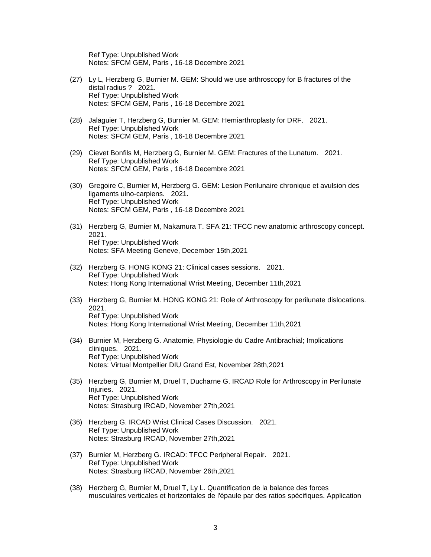Ref Type: Unpublished Work Notes: SFCM GEM, Paris , 16-18 Decembre 2021

- (27) Ly L, Herzberg G, Burnier M. GEM: Should we use arthroscopy for B fractures of the distal radius ? 2021. Ref Type: Unpublished Work Notes: SFCM GEM, Paris , 16-18 Decembre 2021
- (28) Jalaguier T, Herzberg G, Burnier M. GEM: Hemiarthroplasty for DRF. 2021. Ref Type: Unpublished Work Notes: SFCM GEM, Paris , 16-18 Decembre 2021
- (29) Cievet Bonfils M, Herzberg G, Burnier M. GEM: Fractures of the Lunatum. 2021. Ref Type: Unpublished Work Notes: SFCM GEM, Paris , 16-18 Decembre 2021
- (30) Gregoire C, Burnier M, Herzberg G. GEM: Lesion Perilunaire chronique et avulsion des ligaments ulno-carpiens. 2021. Ref Type: Unpublished Work Notes: SFCM GEM, Paris , 16-18 Decembre 2021
- (31) Herzberg G, Burnier M, Nakamura T. SFA 21: TFCC new anatomic arthroscopy concept. 2021. Ref Type: Unpublished Work Notes: SFA Meeting Geneve, December 15th,2021
- (32) Herzberg G. HONG KONG 21: Clinical cases sessions. 2021. Ref Type: Unpublished Work Notes: Hong Kong International Wrist Meeting, December 11th,2021
- (33) Herzberg G, Burnier M. HONG KONG 21: Role of Arthroscopy for perilunate dislocations. 2021. Ref Type: Unpublished Work Notes: Hong Kong International Wrist Meeting, December 11th,2021
- (34) Burnier M, Herzberg G. Anatomie, Physiologie du Cadre Antibrachial; Implications cliniques. 2021. Ref Type: Unpublished Work Notes: Virtual Montpellier DIU Grand Est, November 28th,2021
- (35) Herzberg G, Burnier M, Druel T, Ducharne G. IRCAD Role for Arthroscopy in Perilunate Injuries. 2021. Ref Type: Unpublished Work Notes: Strasburg IRCAD, November 27th,2021
- (36) Herzberg G. IRCAD Wrist Clinical Cases Discussion. 2021. Ref Type: Unpublished Work Notes: Strasburg IRCAD, November 27th,2021
- (37) Burnier M, Herzberg G. IRCAD: TFCC Peripheral Repair. 2021. Ref Type: Unpublished Work Notes: Strasburg IRCAD, November 26th,2021
- (38) Herzberg G, Burnier M, Druel T, Ly L. Quantification de la balance des forces musculaires verticales et horizontales de l'épaule par des ratios spécifiques. Application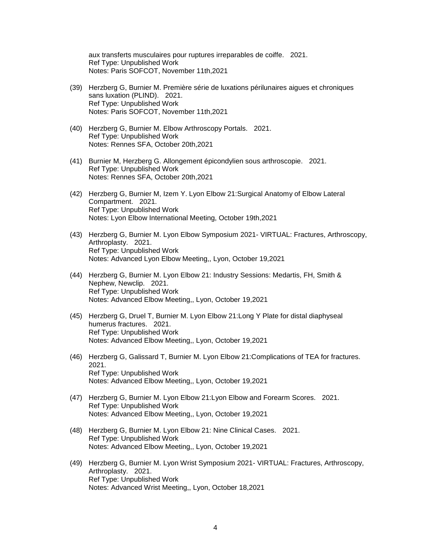aux transferts musculaires pour ruptures irreparables de coiffe. 2021. Ref Type: Unpublished Work Notes: Paris SOFCOT, November 11th,2021

- (39) Herzberg G, Burnier M. Première série de luxations périlunaires aigues et chroniques sans luxation (PLIND). 2021. Ref Type: Unpublished Work Notes: Paris SOFCOT, November 11th,2021
- (40) Herzberg G, Burnier M. Elbow Arthroscopy Portals. 2021. Ref Type: Unpublished Work Notes: Rennes SFA, October 20th,2021
- (41) Burnier M, Herzberg G. Allongement épicondylien sous arthroscopie. 2021. Ref Type: Unpublished Work Notes: Rennes SFA, October 20th,2021
- (42) Herzberg G, Burnier M, Izem Y. Lyon Elbow 21:Surgical Anatomy of Elbow Lateral Compartment. 2021. Ref Type: Unpublished Work Notes: Lyon Elbow International Meeting, October 19th,2021
- (43) Herzberg G, Burnier M. Lyon Elbow Symposium 2021- VIRTUAL: Fractures, Arthroscopy, Arthroplasty. 2021. Ref Type: Unpublished Work Notes: Advanced Lyon Elbow Meeting,, Lyon, October 19,2021
- (44) Herzberg G, Burnier M. Lyon Elbow 21: Industry Sessions: Medartis, FH, Smith & Nephew, Newclip. 2021. Ref Type: Unpublished Work Notes: Advanced Elbow Meeting,, Lyon, October 19,2021
- (45) Herzberg G, Druel T, Burnier M. Lyon Elbow 21:Long Y Plate for distal diaphyseal humerus fractures. 2021. Ref Type: Unpublished Work Notes: Advanced Elbow Meeting,, Lyon, October 19,2021
- (46) Herzberg G, Galissard T, Burnier M. Lyon Elbow 21:Complications of TEA for fractures. 2021. Ref Type: Unpublished Work Notes: Advanced Elbow Meeting,, Lyon, October 19,2021
- (47) Herzberg G, Burnier M. Lyon Elbow 21:Lyon Elbow and Forearm Scores. 2021. Ref Type: Unpublished Work Notes: Advanced Elbow Meeting,, Lyon, October 19,2021
- (48) Herzberg G, Burnier M. Lyon Elbow 21: Nine Clinical Cases. 2021. Ref Type: Unpublished Work Notes: Advanced Elbow Meeting,, Lyon, October 19,2021
- (49) Herzberg G, Burnier M. Lyon Wrist Symposium 2021- VIRTUAL: Fractures, Arthroscopy, Arthroplasty. 2021. Ref Type: Unpublished Work Notes: Advanced Wrist Meeting,, Lyon, October 18,2021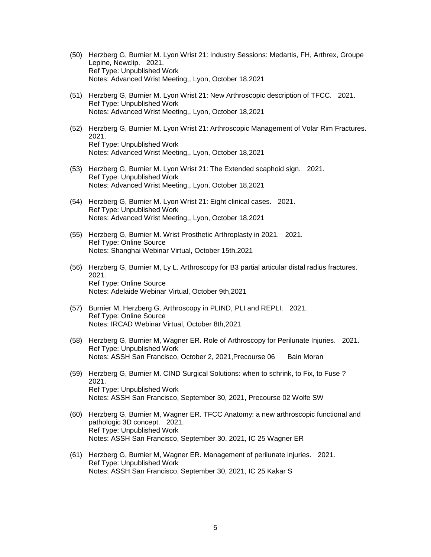- (50) Herzberg G, Burnier M. Lyon Wrist 21: Industry Sessions: Medartis, FH, Arthrex, Groupe Lepine, Newclip. 2021. Ref Type: Unpublished Work Notes: Advanced Wrist Meeting,, Lyon, October 18,2021
- (51) Herzberg G, Burnier M. Lyon Wrist 21: New Arthroscopic description of TFCC. 2021. Ref Type: Unpublished Work Notes: Advanced Wrist Meeting,, Lyon, October 18,2021
- (52) Herzberg G, Burnier M. Lyon Wrist 21: Arthroscopic Management of Volar Rim Fractures. 2021. Ref Type: Unpublished Work Notes: Advanced Wrist Meeting,, Lyon, October 18,2021
- (53) Herzberg G, Burnier M. Lyon Wrist 21: The Extended scaphoid sign. 2021. Ref Type: Unpublished Work Notes: Advanced Wrist Meeting,, Lyon, October 18,2021
- (54) Herzberg G, Burnier M. Lyon Wrist 21: Eight clinical cases. 2021. Ref Type: Unpublished Work Notes: Advanced Wrist Meeting,, Lyon, October 18,2021
- (55) Herzberg G, Burnier M. Wrist Prosthetic Arthroplasty in 2021. 2021. Ref Type: Online Source Notes: Shanghai Webinar Virtual, October 15th,2021
- (56) Herzberg G, Burnier M, Ly L. Arthroscopy for B3 partial articular distal radius fractures. 2021. Ref Type: Online Source Notes: Adelaide Webinar Virtual, October 9th,2021
- (57) Burnier M, Herzberg G. Arthroscopy in PLIND, PLI and REPLI. 2021. Ref Type: Online Source Notes: IRCAD Webinar Virtual, October 8th,2021
- (58) Herzberg G, Burnier M, Wagner ER. Role of Arthroscopy for Perilunate Injuries. 2021. Ref Type: Unpublished Work Notes: ASSH San Francisco, October 2, 2021, Precourse 06 Bain Moran
- (59) Herzberg G, Burnier M. CIND Surgical Solutions: when to schrink, to Fix, to Fuse ? 2021. Ref Type: Unpublished Work Notes: ASSH San Francisco, September 30, 2021, Precourse 02 Wolfe SW
- (60) Herzberg G, Burnier M, Wagner ER. TFCC Anatomy: a new arthroscopic functional and pathologic 3D concept. 2021. Ref Type: Unpublished Work Notes: ASSH San Francisco, September 30, 2021, IC 25 Wagner ER
- (61) Herzberg G, Burnier M, Wagner ER. Management of perilunate injuries. 2021. Ref Type: Unpublished Work Notes: ASSH San Francisco, September 30, 2021, IC 25 Kakar S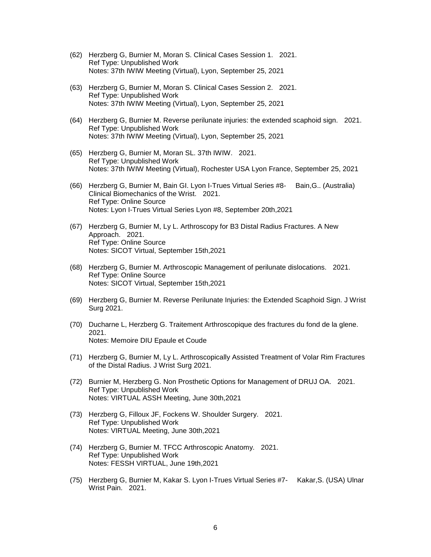- (62) Herzberg G, Burnier M, Moran S. Clinical Cases Session 1. 2021. Ref Type: Unpublished Work Notes: 37th IWIW Meeting (Virtual), Lyon, September 25, 2021
- (63) Herzberg G, Burnier M, Moran S. Clinical Cases Session 2. 2021. Ref Type: Unpublished Work Notes: 37th IWIW Meeting (Virtual), Lyon, September 25, 2021
- (64) Herzberg G, Burnier M. Reverse perilunate injuries: the extended scaphoid sign. 2021. Ref Type: Unpublished Work Notes: 37th IWIW Meeting (Virtual), Lyon, September 25, 2021
- (65) Herzberg G, Burnier M, Moran SL. 37th IWIW. 2021. Ref Type: Unpublished Work Notes: 37th IWIW Meeting (Virtual), Rochester USA Lyon France, September 25, 2021
- (66) Herzberg G, Burnier M, Bain GI. Lyon I-Trues Virtual Series #8- Bain,G.. (Australia) Clinical Biomechanics of the Wrist. 2021. Ref Type: Online Source Notes: Lyon I-Trues Virtual Series Lyon #8, September 20th,2021
- (67) Herzberg G, Burnier M, Ly L. Arthroscopy for B3 Distal Radius Fractures. A New Approach. 2021. Ref Type: Online Source Notes: SICOT Virtual, September 15th,2021
- (68) Herzberg G, Burnier M. Arthroscopic Management of perilunate dislocations. 2021. Ref Type: Online Source Notes: SICOT Virtual, September 15th,2021
- (69) Herzberg G, Burnier M. Reverse Perilunate Injuries: the Extended Scaphoid Sign. J Wrist Surg 2021.
- (70) Ducharne L, Herzberg G. Traitement Arthroscopique des fractures du fond de la glene. 2021. Notes: Memoire DIU Epaule et Coude
- (71) Herzberg G, Burnier M, Ly L. Arthroscopically Assisted Treatment of Volar Rim Fractures of the Distal Radius. J Wrist Surg 2021.
- (72) Burnier M, Herzberg G. Non Prosthetic Options for Management of DRUJ OA. 2021. Ref Type: Unpublished Work Notes: VIRTUAL ASSH Meeting, June 30th,2021
- (73) Herzberg G, Filloux JF, Fockens W. Shoulder Surgery. 2021. Ref Type: Unpublished Work Notes: VIRTUAL Meeting, June 30th,2021
- (74) Herzberg G, Burnier M. TFCC Arthroscopic Anatomy. 2021. Ref Type: Unpublished Work Notes: FESSH VIRTUAL, June 19th,2021
- (75) Herzberg G, Burnier M, Kakar S. Lyon I-Trues Virtual Series #7- Kakar,S. (USA) Ulnar Wrist Pain. 2021.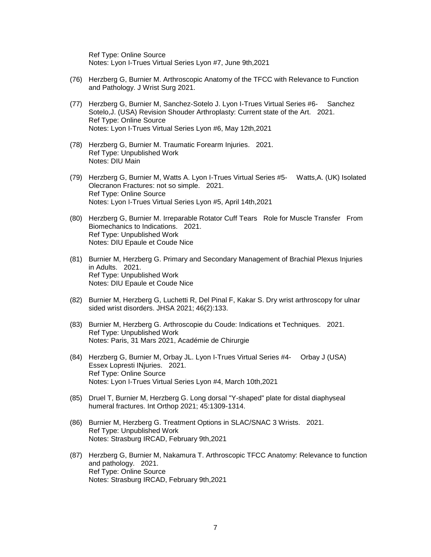Ref Type: Online Source Notes: Lyon I-Trues Virtual Series Lyon #7, June 9th,2021

- (76) Herzberg G, Burnier M. Arthroscopic Anatomy of the TFCC with Relevance to Function and Pathology. J Wrist Surg 2021.
- (77) Herzberg G, Burnier M, Sanchez-Sotelo J. Lyon I-Trues Virtual Series #6- Sanchez Sotelo,J. (USA) Revision Shouder Arthroplasty: Current state of the Art. 2021. Ref Type: Online Source Notes: Lyon I-Trues Virtual Series Lyon #6, May 12th,2021
- (78) Herzberg G, Burnier M. Traumatic Forearm Injuries. 2021. Ref Type: Unpublished Work Notes: DIU Main
- (79) Herzberg G, Burnier M, Watts A. Lyon I-Trues Virtual Series #5- Watts,A. (UK) Isolated Olecranon Fractures: not so simple. 2021. Ref Type: Online Source Notes: Lyon I-Trues Virtual Series Lyon #5, April 14th,2021
- (80) Herzberg G, Burnier M. Irreparable Rotator Cuff Tears Role for Muscle Transfer From Biomechanics to Indications. 2021. Ref Type: Unpublished Work Notes: DIU Epaule et Coude Nice
- (81) Burnier M, Herzberg G. Primary and Secondary Management of Brachial Plexus Injuries in Adults. 2021. Ref Type: Unpublished Work Notes: DIU Epaule et Coude Nice
- (82) Burnier M, Herzberg G, Luchetti R, Del Pinal F, Kakar S. Dry wrist arthroscopy for ulnar sided wrist disorders. JHSA 2021; 46(2):133.
- (83) Burnier M, Herzberg G. Arthroscopie du Coude: Indications et Techniques. 2021. Ref Type: Unpublished Work Notes: Paris, 31 Mars 2021, Académie de Chirurgie
- (84) Herzberg G, Burnier M, Orbay JL. Lyon I-Trues Virtual Series #4- Orbay J (USA) Essex Lopresti INjuries. 2021. Ref Type: Online Source Notes: Lyon I-Trues Virtual Series Lyon #4, March 10th,2021
- (85) Druel T, Burnier M, Herzberg G. Long dorsal "Y-shaped" plate for distal diaphyseal humeral fractures. Int Orthop 2021; 45:1309-1314.
- (86) Burnier M, Herzberg G. Treatment Options in SLAC/SNAC 3 Wrists. 2021. Ref Type: Unpublished Work Notes: Strasburg IRCAD, February 9th,2021
- (87) Herzberg G, Burnier M, Nakamura T. Arthroscopic TFCC Anatomy: Relevance to function and pathology. 2021. Ref Type: Online Source Notes: Strasburg IRCAD, February 9th,2021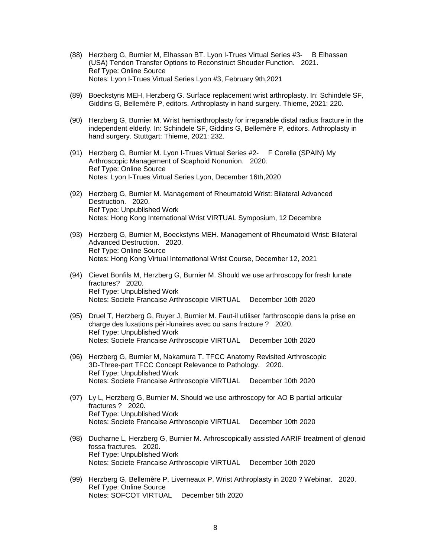- (88) Herzberg G, Burnier M, Elhassan BT. Lyon I-Trues Virtual Series #3- B Elhassan (USA) Tendon Transfer Options to Reconstruct Shouder Function. 2021. Ref Type: Online Source Notes: Lyon I-Trues Virtual Series Lyon #3, February 9th,2021
- (89) Boeckstyns MEH, Herzberg G. Surface replacement wrist arthroplasty. In: Schindele SF, Giddins G, Bellemère P, editors. Arthroplasty in hand surgery. Thieme, 2021: 220.
- (90) Herzberg G, Burnier M. Wrist hemiarthroplasty for irreparable distal radius fracture in the independent elderly. In: Schindele SF, Giddins G, Bellemère P, editors. Arthroplasty in hand surgery. Stuttgart: Thieme, 2021: 232.
- (91) Herzberg G, Burnier M. Lyon I-Trues Virtual Series #2- F Corella (SPAIN) My Arthroscopic Management of Scaphoid Nonunion. 2020. Ref Type: Online Source Notes: Lyon I-Trues Virtual Series Lyon, December 16th,2020
- (92) Herzberg G, Burnier M. Management of Rheumatoid Wrist: Bilateral Advanced Destruction. 2020. Ref Type: Unpublished Work Notes: Hong Kong International Wrist VIRTUAL Symposium, 12 Decembre
- (93) Herzberg G, Burnier M, Boeckstyns MEH. Management of Rheumatoid Wrist: Bilateral Advanced Destruction. 2020. Ref Type: Online Source Notes: Hong Kong Virtual International Wrist Course, December 12, 2021
- (94) Cievet Bonfils M, Herzberg G, Burnier M. Should we use arthroscopy for fresh lunate fractures? 2020. Ref Type: Unpublished Work Notes: Societe Francaise Arthroscopie VIRTUAL December 10th 2020
- (95) Druel T, Herzberg G, Ruyer J, Burnier M. Faut-il utiliser l'arthroscopie dans la prise en charge des luxations péri-lunaires avec ou sans fracture ? 2020. Ref Type: Unpublished Work Notes: Societe Francaise Arthroscopie VIRTUAL December 10th 2020
- (96) Herzberg G, Burnier M, Nakamura T. TFCC Anatomy Revisited Arthroscopic 3D-Three-part TFCC Concept Relevance to Pathology. 2020. Ref Type: Unpublished Work Notes: Societe Francaise Arthroscopie VIRTUAL December 10th 2020
- (97) Ly L, Herzberg G, Burnier M. Should we use arthroscopy for AO B partial articular fractures ? 2020. Ref Type: Unpublished Work Notes: Societe Francaise Arthroscopie VIRTUAL December 10th 2020
- (98) Ducharne L, Herzberg G, Burnier M. Arhroscopically assisted AARIF treatment of glenoid fossa fractures. 2020. Ref Type: Unpublished Work Notes: Societe Francaise Arthroscopie VIRTUAL December 10th 2020
- (99) Herzberg G, Bellemère P, Liverneaux P. Wrist Arthroplasty in 2020 ? Webinar. 2020. Ref Type: Online Source Notes: SOFCOT VIRTUAL December 5th 2020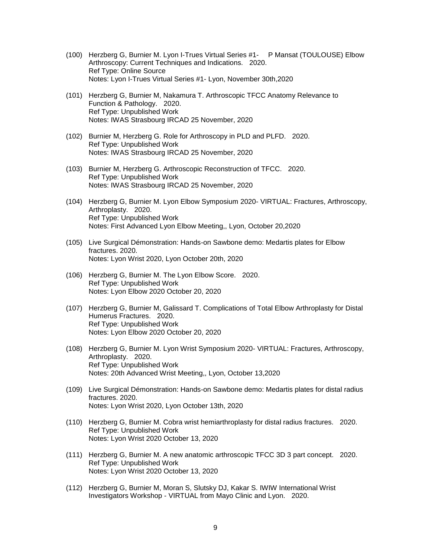- (100) Herzberg G, Burnier M. Lyon I-Trues Virtual Series #1- P Mansat (TOULOUSE) Elbow Arthroscopy: Current Techniques and Indications. 2020. Ref Type: Online Source Notes: Lyon I-Trues Virtual Series #1- Lyon, November 30th,2020
- (101) Herzberg G, Burnier M, Nakamura T. Arthroscopic TFCC Anatomy Relevance to Function & Pathology. 2020. Ref Type: Unpublished Work Notes: IWAS Strasbourg IRCAD 25 November, 2020
- (102) Burnier M, Herzberg G. Role for Arthroscopy in PLD and PLFD. 2020. Ref Type: Unpublished Work Notes: IWAS Strasbourg IRCAD 25 November, 2020
- (103) Burnier M, Herzberg G. Arthroscopic Reconstruction of TFCC. 2020. Ref Type: Unpublished Work Notes: IWAS Strasbourg IRCAD 25 November, 2020
- (104) Herzberg G, Burnier M. Lyon Elbow Symposium 2020- VIRTUAL: Fractures, Arthroscopy, Arthroplasty. 2020. Ref Type: Unpublished Work Notes: First Advanced Lyon Elbow Meeting,, Lyon, October 20,2020
- (105) Live Surgical Démonstration: Hands-on Sawbone demo: Medartis plates for Elbow fractures. 2020. Notes: Lyon Wrist 2020, Lyon October 20th, 2020
- (106) Herzberg G, Burnier M. The Lyon Elbow Score. 2020. Ref Type: Unpublished Work Notes: Lyon Elbow 2020 October 20, 2020
- (107) Herzberg G, Burnier M, Galissard T. Complications of Total Elbow Arthroplasty for Distal Humerus Fractures. 2020. Ref Type: Unpublished Work Notes: Lyon Elbow 2020 October 20, 2020
- (108) Herzberg G, Burnier M. Lyon Wrist Symposium 2020- VIRTUAL: Fractures, Arthroscopy, Arthroplasty. 2020. Ref Type: Unpublished Work Notes: 20th Advanced Wrist Meeting,, Lyon, October 13,2020
- (109) Live Surgical Démonstration: Hands-on Sawbone demo: Medartis plates for distal radius fractures. 2020. Notes: Lyon Wrist 2020, Lyon October 13th, 2020
- (110) Herzberg G, Burnier M. Cobra wrist hemiarthroplasty for distal radius fractures. 2020. Ref Type: Unpublished Work Notes: Lyon Wrist 2020 October 13, 2020
- (111) Herzberg G, Burnier M. A new anatomic arthroscopic TFCC 3D 3 part concept. 2020. Ref Type: Unpublished Work Notes: Lyon Wrist 2020 October 13, 2020
- (112) Herzberg G, Burnier M, Moran S, Slutsky DJ, Kakar S. IWIW International Wrist Investigators Workshop - VIRTUAL from Mayo Clinic and Lyon. 2020.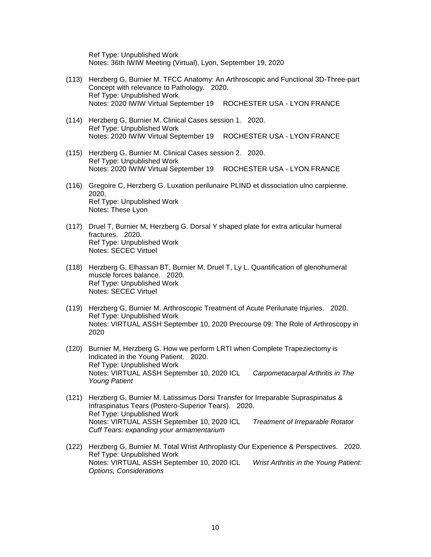Ref Type: Unpublished Work Notes: 36th IWIW Meeting (Virtual), Lyon, September 19, 2020

- (113) Herzberg G, Burnier M. TFCC Anatomy: An Arthroscopic and Functional 3D-Three-part Concept with relevance to Pathology. 2020. Ref Type: Unpublished Work Notes: 2020 IWIW Virtual September 19 ROCHESTER USA - LYON FRANCE
- (114) Herzberg G, Burnier M. Clinical Cases session 1. 2020. Ref Type: Unpublished Work Notes: 2020 IWIW Virtual September 19 ROCHESTER USA - LYON FRANCE
- (115) Herzberg G, Burnier M. Clinical Cases session 2. 2020. Ref Type: Unpublished Work Notes: 2020 IWIW Virtual September 19 ROCHESTER USA - LYON FRANCE
- (116) Gregoire C, Herzberg G. Luxation perilunaire PLIND et dissociation ulno carpienne. 2020. Ref Type: Unpublished Work Notes: These Lyon
- (117) Druel T, Burnier M, Herzberg G. Dorsal Y shaped plate for extra articular humeral fractures. 2020. Ref Type: Unpublished Work Notes: SECEC Virtuel
- (118) Herzberg G, Elhassan BT, Burnier M, Druel T, Ly L. Quantification of glenohumeral muscle forces balance. 2020. Ref Type: Unpublished Work Notes: SECEC Virtuel
- (119) Herzberg G, Burnier M. Arthroscopic Treatment of Acute Perilunate Injuries. 2020. Ref Type: Unpublished Work Notes: VIRTUAL ASSH September 10, 2020 Precourse 09: The Role of Arthroscopy in 2020
- (120) Burnier M, Herzberg G. How we perform LRTI when Complete Trapeziectomy is Indicated in the Young Patient. 2020. Ref Type: Unpublished Work Notes: VIRTUAL ASSH September 10, 2020 ICL *Carpometacarpal Arthritis in The Young Patient*
- (121) Herzberg G, Burnier M. Latissimus Dorsi Transfer for Irreparable Supraspinatus & Infraspinatus Tears (Postero-Superior Tears). 2020. Ref Type: Unpublished Work Notes: VIRTUAL ASSH September 10, 2020 ICL *Treatment of Irreparable Rotator Cuff Tears: expanding your armamentarium*
- (122) Herzberg G, Burnier M. Total Wrist Arthroplasty Our Experience & Perspectives. 2020. Ref Type: Unpublished Work Notes: VIRTUAL ASSH September 10, 2020 ICL *Wrist Arthritis in the Young Patient: Options, Considerations*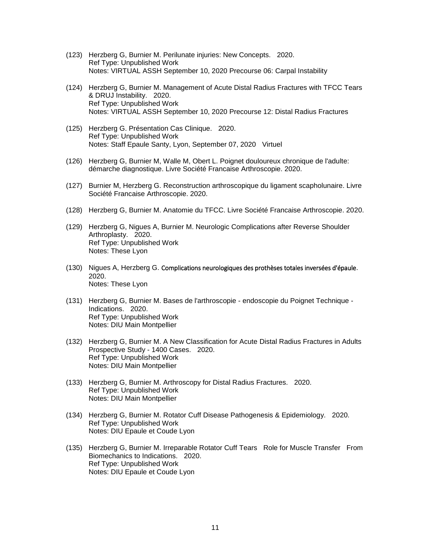- (123) Herzberg G, Burnier M. Perilunate injuries: New Concepts. 2020. Ref Type: Unpublished Work Notes: VIRTUAL ASSH September 10, 2020 Precourse 06: Carpal Instability
- (124) Herzberg G, Burnier M. Management of Acute Distal Radius Fractures with TFCC Tears & DRUJ Instability. 2020. Ref Type: Unpublished Work Notes: VIRTUAL ASSH September 10, 2020 Precourse 12: Distal Radius Fractures
- (125) Herzberg G. Présentation Cas Clinique. 2020. Ref Type: Unpublished Work Notes: Staff Epaule Santy, Lyon, September 07, 2020 Virtuel
- (126) Herzberg G, Burnier M, Walle M, Obert L. Poignet douloureux chronique de l'adulte: démarche diagnostique. Livre Société Francaise Arthroscopie. 2020.
- (127) Burnier M, Herzberg G. Reconstruction arthroscopique du ligament scapholunaire. Livre Société Francaise Arthroscopie. 2020.
- (128) Herzberg G, Burnier M. Anatomie du TFCC. Livre Société Francaise Arthroscopie. 2020.
- (129) Herzberg G, Nigues A, Burnier M. Neurologic Complications after Reverse Shoulder Arthroplasty. 2020. Ref Type: Unpublished Work Notes: These Lyon
- (130) Nigues A, Herzberg G. Complications neurologiques des prothèses totales inversées d'épaule. 2020. Notes: These Lyon
- (131) Herzberg G, Burnier M. Bases de l'arthroscopie endoscopie du Poignet Technique Indications. 2020. Ref Type: Unpublished Work Notes: DIU Main Montpellier
- (132) Herzberg G, Burnier M. A New Classification for Acute Distal Radius Fractures in Adults Prospective Study - 1400 Cases. 2020. Ref Type: Unpublished Work Notes: DIU Main Montpellier
- (133) Herzberg G, Burnier M. Arthroscopy for Distal Radius Fractures. 2020. Ref Type: Unpublished Work Notes: DIU Main Montpellier
- (134) Herzberg G, Burnier M. Rotator Cuff Disease Pathogenesis & Epidemiology. 2020. Ref Type: Unpublished Work Notes: DIU Epaule et Coude Lyon
- (135) Herzberg G, Burnier M. Irreparable Rotator Cuff Tears Role for Muscle Transfer From Biomechanics to Indications. 2020. Ref Type: Unpublished Work Notes: DIU Epaule et Coude Lyon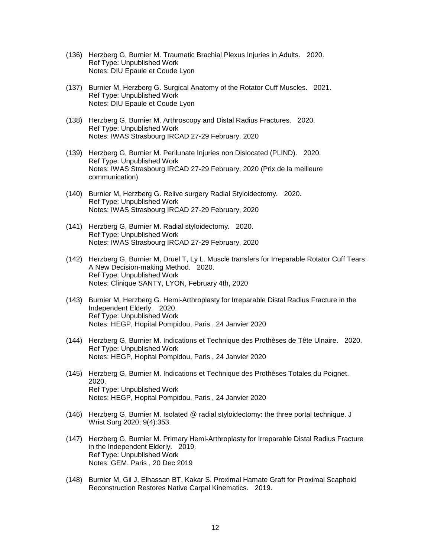- (136) Herzberg G, Burnier M. Traumatic Brachial Plexus Injuries in Adults. 2020. Ref Type: Unpublished Work Notes: DIU Epaule et Coude Lyon
- (137) Burnier M, Herzberg G. Surgical Anatomy of the Rotator Cuff Muscles. 2021. Ref Type: Unpublished Work Notes: DIU Epaule et Coude Lyon
- (138) Herzberg G, Burnier M. Arthroscopy and Distal Radius Fractures. 2020. Ref Type: Unpublished Work Notes: IWAS Strasbourg IRCAD 27-29 February, 2020
- (139) Herzberg G, Burnier M. Perilunate Injuries non Dislocated (PLIND). 2020. Ref Type: Unpublished Work Notes: IWAS Strasbourg IRCAD 27-29 February, 2020 (Prix de la meilleure communication)
- (140) Burnier M, Herzberg G. Relive surgery Radial Styloidectomy. 2020. Ref Type: Unpublished Work Notes: IWAS Strasbourg IRCAD 27-29 February, 2020
- (141) Herzberg G, Burnier M. Radial styloidectomy. 2020. Ref Type: Unpublished Work Notes: IWAS Strasbourg IRCAD 27-29 February, 2020
- (142) Herzberg G, Burnier M, Druel T, Ly L. Muscle transfers for Irreparable Rotator Cuff Tears: A New Decision-making Method. 2020. Ref Type: Unpublished Work Notes: Clinique SANTY, LYON, February 4th, 2020
- (143) Burnier M, Herzberg G. Hemi-Arthroplasty for Irreparable Distal Radius Fracture in the Independent Elderly. 2020. Ref Type: Unpublished Work Notes: HEGP, Hopital Pompidou, Paris , 24 Janvier 2020
- (144) Herzberg G, Burnier M. Indications et Technique des Prothèses de Tête Ulnaire. 2020. Ref Type: Unpublished Work Notes: HEGP, Hopital Pompidou, Paris , 24 Janvier 2020
- (145) Herzberg G, Burnier M. Indications et Technique des Prothèses Totales du Poignet. 2020. Ref Type: Unpublished Work Notes: HEGP, Hopital Pompidou, Paris , 24 Janvier 2020
- (146) Herzberg G, Burnier M. Isolated @ radial styloidectomy: the three portal technique. J Wrist Surg 2020; 9(4):353.
- (147) Herzberg G, Burnier M. Primary Hemi-Arthroplasty for Irreparable Distal Radius Fracture in the Independent Elderly. 2019. Ref Type: Unpublished Work Notes: GEM, Paris , 20 Dec 2019
- (148) Burnier M, Gil J, Elhassan BT, Kakar S. Proximal Hamate Graft for Proximal Scaphoid Reconstruction Restores Native Carpal Kinematics. 2019.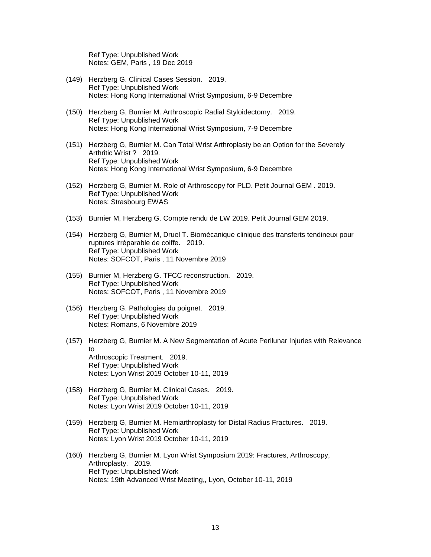Ref Type: Unpublished Work Notes: GEM, Paris , 19 Dec 2019

- (149) Herzberg G. Clinical Cases Session. 2019. Ref Type: Unpublished Work Notes: Hong Kong International Wrist Symposium, 6-9 Decembre
- (150) Herzberg G, Burnier M. Arthroscopic Radial Styloidectomy. 2019. Ref Type: Unpublished Work Notes: Hong Kong International Wrist Symposium, 7-9 Decembre
- (151) Herzberg G, Burnier M. Can Total Wrist Arthroplasty be an Option for the Severely Arthritic Wrist ? 2019. Ref Type: Unpublished Work Notes: Hong Kong International Wrist Symposium, 6-9 Decembre
- (152) Herzberg G, Burnier M. Role of Arthroscopy for PLD. Petit Journal GEM . 2019. Ref Type: Unpublished Work Notes: Strasbourg EWAS
- (153) Burnier M, Herzberg G. Compte rendu de LW 2019. Petit Journal GEM 2019.
- (154) Herzberg G, Burnier M, Druel T. Biomécanique clinique des transferts tendineux pour ruptures irréparable de coiffe. 2019. Ref Type: Unpublished Work Notes: SOFCOT, Paris , 11 Novembre 2019
- (155) Burnier M, Herzberg G. TFCC reconstruction. 2019. Ref Type: Unpublished Work Notes: SOFCOT, Paris , 11 Novembre 2019
- (156) Herzberg G. Pathologies du poignet. 2019. Ref Type: Unpublished Work Notes: Romans, 6 Novembre 2019
- (157) Herzberg G, Burnier M. A New Segmentation of Acute Perilunar Injuries with Relevance to Arthroscopic Treatment. 2019. Ref Type: Unpublished Work Notes: Lyon Wrist 2019 October 10-11, 2019
- (158) Herzberg G, Burnier M. Clinical Cases. 2019. Ref Type: Unpublished Work Notes: Lyon Wrist 2019 October 10-11, 2019
- (159) Herzberg G, Burnier M. Hemiarthroplasty for Distal Radius Fractures. 2019. Ref Type: Unpublished Work Notes: Lyon Wrist 2019 October 10-11, 2019
- (160) Herzberg G, Burnier M. Lyon Wrist Symposium 2019: Fractures, Arthroscopy, Arthroplasty. 2019. Ref Type: Unpublished Work Notes: 19th Advanced Wrist Meeting,, Lyon, October 10-11, 2019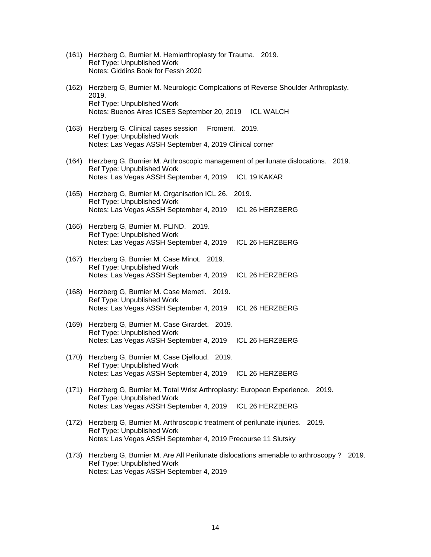- (161) Herzberg G, Burnier M. Hemiarthroplasty for Trauma. 2019. Ref Type: Unpublished Work Notes: Giddins Book for Fessh 2020
- (162) Herzberg G, Burnier M. Neurologic Complcations of Reverse Shoulder Arthroplasty. 2019. Ref Type: Unpublished Work Notes: Buenos Aires ICSES September 20, 2019 ICL WALCH
- (163) Herzberg G. Clinical cases session Froment. 2019. Ref Type: Unpublished Work Notes: Las Vegas ASSH September 4, 2019 Clinical corner
- (164) Herzberg G, Burnier M. Arthroscopic management of perilunate dislocations. 2019. Ref Type: Unpublished Work Notes: Las Vegas ASSH September 4, 2019 ICL 19 KAKAR
- (165) Herzberg G, Burnier M. Organisation ICL 26. 2019. Ref Type: Unpublished Work Notes: Las Vegas ASSH September 4, 2019 ICL 26 HERZBERG
- (166) Herzberg G, Burnier M. PLIND. 2019. Ref Type: Unpublished Work Notes: Las Vegas ASSH September 4, 2019 ICL 26 HERZBERG
- (167) Herzberg G, Burnier M. Case Minot. 2019. Ref Type: Unpublished Work Notes: Las Vegas ASSH September 4, 2019 ICL 26 HERZBERG
- (168) Herzberg G, Burnier M. Case Memeti. 2019. Ref Type: Unpublished Work Notes: Las Vegas ASSH September 4, 2019 ICL 26 HERZBERG
- (169) Herzberg G, Burnier M. Case Girardet. 2019. Ref Type: Unpublished Work Notes: Las Vegas ASSH September 4, 2019 ICL 26 HERZBERG
- (170) Herzberg G, Burnier M. Case Djelloud. 2019. Ref Type: Unpublished Work Notes: Las Vegas ASSH September 4, 2019 ICL 26 HERZBERG
- (171) Herzberg G, Burnier M. Total Wrist Arthroplasty: European Experience. 2019. Ref Type: Unpublished Work Notes: Las Vegas ASSH September 4, 2019 ICL 26 HERZBERG
- (172) Herzberg G, Burnier M. Arthroscopic treatment of perilunate injuries. 2019. Ref Type: Unpublished Work Notes: Las Vegas ASSH September 4, 2019 Precourse 11 Slutsky
- (173) Herzberg G, Burnier M. Are All Perilunate dislocations amenable to arthroscopy ? 2019. Ref Type: Unpublished Work Notes: Las Vegas ASSH September 4, 2019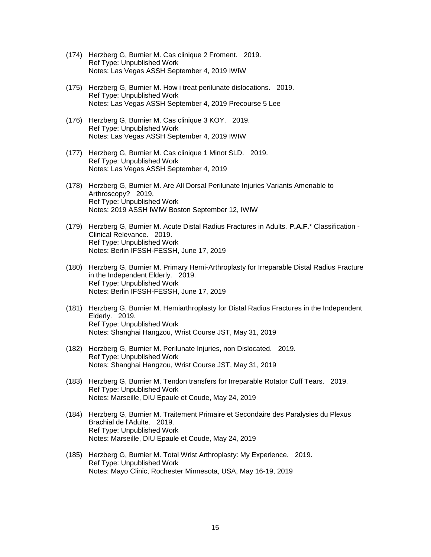- (174) Herzberg G, Burnier M. Cas clinique 2 Froment. 2019. Ref Type: Unpublished Work Notes: Las Vegas ASSH September 4, 2019 IWIW
- (175) Herzberg G, Burnier M. How i treat perilunate dislocations. 2019. Ref Type: Unpublished Work Notes: Las Vegas ASSH September 4, 2019 Precourse 5 Lee
- (176) Herzberg G, Burnier M. Cas clinique 3 KOY. 2019. Ref Type: Unpublished Work Notes: Las Vegas ASSH September 4, 2019 IWIW
- (177) Herzberg G, Burnier M. Cas clinique 1 Minot SLD. 2019. Ref Type: Unpublished Work Notes: Las Vegas ASSH September 4, 2019
- (178) Herzberg G, Burnier M. Are All Dorsal Perilunate Injuries Variants Amenable to Arthroscopy? 2019. Ref Type: Unpublished Work Notes: 2019 ASSH IWIW Boston September 12, IWIW
- (179) Herzberg G, Burnier M. Acute Distal Radius Fractures in Adults. **P.A.F.**\* Classification Clinical Relevance. 2019. Ref Type: Unpublished Work Notes: Berlin IFSSH-FESSH, June 17, 2019
- (180) Herzberg G, Burnier M. Primary Hemi-Arthroplasty for Irreparable Distal Radius Fracture in the Independent Elderly. 2019. Ref Type: Unpublished Work Notes: Berlin IFSSH-FESSH, June 17, 2019
- (181) Herzberg G, Burnier M. Hemiarthroplasty for Distal Radius Fractures in the Independent Elderly. 2019. Ref Type: Unpublished Work Notes: Shanghai Hangzou, Wrist Course JST, May 31, 2019
- (182) Herzberg G, Burnier M. Perilunate Injuries, non Dislocated. 2019. Ref Type: Unpublished Work Notes: Shanghai Hangzou, Wrist Course JST, May 31, 2019
- (183) Herzberg G, Burnier M. Tendon transfers for Irreparable Rotator Cuff Tears. 2019. Ref Type: Unpublished Work Notes: Marseille, DIU Epaule et Coude, May 24, 2019
- (184) Herzberg G, Burnier M. Traitement Primaire et Secondaire des Paralysies du Plexus Brachial de l'Adulte. 2019. Ref Type: Unpublished Work Notes: Marseille, DIU Epaule et Coude, May 24, 2019
- (185) Herzberg G, Burnier M. Total Wrist Arthroplasty: My Experience. 2019. Ref Type: Unpublished Work Notes: Mayo Clinic, Rochester Minnesota, USA, May 16-19, 2019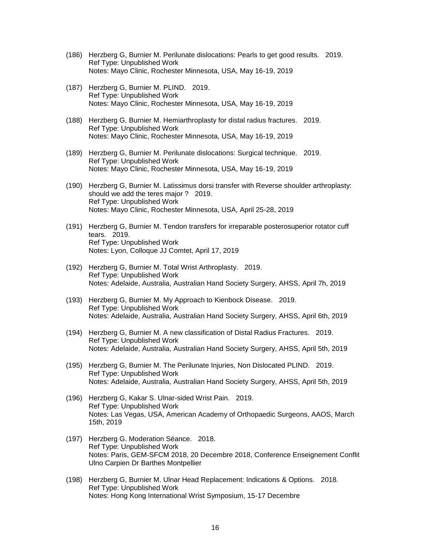- (186) Herzberg G, Burnier M. Perilunate dislocations: Pearls to get good results. 2019. Ref Type: Unpublished Work Notes: Mayo Clinic, Rochester Minnesota, USA, May 16-19, 2019
- (187) Herzberg G, Burnier M. PLIND. 2019. Ref Type: Unpublished Work Notes: Mayo Clinic, Rochester Minnesota, USA, May 16-19, 2019
- (188) Herzberg G, Burnier M. Hemiarthroplasty for distal radius fractures. 2019. Ref Type: Unpublished Work Notes: Mayo Clinic, Rochester Minnesota, USA, May 16-19, 2019
- (189) Herzberg G, Burnier M. Perilunate dislocations: Surgical technique. 2019. Ref Type: Unpublished Work Notes: Mayo Clinic, Rochester Minnesota, USA, May 16-19, 2019
- (190) Herzberg G, Burnier M. Latissimus dorsi transfer with Reverse shoulder arthroplasty: should we add the teres major ? 2019. Ref Type: Unpublished Work Notes: Mayo Clinic, Rochester Minnesota, USA, April 25-28, 2019
- (191) Herzberg G, Burnier M. Tendon transfers for irreparable posterosuperior rotator cuff tears. 2019. Ref Type: Unpublished Work Notes: Lyon, Colloque JJ Comtet, April 17, 2019
- (192) Herzberg G, Burnier M. Total Wrist Arthroplasty. 2019. Ref Type: Unpublished Work Notes: Adelaide, Australia, Australian Hand Society Surgery, AHSS, April 7h, 2019
- (193) Herzberg G, Burnier M. My Approach to Kienbock Disease. 2019. Ref Type: Unpublished Work Notes: Adelaide, Australia, Australian Hand Society Surgery, AHSS, April 6th, 2019
- (194) Herzberg G, Burnier M. A new classification of Distal Radius Fractures. 2019. Ref Type: Unpublished Work Notes: Adelaide, Australia, Australian Hand Society Surgery, AHSS, April 5th, 2019
- (195) Herzberg G, Burnier M. The Perilunate Injuries, Non Dislocated PLIND. 2019. Ref Type: Unpublished Work Notes: Adelaide, Australia, Australian Hand Society Surgery, AHSS, April 5th, 2019
- (196) Herzberg G, Kakar S. Ulnar-sided Wrist Pain. 2019. Ref Type: Unpublished Work Notes: Las Vegas, USA, American Academy of Orthopaedic Surgeons, AAOS, March 15th, 2019
- (197) Herzberg G. Moderation Séance. 2018. Ref Type: Unpublished Work Notes: Paris, GEM-SFCM 2018, 20 Decembre 2018, Conference Enseignement Conflit Ulno Carpien Dr Barthes Montpellier
- (198) Herzberg G, Burnier M. Ulnar Head Replacement: Indications & Options. 2018. Ref Type: Unpublished Work Notes: Hong Kong International Wrist Symposium, 15-17 Decembre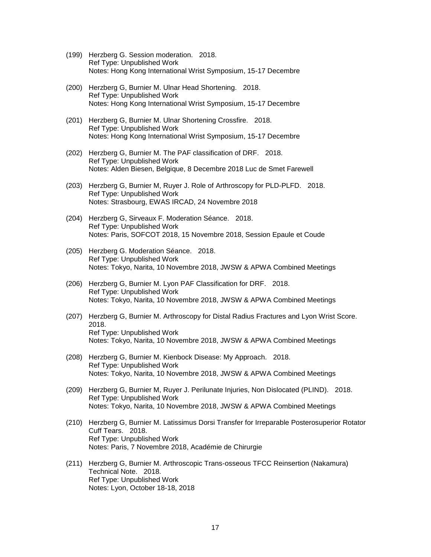- (199) Herzberg G. Session moderation. 2018. Ref Type: Unpublished Work Notes: Hong Kong International Wrist Symposium, 15-17 Decembre
- (200) Herzberg G, Burnier M. Ulnar Head Shortening. 2018. Ref Type: Unpublished Work Notes: Hong Kong International Wrist Symposium, 15-17 Decembre
- (201) Herzberg G, Burnier M. Ulnar Shortening Crossfire. 2018. Ref Type: Unpublished Work Notes: Hong Kong International Wrist Symposium, 15-17 Decembre
- (202) Herzberg G, Burnier M. The PAF classification of DRF. 2018. Ref Type: Unpublished Work Notes: Alden Biesen, Belgique, 8 Decembre 2018 Luc de Smet Farewell
- (203) Herzberg G, Burnier M, Ruyer J. Role of Arthroscopy for PLD-PLFD. 2018. Ref Type: Unpublished Work Notes: Strasbourg, EWAS IRCAD, 24 Novembre 2018
- (204) Herzberg G, Sirveaux F. Moderation Séance. 2018. Ref Type: Unpublished Work Notes: Paris, SOFCOT 2018, 15 Novembre 2018, Session Epaule et Coude
- (205) Herzberg G. Moderation Séance. 2018. Ref Type: Unpublished Work Notes: Tokyo, Narita, 10 Novembre 2018, JWSW & APWA Combined Meetings
- (206) Herzberg G, Burnier M. Lyon PAF Classification for DRF. 2018. Ref Type: Unpublished Work Notes: Tokyo, Narita, 10 Novembre 2018, JWSW & APWA Combined Meetings
- (207) Herzberg G, Burnier M. Arthroscopy for Distal Radius Fractures and Lyon Wrist Score. 2018. Ref Type: Unpublished Work Notes: Tokyo, Narita, 10 Novembre 2018, JWSW & APWA Combined Meetings
- (208) Herzberg G, Burnier M. Kienbock Disease: My Approach. 2018. Ref Type: Unpublished Work Notes: Tokyo, Narita, 10 Novembre 2018, JWSW & APWA Combined Meetings
- (209) Herzberg G, Burnier M, Ruyer J. Perilunate Injuries, Non Dislocated (PLIND). 2018. Ref Type: Unpublished Work Notes: Tokyo, Narita, 10 Novembre 2018, JWSW & APWA Combined Meetings
- (210) Herzberg G, Burnier M. Latissimus Dorsi Transfer for Irreparable Posterosuperior Rotator Cuff Tears. 2018. Ref Type: Unpublished Work Notes: Paris, 7 Novembre 2018, Académie de Chirurgie
- (211) Herzberg G, Burnier M. Arthroscopic Trans-osseous TFCC Reinsertion (Nakamura) Technical Note. 2018. Ref Type: Unpublished Work Notes: Lyon, October 18-18, 2018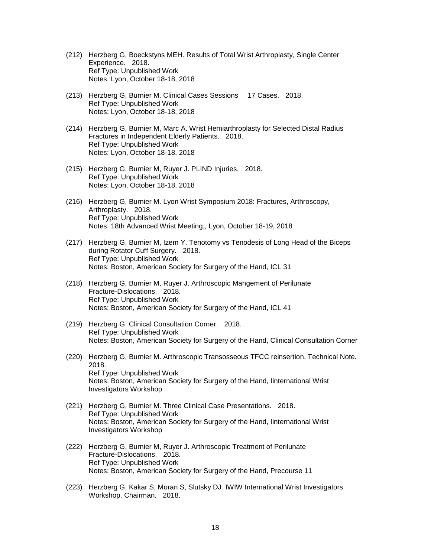- (212) Herzberg G, Boeckstyns MEH. Results of Total Wrist Arthroplasty, Single Center Experience. 2018. Ref Type: Unpublished Work Notes: Lyon, October 18-18, 2018
- (213) Herzberg G, Burnier M. Clinical Cases Sessions 17 Cases. 2018. Ref Type: Unpublished Work Notes: Lyon, October 18-18, 2018
- (214) Herzberg G, Burnier M, Marc A. Wrist Hemiarthroplasty for Selected Distal Radius Fractures in Independent Elderly Patients. 2018. Ref Type: Unpublished Work Notes: Lyon, October 18-18, 2018
- (215) Herzberg G, Burnier M, Ruyer J. PLIND Injuries. 2018. Ref Type: Unpublished Work Notes: Lyon, October 18-18, 2018
- (216) Herzberg G, Burnier M. Lyon Wrist Symposium 2018: Fractures, Arthroscopy, Arthroplasty. 2018. Ref Type: Unpublished Work Notes: 18th Advanced Wrist Meeting,, Lyon, October 18-19, 2018
- (217) Herzberg G, Burnier M, Izem Y. Tenotomy vs Tenodesis of Long Head of the Biceps during Rotator Cuff Surgery. 2018. Ref Type: Unpublished Work Notes: Boston, American Society for Surgery of the Hand, ICL 31
- (218) Herzberg G, Burnier M, Ruyer J. Arthroscopic Mangement of Perilunate Fracture-Dislocations. 2018. Ref Type: Unpublished Work Notes: Boston, American Society for Surgery of the Hand, ICL 41
- (219) Herzberg G. Clinical Consultation Corner. 2018. Ref Type: Unpublished Work Notes: Boston, American Society for Surgery of the Hand, Clinical Consultation Corner
- (220) Herzberg G, Burnier M. Arthroscopic Transosseous TFCC reinsertion. Technical Note. 2018. Ref Type: Unpublished Work Notes: Boston, American Society for Surgery of the Hand, Iinternational Wrist Investigators Workshop
- (221) Herzberg G, Burnier M. Three Clinical Case Presentations. 2018. Ref Type: Unpublished Work Notes: Boston, American Society for Surgery of the Hand, Iinternational Wrist Investigators Workshop
- (222) Herzberg G, Burnier M, Ruyer J. Arthroscopic Treatment of Perilunate Fracture-Dislocations. 2018. Ref Type: Unpublished Work Notes: Boston, American Society for Surgery of the Hand, Precourse 11
- (223) Herzberg G, Kakar S, Moran S, Slutsky DJ. IWIW International Wrist Investigators Workshop. Chairman. 2018.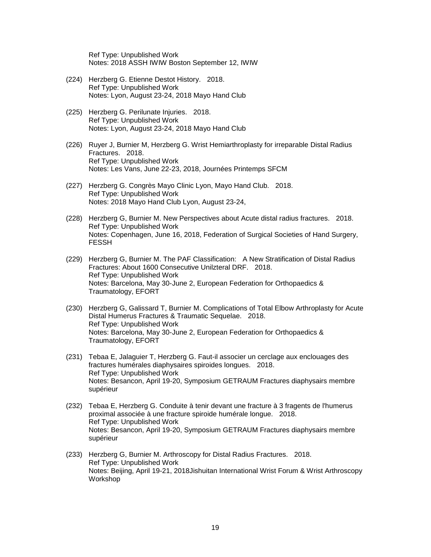Ref Type: Unpublished Work Notes: 2018 ASSH IWIW Boston September 12, IWIW

- (224) Herzberg G. Etienne Destot History. 2018. Ref Type: Unpublished Work Notes: Lyon, August 23-24, 2018 Mayo Hand Club
- (225) Herzberg G. Perilunate Injuries. 2018. Ref Type: Unpublished Work Notes: Lyon, August 23-24, 2018 Mayo Hand Club
- (226) Ruyer J, Burnier M, Herzberg G. Wrist Hemiarthroplasty for irreparable Distal Radius Fractures. 2018. Ref Type: Unpublished Work Notes: Les Vans, June 22-23, 2018, Journées Printemps SFCM
- (227) Herzberg G. Congrès Mayo Clinic Lyon, Mayo Hand Club. 2018. Ref Type: Unpublished Work Notes: 2018 Mayo Hand Club Lyon, August 23-24,
- (228) Herzberg G, Burnier M. New Perspectives about Acute distal radius fractures. 2018. Ref Type: Unpublished Work Notes: Copenhagen, June 16, 2018, Federation of Surgical Societies of Hand Surgery, FESSH
- (229) Herzberg G, Burnier M. The PAF Classification: A New Stratification of Distal Radius Fractures: About 1600 Consecutive Unilzteral DRF. 2018. Ref Type: Unpublished Work Notes: Barcelona, May 30-June 2, European Federation for Orthopaedics & Traumatology, EFORT
- (230) Herzberg G, Galissard T, Burnier M. Complications of Total Elbow Arthroplasty for Acute Distal Humerus Fractures & Traumatic Sequelae. 2018. Ref Type: Unpublished Work Notes: Barcelona, May 30-June 2, European Federation for Orthopaedics & Traumatology, EFORT
- (231) Tebaa E, Jalaguier T, Herzberg G. Faut-il associer un cerclage aux enclouages des fractures humérales diaphysaires spiroides longues. 2018. Ref Type: Unpublished Work Notes: Besancon, April 19-20, Symposium GETRAUM Fractures diaphysairs membre supérieur
- (232) Tebaa E, Herzberg G. Conduite à tenir devant une fracture à 3 fragents de l'humerus proximal associée à une fracture spiroide humérale longue. 2018. Ref Type: Unpublished Work Notes: Besancon, April 19-20, Symposium GETRAUM Fractures diaphysairs membre supérieur
- (233) Herzberg G, Burnier M. Arthroscopy for Distal Radius Fractures. 2018. Ref Type: Unpublished Work Notes: Beijing, April 19-21, 2018Jishuitan International Wrist Forum & Wrist Arthroscopy Workshop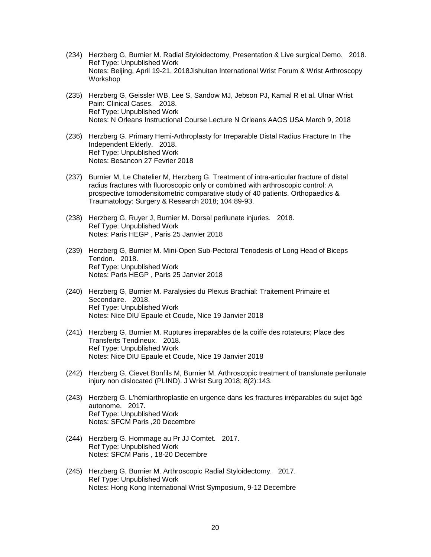- (234) Herzberg G, Burnier M. Radial Styloidectomy, Presentation & Live surgical Demo. 2018. Ref Type: Unpublished Work Notes: Beijing, April 19-21, 2018Jishuitan International Wrist Forum & Wrist Arthroscopy Workshop
- (235) Herzberg G, Geissler WB, Lee S, Sandow MJ, Jebson PJ, Kamal R et al. Ulnar Wrist Pain: Clinical Cases. 2018. Ref Type: Unpublished Work Notes: N Orleans Instructional Course Lecture N Orleans AAOS USA March 9, 2018
- (236) Herzberg G. Primary Hemi-Arthroplasty for Irreparable Distal Radius Fracture In The Independent Elderly. 2018. Ref Type: Unpublished Work Notes: Besancon 27 Fevrier 2018
- (237) Burnier M, Le Chatelier M, Herzberg G. Treatment of intra-articular fracture of distal radius fractures with fluoroscopic only or combined with arthroscopic control: A prospective tomodensitometric comparative study of 40 patients. Orthopaedics & Traumatology: Surgery & Research 2018; 104:89-93.
- (238) Herzberg G, Ruyer J, Burnier M. Dorsal perilunate injuries. 2018. Ref Type: Unpublished Work Notes: Paris HEGP , Paris 25 Janvier 2018
- (239) Herzberg G, Burnier M. Mini-Open Sub-Pectoral Tenodesis of Long Head of Biceps Tendon. 2018. Ref Type: Unpublished Work Notes: Paris HEGP , Paris 25 Janvier 2018
- (240) Herzberg G, Burnier M. Paralysies du Plexus Brachial: Traitement Primaire et Secondaire. 2018. Ref Type: Unpublished Work Notes: Nice DIU Epaule et Coude, Nice 19 Janvier 2018
- (241) Herzberg G, Burnier M. Ruptures irreparables de la coiffe des rotateurs; Place des Transferts Tendineux. 2018. Ref Type: Unpublished Work Notes: Nice DIU Epaule et Coude, Nice 19 Janvier 2018
- (242) Herzberg G, Cievet Bonfils M, Burnier M. Arthroscopic treatment of translunate perilunate injury non dislocated (PLIND). J Wrist Surg 2018; 8(2):143.
- (243) Herzberg G. L'hémiarthroplastie en urgence dans les fractures irréparables du sujet âgé autonome. 2017. Ref Type: Unpublished Work Notes: SFCM Paris ,20 Decembre
- (244) Herzberg G. Hommage au Pr JJ Comtet. 2017. Ref Type: Unpublished Work Notes: SFCM Paris , 18-20 Decembre
- (245) Herzberg G, Burnier M. Arthroscopic Radial Styloidectomy. 2017. Ref Type: Unpublished Work Notes: Hong Kong International Wrist Symposium, 9-12 Decembre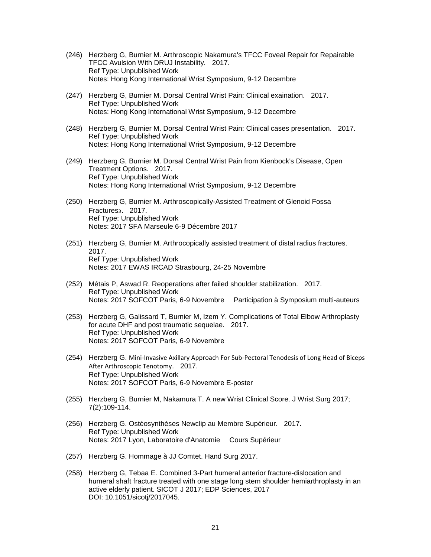- (246) Herzberg G, Burnier M. Arthroscopic Nakamura's TFCC Foveal Repair for Repairable TFCC Avulsion With DRUJ Instability. 2017. Ref Type: Unpublished Work Notes: Hong Kong International Wrist Symposium, 9-12 Decembre
- (247) Herzberg G, Burnier M. Dorsal Central Wrist Pain: Clinical exaination. 2017. Ref Type: Unpublished Work Notes: Hong Kong International Wrist Symposium, 9-12 Decembre
- (248) Herzberg G, Burnier M. Dorsal Central Wrist Pain: Clinical cases presentation. 2017. Ref Type: Unpublished Work Notes: Hong Kong International Wrist Symposium, 9-12 Decembre
- (249) Herzberg G, Burnier M. Dorsal Central Wrist Pain from Kienbock's Disease, Open Treatment Options. 2017. Ref Type: Unpublished Work Notes: Hong Kong International Wrist Symposium, 9-12 Decembre
- (250) Herzberg G, Burnier M. Arthroscopically-Assisted Treatment of Glenoid Fossa Fractures. 2017. Ref Type: Unpublished Work Notes: 2017 SFA Marseule 6-9 Décembre 2017
- (251) Herzberg G, Burnier M. Arthrocopically assisted treatment of distal radius fractures. 2017. Ref Type: Unpublished Work Notes: 2017 EWAS IRCAD Strasbourg, 24-25 Novembre
- (252) Métais P, Aswad R. Reoperations after failed shoulder stabilization. 2017. Ref Type: Unpublished Work Notes: 2017 SOFCOT Paris, 6-9 Novembre Participation à Symposium multi-auteurs
- (253) Herzberg G, Galissard T, Burnier M, Izem Y. Complications of Total Elbow Arthroplasty for acute DHF and post traumatic sequelae. 2017. Ref Type: Unpublished Work Notes: 2017 SOFCOT Paris, 6-9 Novembre
- (254) Herzberg G. Mini-Invasive Axillary Approach For Sub-Pectoral Tenodesis of Long Head of Biceps After Arthroscopic Tenotomy. 2017. Ref Type: Unpublished Work Notes: 2017 SOFCOT Paris, 6-9 Novembre E-poster
- (255) Herzberg G, Burnier M, Nakamura T. A new Wrist Clinical Score. J Wrist Surg 2017; 7(2):109-114.
- (256) Herzberg G. Ostéosynthèses Newclip au Membre Supérieur. 2017. Ref Type: Unpublished Work Notes: 2017 Lyon, Laboratoire d'Anatomie Cours Supérieur
- (257) Herzberg G. Hommage à JJ Comtet. Hand Surg 2017.
- (258) Herzberg G, Tebaa E. Combined 3-Part humeral anterior fracture-dislocation and humeral shaft fracture treated with one stage long stem shoulder hemiarthroplasty in an active elderly patient. SICOT J 2017; EDP Sciences, 2017 DOI: 10.1051/sicotj/2017045.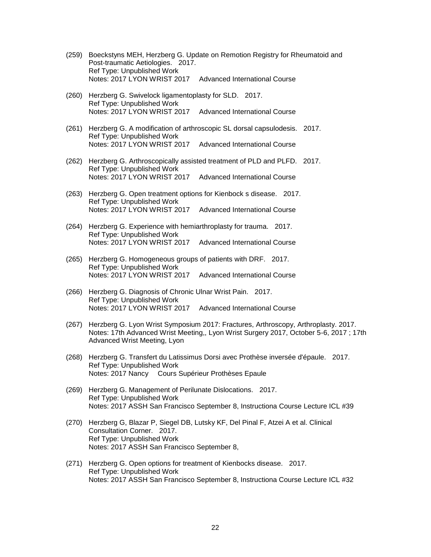- (259) Boeckstyns MEH, Herzberg G. Update on Remotion Registry for Rheumatoid and Post-traumatic Aetiologies. 2017. Ref Type: Unpublished Work Notes: 2017 LYON WRIST 2017 Advanced International Course
- (260) Herzberg G. Swivelock ligamentoplasty for SLD. 2017. Ref Type: Unpublished Work Notes: 2017 LYON WRIST 2017 Advanced International Course
- (261) Herzberg G. A modification of arthroscopic SL dorsal capsulodesis. 2017. Ref Type: Unpublished Work Notes: 2017 LYON WRIST 2017 Advanced International Course
- (262) Herzberg G. Arthroscopically assisted treatment of PLD and PLFD. 2017. Ref Type: Unpublished Work Notes: 2017 LYON WRIST 2017 Advanced International Course
- (263) Herzberg G. Open treatment options for Kienbock s disease. 2017. Ref Type: Unpublished Work Notes: 2017 LYON WRIST 2017 Advanced International Course
- (264) Herzberg G. Experience with hemiarthroplasty for trauma. 2017. Ref Type: Unpublished Work Notes: 2017 LYON WRIST 2017 Advanced International Course
- (265) Herzberg G. Homogeneous groups of patients with DRF. 2017. Ref Type: Unpublished Work Notes: 2017 LYON WRIST 2017 Advanced International Course
- (266) Herzberg G. Diagnosis of Chronic Ulnar Wrist Pain. 2017. Ref Type: Unpublished Work Notes: 2017 LYON WRIST 2017 Advanced International Course
- (267) Herzberg G. Lyon Wrist Symposium 2017: Fractures, Arthroscopy, Arthroplasty. 2017. Notes: 17th Advanced Wrist Meeting,, Lyon Wrist Surgery 2017, October 5-6, 2017 ; 17th Advanced Wrist Meeting, Lyon
- (268) Herzberg G. Transfert du Latissimus Dorsi avec Prothèse inversée d'épaule. 2017. Ref Type: Unpublished Work Notes: 2017 Nancy Cours Supérieur Prothèses Epaule
- (269) Herzberg G. Management of Perilunate Dislocations. 2017. Ref Type: Unpublished Work Notes: 2017 ASSH San Francisco September 8, Instructiona Course Lecture ICL #39
- (270) Herzberg G, Blazar P, Siegel DB, Lutsky KF, Del Pinal F, Atzei A et al. Clinical Consultation Corner. 2017. Ref Type: Unpublished Work Notes: 2017 ASSH San Francisco September 8,
- (271) Herzberg G. Open options for treatment of Kienbocks disease. 2017. Ref Type: Unpublished Work Notes: 2017 ASSH San Francisco September 8, Instructiona Course Lecture ICL #32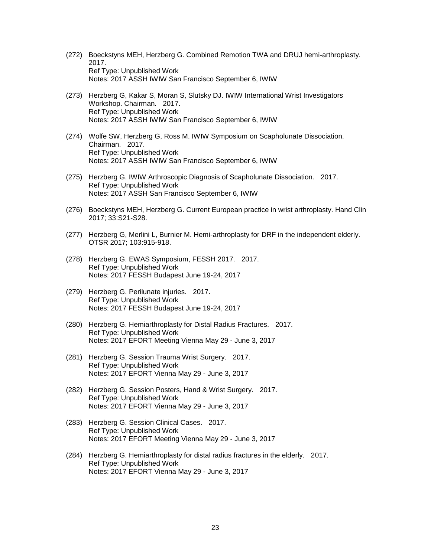- (272) Boeckstyns MEH, Herzberg G. Combined Remotion TWA and DRUJ hemi-arthroplasty. 2017. Ref Type: Unpublished Work Notes: 2017 ASSH IWIW San Francisco September 6, IWIW
- (273) Herzberg G, Kakar S, Moran S, Slutsky DJ. IWIW International Wrist Investigators Workshop. Chairman. 2017. Ref Type: Unpublished Work Notes: 2017 ASSH IWIW San Francisco September 6, IWIW
- (274) Wolfe SW, Herzberg G, Ross M. IWIW Symposium on Scapholunate Dissociation. Chairman. 2017. Ref Type: Unpublished Work Notes: 2017 ASSH IWIW San Francisco September 6, IWIW
- (275) Herzberg G. IWIW Arthroscopic Diagnosis of Scapholunate Dissociation. 2017. Ref Type: Unpublished Work Notes: 2017 ASSH San Francisco September 6, IWIW
- (276) Boeckstyns MEH, Herzberg G. Current European practice in wrist arthroplasty. Hand Clin 2017; 33:S21-S28.
- (277) Herzberg G, Merlini L, Burnier M. Hemi-arthroplasty for DRF in the independent elderly. OTSR 2017; 103:915-918.
- (278) Herzberg G. EWAS Symposium, FESSH 2017. 2017. Ref Type: Unpublished Work Notes: 2017 FESSH Budapest June 19-24, 2017
- (279) Herzberg G. Perilunate injuries. 2017. Ref Type: Unpublished Work Notes: 2017 FESSH Budapest June 19-24, 2017
- (280) Herzberg G. Hemiarthroplasty for Distal Radius Fractures. 2017. Ref Type: Unpublished Work Notes: 2017 EFORT Meeting Vienna May 29 - June 3, 2017
- (281) Herzberg G. Session Trauma Wrist Surgery. 2017. Ref Type: Unpublished Work Notes: 2017 EFORT Vienna May 29 - June 3, 2017
- (282) Herzberg G. Session Posters, Hand & Wrist Surgery. 2017. Ref Type: Unpublished Work Notes: 2017 EFORT Vienna May 29 - June 3, 2017
- (283) Herzberg G. Session Clinical Cases. 2017. Ref Type: Unpublished Work Notes: 2017 EFORT Meeting Vienna May 29 - June 3, 2017
- (284) Herzberg G. Hemiarthroplasty for distal radius fractures in the elderly. 2017. Ref Type: Unpublished Work Notes: 2017 EFORT Vienna May 29 - June 3, 2017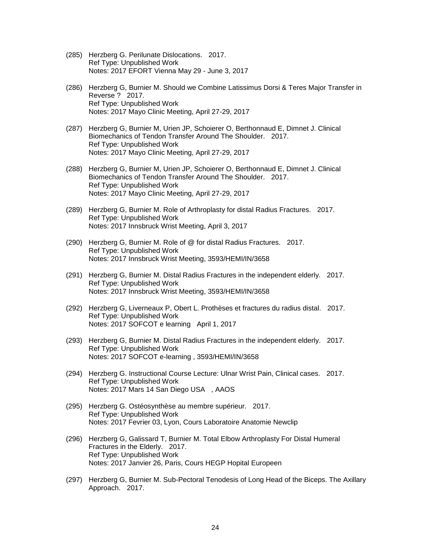- (285) Herzberg G. Perilunate Dislocations. 2017. Ref Type: Unpublished Work Notes: 2017 EFORT Vienna May 29 - June 3, 2017
- (286) Herzberg G, Burnier M. Should we Combine Latissimus Dorsi & Teres Major Transfer in Reverse ? 2017. Ref Type: Unpublished Work Notes: 2017 Mayo Clinic Meeting, April 27-29, 2017
- (287) Herzberg G, Burnier M, Urien JP, Schoierer O, Berthonnaud E, Dimnet J. Clinical Biomechanics of Tendon Transfer Around The Shoulder. 2017. Ref Type: Unpublished Work Notes: 2017 Mayo Clinic Meeting, April 27-29, 2017
- (288) Herzberg G, Burnier M, Urien JP, Schoierer O, Berthonnaud E, Dimnet J. Clinical Biomechanics of Tendon Transfer Around The Shoulder. 2017. Ref Type: Unpublished Work Notes: 2017 Mayo Clinic Meeting, April 27-29, 2017
- (289) Herzberg G, Burnier M. Role of Arthroplasty for distal Radius Fractures. 2017. Ref Type: Unpublished Work Notes: 2017 Innsbruck Wrist Meeting, April 3, 2017
- (290) Herzberg G, Burnier M. Role of @ for distal Radius Fractures. 2017. Ref Type: Unpublished Work Notes: 2017 Innsbruck Wrist Meeting, 3593/HEMI/IN/3658
- (291) Herzberg G, Burnier M. Distal Radius Fractures in the independent elderly. 2017. Ref Type: Unpublished Work Notes: 2017 Innsbruck Wrist Meeting, 3593/HEMI/IN/3658
- (292) Herzberg G, Liverneaux P, Obert L. Prothèses et fractures du radius distal. 2017. Ref Type: Unpublished Work Notes: 2017 SOFCOT e learning April 1, 2017
- (293) Herzberg G, Burnier M. Distal Radius Fractures in the independent elderly. 2017. Ref Type: Unpublished Work Notes: 2017 SOFCOT e-learning , 3593/HEMI/IN/3658
- (294) Herzberg G. Instructional Course Lecture: Ulnar Wrist Pain, Clinical cases. 2017. Ref Type: Unpublished Work Notes: 2017 Mars 14 San Diego USA , AAOS
- (295) Herzberg G. Ostéosynthèse au membre supérieur. 2017. Ref Type: Unpublished Work Notes: 2017 Fevrier 03, Lyon, Cours Laboratoire Anatomie Newclip
- (296) Herzberg G, Galissard T, Burnier M. Total Elbow Arthroplasty For Distal Humeral Fractures in the Elderly. 2017. Ref Type: Unpublished Work Notes: 2017 Janvier 26, Paris, Cours HEGP Hopital Europeen
- (297) Herzberg G, Burnier M. Sub-Pectoral Tenodesis of Long Head of the Biceps. The Axillary Approach. 2017.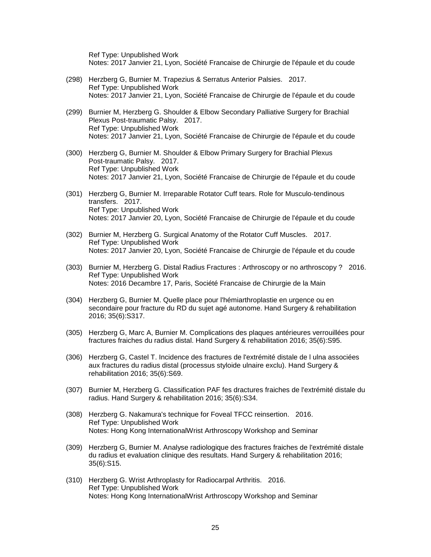Ref Type: Unpublished Work Notes: 2017 Janvier 21, Lyon, Société Francaise de Chirurgie de l'épaule et du coude

- (298) Herzberg G, Burnier M. Trapezius & Serratus Anterior Palsies. 2017. Ref Type: Unpublished Work Notes: 2017 Janvier 21, Lyon, Société Francaise de Chirurgie de l'épaule et du coude
- (299) Burnier M, Herzberg G. Shoulder & Elbow Secondary Palliative Surgery for Brachial Plexus Post-traumatic Palsy. 2017. Ref Type: Unpublished Work Notes: 2017 Janvier 21, Lyon, Société Francaise de Chirurgie de l'épaule et du coude
- (300) Herzberg G, Burnier M. Shoulder & Elbow Primary Surgery for Brachial Plexus Post-traumatic Palsy. 2017. Ref Type: Unpublished Work Notes: 2017 Janvier 21, Lyon, Société Francaise de Chirurgie de l'épaule et du coude
- (301) Herzberg G, Burnier M. Irreparable Rotator Cuff tears. Role for Musculo-tendinous transfers. 2017. Ref Type: Unpublished Work Notes: 2017 Janvier 20, Lyon, Société Francaise de Chirurgie de l'épaule et du coude
- (302) Burnier M, Herzberg G. Surgical Anatomy of the Rotator Cuff Muscles. 2017. Ref Type: Unpublished Work Notes: 2017 Janvier 20, Lyon, Société Francaise de Chirurgie de l'épaule et du coude
- (303) Burnier M, Herzberg G. Distal Radius Fractures : Arthroscopy or no arthroscopy ? 2016. Ref Type: Unpublished Work Notes: 2016 Decambre 17, Paris, Société Francaise de Chirurgie de la Main
- (304) Herzberg G, Burnier M. Quelle place pour l'hémiarthroplastie en urgence ou en secondaire pour fracture du RD du sujet agé autonome. Hand Surgery & rehabilitation 2016; 35(6):S317.
- (305) Herzberg G, Marc A, Burnier M. Complications des plaques antérieures verrouillées pour fractures fraiches du radius distal. Hand Surgery & rehabilitation 2016; 35(6):S95.
- (306) Herzberg G, Castel T. Incidence des fractures de l'extrémité distale de l ulna associées aux fractures du radius distal (processus styloide ulnaire exclu). Hand Surgery & rehabilitation 2016; 35(6):S69.
- (307) Burnier M, Herzberg G. Classification PAF fes dractures fraiches de l'extrémité distale du radius. Hand Surgery & rehabilitation 2016; 35(6):S34.
- (308) Herzberg G. Nakamura's technique for Foveal TFCC reinsertion. 2016. Ref Type: Unpublished Work Notes: Hong Kong InternationalWrist Arthroscopy Workshop and Seminar
- (309) Herzberg G, Burnier M. Analyse radiologique des fractures fraiches de l'extrémité distale du radius et evaluation clinique des resultats. Hand Surgery & rehabilitation 2016; 35(6):S15.
- (310) Herzberg G. Wrist Arthroplasty for Radiocarpal Arthritis. 2016. Ref Type: Unpublished Work Notes: Hong Kong InternationalWrist Arthroscopy Workshop and Seminar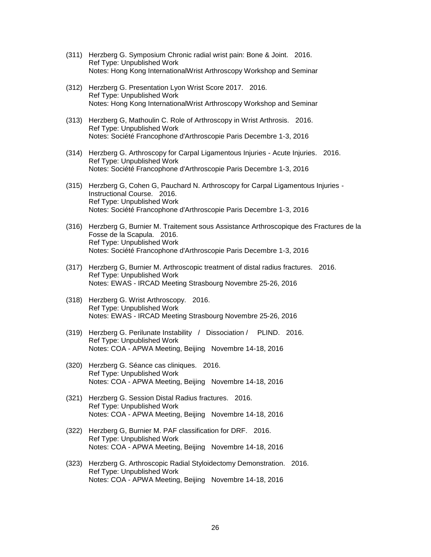- (311) Herzberg G. Symposium Chronic radial wrist pain: Bone & Joint. 2016. Ref Type: Unpublished Work Notes: Hong Kong InternationalWrist Arthroscopy Workshop and Seminar
- (312) Herzberg G. Presentation Lyon Wrist Score 2017. 2016. Ref Type: Unpublished Work Notes: Hong Kong InternationalWrist Arthroscopy Workshop and Seminar
- (313) Herzberg G, Mathoulin C. Role of Arthroscopy in Wrist Arthrosis. 2016. Ref Type: Unpublished Work Notes: Société Francophone d'Arthroscopie Paris Decembre 1-3, 2016
- (314) Herzberg G. Arthroscopy for Carpal Ligamentous Injuries Acute Injuries. 2016. Ref Type: Unpublished Work Notes: Société Francophone d'Arthroscopie Paris Decembre 1-3, 2016
- (315) Herzberg G, Cohen G, Pauchard N. Arthroscopy for Carpal Ligamentous Injuries Instructional Course. 2016. Ref Type: Unpublished Work Notes: Société Francophone d'Arthroscopie Paris Decembre 1-3, 2016
- (316) Herzberg G, Burnier M. Traitement sous Assistance Arthroscopique des Fractures de la Fosse de la Scapula. 2016. Ref Type: Unpublished Work Notes: Société Francophone d'Arthroscopie Paris Decembre 1-3, 2016
- (317) Herzberg G, Burnier M. Arthroscopic treatment of distal radius fractures. 2016. Ref Type: Unpublished Work Notes: EWAS - IRCAD Meeting Strasbourg Novembre 25-26, 2016
- (318) Herzberg G. Wrist Arthroscopy. 2016. Ref Type: Unpublished Work Notes: EWAS - IRCAD Meeting Strasbourg Novembre 25-26, 2016
- (319) Herzberg G. Perilunate Instability / Dissociation / PLIND. 2016. Ref Type: Unpublished Work Notes: COA - APWA Meeting, Beijing Novembre 14-18, 2016
- (320) Herzberg G. Séance cas cliniques. 2016. Ref Type: Unpublished Work Notes: COA - APWA Meeting, Beijing Novembre 14-18, 2016
- (321) Herzberg G. Session Distal Radius fractures. 2016. Ref Type: Unpublished Work Notes: COA - APWA Meeting, Beijing Novembre 14-18, 2016
- (322) Herzberg G, Burnier M. PAF classification for DRF. 2016. Ref Type: Unpublished Work Notes: COA - APWA Meeting, Beijing Novembre 14-18, 2016
- (323) Herzberg G. Arthroscopic Radial Styloidectomy Demonstration. 2016. Ref Type: Unpublished Work Notes: COA - APWA Meeting, Beijing Novembre 14-18, 2016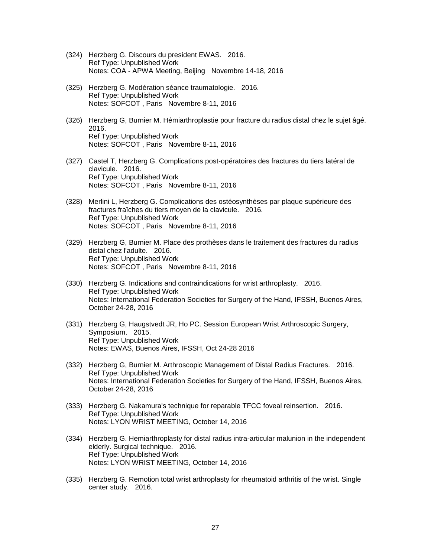- (324) Herzberg G. Discours du president EWAS. 2016. Ref Type: Unpublished Work Notes: COA - APWA Meeting, Beijing Novembre 14-18, 2016
- (325) Herzberg G. Modération séance traumatologie. 2016. Ref Type: Unpublished Work Notes: SOFCOT , Paris Novembre 8-11, 2016
- (326) Herzberg G, Burnier M. Hémiarthroplastie pour fracture du radius distal chez le sujet âgé. 2016. Ref Type: Unpublished Work Notes: SOFCOT , Paris Novembre 8-11, 2016
- (327) Castel T, Herzberg G. Complications post-opératoires des fractures du tiers latéral de clavicule. 2016. Ref Type: Unpublished Work Notes: SOFCOT , Paris Novembre 8-11, 2016
- (328) Merlini L, Herzberg G. Complications des ostéosynthèses par plaque supérieure des fractures fraîches du tiers moyen de la clavicule. 2016. Ref Type: Unpublished Work Notes: SOFCOT , Paris Novembre 8-11, 2016
- (329) Herzberg G, Burnier M. Place des prothèses dans le traitement des fractures du radius distal chez l'adulte. 2016. Ref Type: Unpublished Work Notes: SOFCOT , Paris Novembre 8-11, 2016
- (330) Herzberg G. Indications and contraindications for wrist arthroplasty. 2016. Ref Type: Unpublished Work Notes: International Federation Societies for Surgery of the Hand, IFSSH, Buenos Aires, October 24-28, 2016
- (331) Herzberg G, Haugstvedt JR, Ho PC. Session European Wrist Arthroscopic Surgery, Symposium. 2015. Ref Type: Unpublished Work Notes: EWAS, Buenos Aires, IFSSH, Oct 24-28 2016
- (332) Herzberg G, Burnier M. Arthroscopic Management of Distal Radius Fractures. 2016. Ref Type: Unpublished Work Notes: International Federation Societies for Surgery of the Hand, IFSSH, Buenos Aires, October 24-28, 2016
- (333) Herzberg G. Nakamura's technique for reparable TFCC foveal reinsertion. 2016. Ref Type: Unpublished Work Notes: LYON WRIST MEETING, October 14, 2016
- (334) Herzberg G. Hemiarthroplasty for distal radius intra-articular malunion in the independent elderly. Surgical technique. 2016. Ref Type: Unpublished Work Notes: LYON WRIST MEETING, October 14, 2016
- (335) Herzberg G. Remotion total wrist arthroplasty for rheumatoid arthritis of the wrist. Single center study. 2016.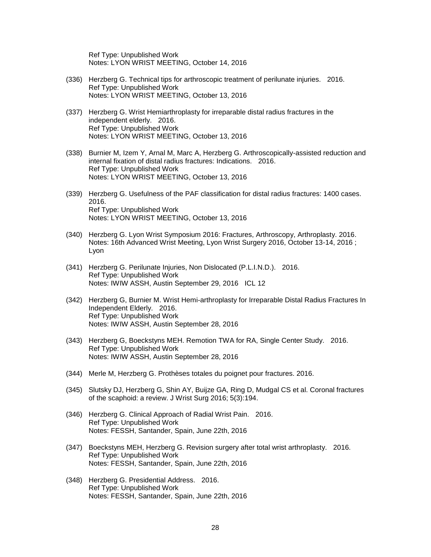Ref Type: Unpublished Work Notes: LYON WRIST MEETING, October 14, 2016

- (336) Herzberg G. Technical tips for arthroscopic treatment of perilunate injuries. 2016. Ref Type: Unpublished Work Notes: LYON WRIST MEETING, October 13, 2016
- (337) Herzberg G. Wrist Hemiarthroplasty for irreparable distal radius fractures in the independent elderly. 2016. Ref Type: Unpublished Work Notes: LYON WRIST MEETING, October 13, 2016
- (338) Burnier M, Izem Y, Arnal M, Marc A, Herzberg G. Arthroscopically-assisted reduction and internal fixation of distal radius fractures: Indications. 2016. Ref Type: Unpublished Work Notes: LYON WRIST MEETING, October 13, 2016
- (339) Herzberg G. Usefulness of the PAF classification for distal radius fractures: 1400 cases. 2016. Ref Type: Unpublished Work Notes: LYON WRIST MEETING, October 13, 2016
- (340) Herzberg G. Lyon Wrist Symposium 2016: Fractures, Arthroscopy, Arthroplasty. 2016. Notes: 16th Advanced Wrist Meeting, Lyon Wrist Surgery 2016, October 13-14, 2016 ; Lyon
- (341) Herzberg G. Perilunate Injuries, Non Dislocated (P.L.I.N.D.). 2016. Ref Type: Unpublished Work Notes: IWIW ASSH, Austin September 29, 2016 ICL 12
- (342) Herzberg G, Burnier M. Wrist Hemi-arthroplasty for Irreparable Distal Radius Fractures In Independent Elderly. 2016. Ref Type: Unpublished Work Notes: IWIW ASSH, Austin September 28, 2016
- (343) Herzberg G, Boeckstyns MEH. Remotion TWA for RA, Single Center Study. 2016. Ref Type: Unpublished Work Notes: IWIW ASSH, Austin September 28, 2016
- (344) Merle M, Herzberg G. Prothèses totales du poignet pour fractures. 2016.
- (345) Slutsky DJ, Herzberg G, Shin AY, Buijze GA, Ring D, Mudgal CS et al. Coronal fractures of the scaphoid: a review. J Wrist Surg 2016; 5(3):194.
- (346) Herzberg G. Clinical Approach of Radial Wrist Pain. 2016. Ref Type: Unpublished Work Notes: FESSH, Santander, Spain, June 22th, 2016
- (347) Boeckstyns MEH, Herzberg G. Revision surgery after total wrist arthroplasty. 2016. Ref Type: Unpublished Work Notes: FESSH, Santander, Spain, June 22th, 2016
- (348) Herzberg G. Presidential Address. 2016. Ref Type: Unpublished Work Notes: FESSH, Santander, Spain, June 22th, 2016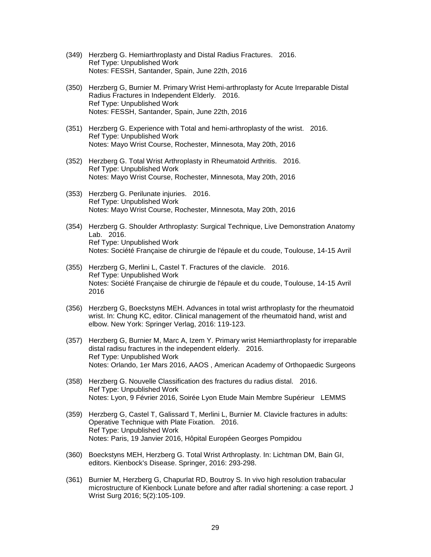- (349) Herzberg G. Hemiarthroplasty and Distal Radius Fractures. 2016. Ref Type: Unpublished Work Notes: FESSH, Santander, Spain, June 22th, 2016
- (350) Herzberg G, Burnier M. Primary Wrist Hemi-arthroplasty for Acute Irreparable Distal Radius Fractures in Independent Elderly. 2016. Ref Type: Unpublished Work Notes: FESSH, Santander, Spain, June 22th, 2016
- (351) Herzberg G. Experience with Total and hemi-arthroplasty of the wrist. 2016. Ref Type: Unpublished Work Notes: Mayo Wrist Course, Rochester, Minnesota, May 20th, 2016
- (352) Herzberg G. Total Wrist Arthroplasty in Rheumatoid Arthritis. 2016. Ref Type: Unpublished Work Notes: Mayo Wrist Course, Rochester, Minnesota, May 20th, 2016
- (353) Herzberg G. Perilunate injuries. 2016. Ref Type: Unpublished Work Notes: Mayo Wrist Course, Rochester, Minnesota, May 20th, 2016
- (354) Herzberg G. Shoulder Arthroplasty: Surgical Technique, Live Demonstration Anatomy Lab. 2016. Ref Type: Unpublished Work Notes: Société Française de chirurgie de l'épaule et du coude, Toulouse, 14-15 Avril
- (355) Herzberg G, Merlini L, Castel T. Fractures of the clavicle. 2016. Ref Type: Unpublished Work Notes: Société Française de chirurgie de l'épaule et du coude, Toulouse, 14-15 Avril 2016
- (356) Herzberg G, Boeckstyns MEH. Advances in total wrist arthroplasty for the rheumatoid wrist. In: Chung KC, editor. Clinical management of the rheumatoid hand, wrist and elbow. New York: Springer Verlag, 2016: 119-123.
- (357) Herzberg G, Burnier M, Marc A, Izem Y. Primary wrist Hemiarthroplasty for irreparable distal radisu fractures in the independent elderly. 2016. Ref Type: Unpublished Work Notes: Orlando, 1er Mars 2016, AAOS , American Academy of Orthopaedic Surgeons
- (358) Herzberg G. Nouvelle Classification des fractures du radius distal. 2016. Ref Type: Unpublished Work Notes: Lyon, 9 Février 2016, Soirée Lyon Etude Main Membre Supérieur LEMMS
- (359) Herzberg G, Castel T, Galissard T, Merlini L, Burnier M. Clavicle fractures in adults: Operative Technique with Plate Fixation. 2016. Ref Type: Unpublished Work Notes: Paris, 19 Janvier 2016, Hôpital Européen Georges Pompidou
- (360) Boeckstyns MEH, Herzberg G. Total Wrist Arthroplasty. In: Lichtman DM, Bain GI, editors. Kienbock's Disease. Springer, 2016: 293-298.
- (361) Burnier M, Herzberg G, Chapurlat RD, Boutroy S. In vivo high resolution trabacular microstructure of Kienbock Lunate before and after radial shortening: a case report. J Wrist Surg 2016; 5(2):105-109.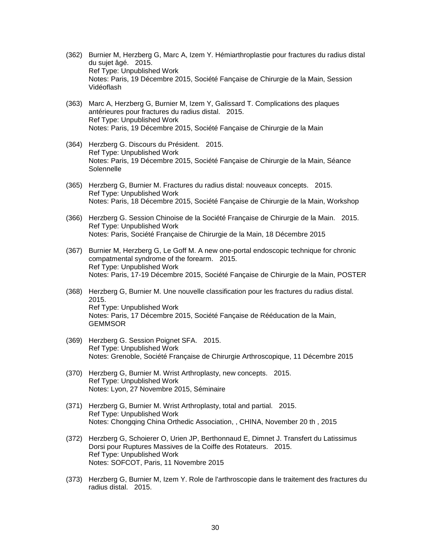- (362) Burnier M, Herzberg G, Marc A, Izem Y. Hémiarthroplastie pour fractures du radius distal du sujet âgé. 2015. Ref Type: Unpublished Work Notes: Paris, 19 Décembre 2015, Société Fançaise de Chirurgie de la Main, Session Vidéoflash
- (363) Marc A, Herzberg G, Burnier M, Izem Y, Galissard T. Complications des plaques antérieures pour fractures du radius distal. 2015. Ref Type: Unpublished Work Notes: Paris, 19 Décembre 2015, Société Fançaise de Chirurgie de la Main
- (364) Herzberg G. Discours du Président. 2015. Ref Type: Unpublished Work Notes: Paris, 19 Décembre 2015, Société Fançaise de Chirurgie de la Main, Séance **Solennelle**
- (365) Herzberg G, Burnier M. Fractures du radius distal: nouveaux concepts. 2015. Ref Type: Unpublished Work Notes: Paris, 18 Décembre 2015, Société Fançaise de Chirurgie de la Main, Workshop
- (366) Herzberg G. Session Chinoise de la Société Française de Chirurgie de la Main. 2015. Ref Type: Unpublished Work Notes: Paris, Société Française de Chirurgie de la Main, 18 Décembre 2015
- (367) Burnier M, Herzberg G, Le Goff M. A new one-portal endoscopic technique for chronic compatmental syndrome of the forearm. 2015. Ref Type: Unpublished Work Notes: Paris, 17-19 Décembre 2015, Société Fançaise de Chirurgie de la Main, POSTER
- (368) Herzberg G, Burnier M. Une nouvelle classification pour les fractures du radius distal. 2015. Ref Type: Unpublished Work Notes: Paris, 17 Décembre 2015, Société Fançaise de Rééducation de la Main, **GEMMSOR**
- (369) Herzberg G. Session Poignet SFA. 2015. Ref Type: Unpublished Work Notes: Grenoble, Société Française de Chirurgie Arthroscopique, 11 Décembre 2015
- (370) Herzberg G, Burnier M. Wrist Arthroplasty, new concepts. 2015. Ref Type: Unpublished Work Notes: Lyon, 27 Novembre 2015, Séminaire
- (371) Herzberg G, Burnier M. Wrist Arthroplasty, total and partial. 2015. Ref Type: Unpublished Work Notes: Chongqing China Orthedic Association, , CHINA, November 20 th , 2015
- (372) Herzberg G, Schoierer O, Urien JP, Berthonnaud E, Dimnet J. Transfert du Latissimus Dorsi pour Ruptures Massives de la Coiffe des Rotateurs. 2015. Ref Type: Unpublished Work Notes: SOFCOT, Paris, 11 Novembre 2015
- (373) Herzberg G, Burnier M, Izem Y. Role de l'arthroscopie dans le traitement des fractures du radius distal. 2015.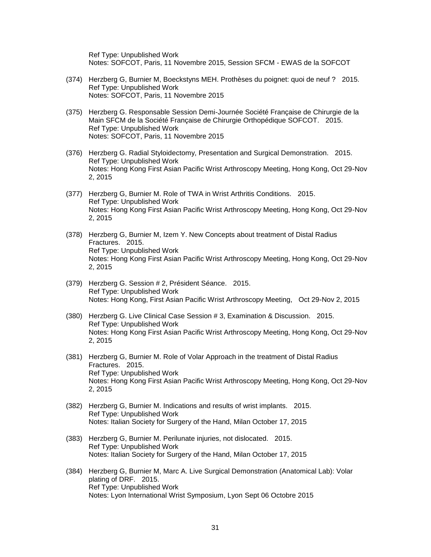Ref Type: Unpublished Work Notes: SOFCOT, Paris, 11 Novembre 2015, Session SFCM - EWAS de la SOFCOT

- (374) Herzberg G, Burnier M, Boeckstyns MEH. Prothèses du poignet: quoi de neuf ? 2015. Ref Type: Unpublished Work Notes: SOFCOT, Paris, 11 Novembre 2015
- (375) Herzberg G. Responsable Session Demi-Journée Société Française de Chirurgie de la Main SFCM de la Société Française de Chirurgie Orthopédique SOFCOT. 2015. Ref Type: Unpublished Work Notes: SOFCOT, Paris, 11 Novembre 2015
- (376) Herzberg G. Radial Styloidectomy, Presentation and Surgical Demonstration. 2015. Ref Type: Unpublished Work Notes: Hong Kong First Asian Pacific Wrist Arthroscopy Meeting, Hong Kong, Oct 29-Nov 2, 2015
- (377) Herzberg G, Burnier M. Role of TWA in Wrist Arthritis Conditions. 2015. Ref Type: Unpublished Work Notes: Hong Kong First Asian Pacific Wrist Arthroscopy Meeting, Hong Kong, Oct 29-Nov 2, 2015
- (378) Herzberg G, Burnier M, Izem Y. New Concepts about treatment of Distal Radius Fractures. 2015. Ref Type: Unpublished Work Notes: Hong Kong First Asian Pacific Wrist Arthroscopy Meeting, Hong Kong, Oct 29-Nov 2, 2015
- (379) Herzberg G. Session # 2, Président Séance. 2015. Ref Type: Unpublished Work Notes: Hong Kong, First Asian Pacific Wrist Arthroscopy Meeting, Oct 29-Nov 2, 2015
- (380) Herzberg G. Live Clinical Case Session # 3, Examination & Discussion. 2015. Ref Type: Unpublished Work Notes: Hong Kong First Asian Pacific Wrist Arthroscopy Meeting, Hong Kong, Oct 29-Nov 2, 2015
- (381) Herzberg G, Burnier M. Role of Volar Approach in the treatment of Distal Radius Fractures. 2015. Ref Type: Unpublished Work Notes: Hong Kong First Asian Pacific Wrist Arthroscopy Meeting, Hong Kong, Oct 29-Nov 2, 2015
- (382) Herzberg G, Burnier M. Indications and results of wrist implants. 2015. Ref Type: Unpublished Work Notes: Italian Society for Surgery of the Hand, Milan October 17, 2015
- (383) Herzberg G, Burnier M. Perilunate injuries, not dislocated. 2015. Ref Type: Unpublished Work Notes: Italian Society for Surgery of the Hand, Milan October 17, 2015
- (384) Herzberg G, Burnier M, Marc A. Live Surgical Demonstration (Anatomical Lab): Volar plating of DRF. 2015. Ref Type: Unpublished Work Notes: Lyon International Wrist Symposium, Lyon Sept 06 Octobre 2015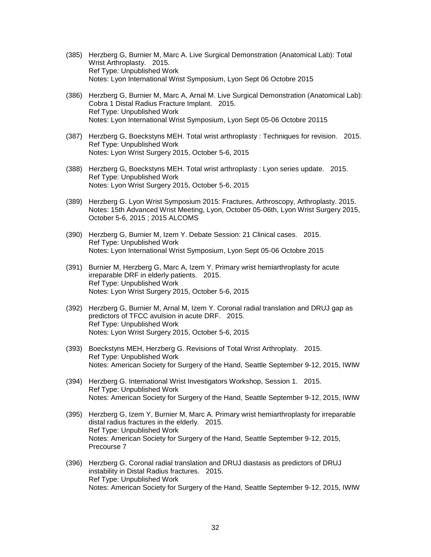- (385) Herzberg G, Burnier M, Marc A. Live Surgical Demonstration (Anatomical Lab): Total Wrist Arthroplasty. 2015. Ref Type: Unpublished Work Notes: Lyon International Wrist Symposium, Lyon Sept 06 Octobre 2015
- (386) Herzberg G, Burnier M, Marc A, Arnal M. Live Surgical Demonstration (Anatomical Lab): Cobra 1 Distal Radius Fracture Implant. 2015. Ref Type: Unpublished Work Notes: Lyon International Wrist Symposium, Lyon Sept 05-06 Octobre 20115
- (387) Herzberg G, Boeckstyns MEH. Total wrist arthroplasty : Techniques for revision. 2015. Ref Type: Unpublished Work Notes: Lyon Wrist Surgery 2015, October 5-6, 2015
- (388) Herzberg G, Boeckstyns MEH. Total wrist arthroplasty : Lyon series update. 2015. Ref Type: Unpublished Work Notes: Lyon Wrist Surgery 2015, October 5-6, 2015
- (389) Herzberg G. Lyon Wrist Symposium 2015: Fractures, Arthroscopy, Arthroplasty. 2015. Notes: 15th Advanced Wrist Meeting, Lyon, October 05-06th, Lyon Wrist Surgery 2015, October 5-6, 2015 ; 2015 ALCOMS
- (390) Herzberg G, Burnier M, Izem Y. Debate Session: 21 Clinical cases. 2015. Ref Type: Unpublished Work Notes: Lyon International Wrist Symposium, Lyon Sept 05-06 Octobre 2015
- (391) Burnier M, Herzberg G, Marc A, Izem Y. Primary wrist hemiarthroplasty for acute irreparable DRF in elderly patients. 2015. Ref Type: Unpublished Work Notes: Lyon Wrist Surgery 2015, October 5-6, 2015
- (392) Herzberg G, Burnier M, Arnal M, Izem Y. Coronal radial translation and DRUJ gap as predictors of TFCC avulsion in acute DRF. 2015. Ref Type: Unpublished Work Notes: Lyon Wrist Surgery 2015, October 5-6, 2015
- (393) Boeckstyns MEH, Herzberg G. Revisions of Total Wrist Arthroplaty. 2015. Ref Type: Unpublished Work Notes: American Society for Surgery of the Hand, Seattle September 9-12, 2015, IWIW
- (394) Herzberg G. International Wrist Investigators Workshop, Session 1. 2015. Ref Type: Unpublished Work Notes: American Society for Surgery of the Hand, Seattle September 9-12, 2015, IWIW
- (395) Herzberg G, Izem Y, Burnier M, Marc A. Primary wrist hemiarthroplasty for irreparable distal radius fractures in the elderly. 2015. Ref Type: Unpublished Work Notes: American Society for Surgery of the Hand, Seattle September 9-12, 2015, Precourse 7
- (396) Herzberg G. Coronal radial translation and DRUJ diastasis as predictors of DRUJ instability in Distal Radius fractures. 2015. Ref Type: Unpublished Work Notes: American Society for Surgery of the Hand, Seattle September 9-12, 2015, IWIW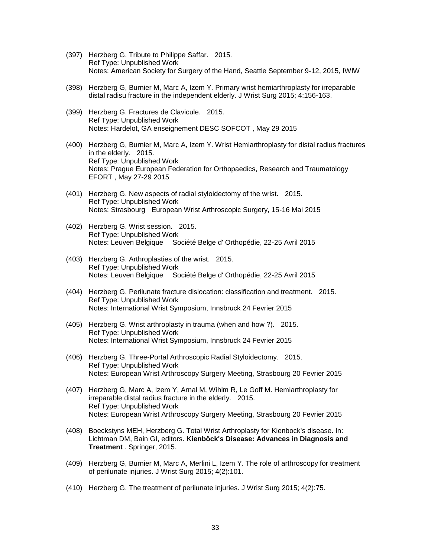- (397) Herzberg G. Tribute to Philippe Saffar. 2015. Ref Type: Unpublished Work Notes: American Society for Surgery of the Hand, Seattle September 9-12, 2015, IWIW
- (398) Herzberg G, Burnier M, Marc A, Izem Y. Primary wrist hemiarthroplasty for irreparable distal radisu fracture in the independent elderly. J Wrist Surg 2015; 4:156-163.
- (399) Herzberg G. Fractures de Clavicule. 2015. Ref Type: Unpublished Work Notes: Hardelot, GA enseignement DESC SOFCOT , May 29 2015
- (400) Herzberg G, Burnier M, Marc A, Izem Y. Wrist Hemiarthroplasty for distal radius fractures in the elderly. 2015. Ref Type: Unpublished Work Notes: Prague European Federation for Orthopaedics, Research and Traumatology EFORT , May 27-29 2015
- (401) Herzberg G. New aspects of radial styloidectomy of the wrist. 2015. Ref Type: Unpublished Work Notes: Strasbourg European Wrist Arthroscopic Surgery, 15-16 Mai 2015
- (402) Herzberg G. Wrist session. 2015. Ref Type: Unpublished Work Notes: Leuven Belgique Société Belge d' Orthopédie, 22-25 Avril 2015
- (403) Herzberg G. Arthroplasties of the wrist. 2015. Ref Type: Unpublished Work Notes: Leuven Belgique Société Belge d' Orthopédie, 22-25 Avril 2015
- (404) Herzberg G. Perilunate fracture dislocation: classification and treatment. 2015. Ref Type: Unpublished Work Notes: International Wrist Symposium, Innsbruck 24 Fevrier 2015
- (405) Herzberg G. Wrist arthroplasty in trauma (when and how ?). 2015. Ref Type: Unpublished Work Notes: International Wrist Symposium, Innsbruck 24 Fevrier 2015
- (406) Herzberg G. Three-Portal Arthroscopic Radial Styloidectomy. 2015. Ref Type: Unpublished Work Notes: European Wrist Arthroscopy Surgery Meeting, Strasbourg 20 Fevrier 2015
- (407) Herzberg G, Marc A, Izem Y, Arnal M, Wihlm R, Le Goff M. Hemiarthroplasty for irreparable distal radius fracture in the elderly. 2015. Ref Type: Unpublished Work Notes: European Wrist Arthroscopy Surgery Meeting, Strasbourg 20 Fevrier 2015
- (408) Boeckstyns MEH, Herzberg G. Total Wrist Arthroplasty for Kienbock's disease. In: Lichtman DM, Bain GI, editors. **Kienböck's Disease: Advances in Diagnosis and Treatment** . Springer, 2015.
- (409) Herzberg G, Burnier M, Marc A, Merlini L, Izem Y. The role of arthroscopy for treatment of perilunate injuries. J Wrist Surg 2015; 4(2):101.
- (410) Herzberg G. The treatment of perilunate injuries. J Wrist Surg 2015; 4(2):75.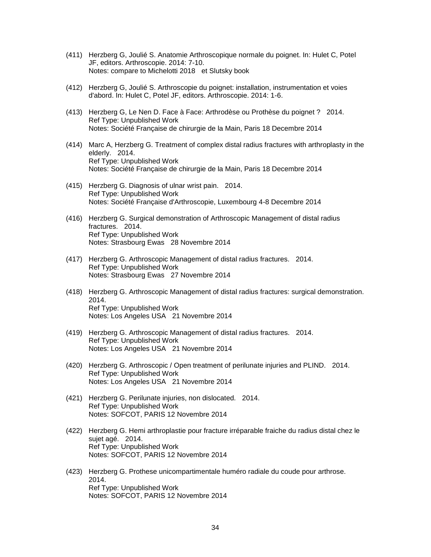- (411) Herzberg G, Joulié S. Anatomie Arthroscopique normale du poignet. In: Hulet C, Potel JF, editors. Arthroscopie. 2014: 7-10. Notes: compare to Michelotti 2018 et Slutsky book
- (412) Herzberg G, Joulié S. Arthroscopie du poignet: installation, instrumentation et voies d'abord. In: Hulet C, Potel JF, editors. Arthroscopie. 2014: 1-6.
- (413) Herzberg G, Le Nen D. Face à Face: Arthrodèse ou Prothèse du poignet ? 2014. Ref Type: Unpublished Work Notes: Société Française de chirurgie de la Main, Paris 18 Decembre 2014
- (414) Marc A, Herzberg G. Treatment of complex distal radius fractures with arthroplasty in the elderly. 2014. Ref Type: Unpublished Work Notes: Société Française de chirurgie de la Main, Paris 18 Decembre 2014
- (415) Herzberg G. Diagnosis of ulnar wrist pain. 2014. Ref Type: Unpublished Work Notes: Société Française d'Arthroscopie, Luxembourg 4-8 Decembre 2014
- (416) Herzberg G. Surgical demonstration of Arthroscopic Management of distal radius fractures. 2014. Ref Type: Unpublished Work Notes: Strasbourg Ewas 28 Novembre 2014
- (417) Herzberg G. Arthroscopic Management of distal radius fractures. 2014. Ref Type: Unpublished Work Notes: Strasbourg Ewas 27 Novembre 2014
- (418) Herzberg G. Arthroscopic Management of distal radius fractures: surgical demonstration. 2014. Ref Type: Unpublished Work Notes: Los Angeles USA 21 Novembre 2014
- (419) Herzberg G. Arthroscopic Management of distal radius fractures. 2014. Ref Type: Unpublished Work Notes: Los Angeles USA 21 Novembre 2014
- (420) Herzberg G. Arthroscopic / Open treatment of perilunate injuries and PLIND. 2014. Ref Type: Unpublished Work Notes: Los Angeles USA 21 Novembre 2014
- (421) Herzberg G. Perilunate injuries, non dislocated. 2014. Ref Type: Unpublished Work Notes: SOFCOT, PARIS 12 Novembre 2014
- (422) Herzberg G. Hemi arthroplastie pour fracture irréparable fraiche du radius distal chez le sujet agé. 2014. Ref Type: Unpublished Work Notes: SOFCOT, PARIS 12 Novembre 2014
- (423) Herzberg G. Prothese unicompartimentale huméro radiale du coude pour arthrose. 2014. Ref Type: Unpublished Work Notes: SOFCOT, PARIS 12 Novembre 2014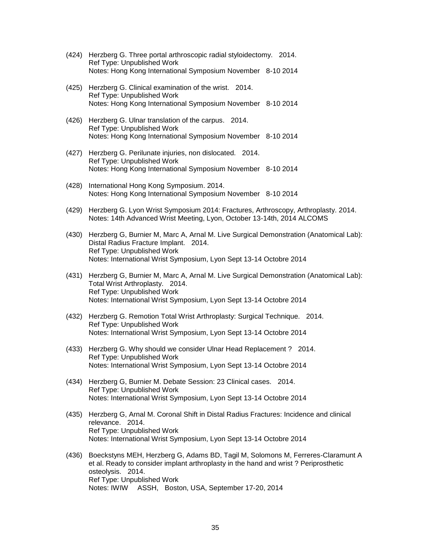- (424) Herzberg G. Three portal arthroscopic radial styloidectomy. 2014. Ref Type: Unpublished Work Notes: Hong Kong International Symposium November 8-10 2014
- (425) Herzberg G. Clinical examination of the wrist. 2014. Ref Type: Unpublished Work Notes: Hong Kong International Symposium November 8-10 2014
- (426) Herzberg G. Ulnar translation of the carpus. 2014. Ref Type: Unpublished Work Notes: Hong Kong International Symposium November 8-10 2014
- (427) Herzberg G. Perilunate injuries, non dislocated. 2014. Ref Type: Unpublished Work Notes: Hong Kong International Symposium November 8-10 2014
- (428) International Hong Kong Symposium. 2014. Notes: Hong Kong International Symposium November 8-10 2014
- (429) Herzberg G. Lyon Wrist Symposium 2014: Fractures, Arthroscopy, Arthroplasty. 2014. Notes: 14th Advanced Wrist Meeting, Lyon, October 13-14th, 2014 ALCOMS
- (430) Herzberg G, Burnier M, Marc A, Arnal M. Live Surgical Demonstration (Anatomical Lab): Distal Radius Fracture Implant. 2014. Ref Type: Unpublished Work Notes: International Wrist Symposium, Lyon Sept 13-14 Octobre 2014
- (431) Herzberg G, Burnier M, Marc A, Arnal M. Live Surgical Demonstration (Anatomical Lab): Total Wrist Arthroplasty. 2014. Ref Type: Unpublished Work Notes: International Wrist Symposium, Lyon Sept 13-14 Octobre 2014
- (432) Herzberg G. Remotion Total Wrist Arthroplasty: Surgical Technique. 2014. Ref Type: Unpublished Work Notes: International Wrist Symposium, Lyon Sept 13-14 Octobre 2014
- (433) Herzberg G. Why should we consider Ulnar Head Replacement ? 2014. Ref Type: Unpublished Work Notes: International Wrist Symposium, Lyon Sept 13-14 Octobre 2014
- (434) Herzberg G, Burnier M. Debate Session: 23 Clinical cases. 2014. Ref Type: Unpublished Work Notes: International Wrist Symposium, Lyon Sept 13-14 Octobre 2014
- (435) Herzberg G, Arnal M. Coronal Shift in Distal Radius Fractures: Incidence and clinical relevance. 2014. Ref Type: Unpublished Work Notes: International Wrist Symposium, Lyon Sept 13-14 Octobre 2014
- (436) Boeckstyns MEH, Herzberg G, Adams BD, Tagil M, Solomons M, Ferreres-Claramunt A et al. Ready to consider implant arthroplasty in the hand and wrist ? Periprosthetic osteolysis. 2014. Ref Type: Unpublished Work Notes: IWIW ASSH, Boston, USA, September 17-20, 2014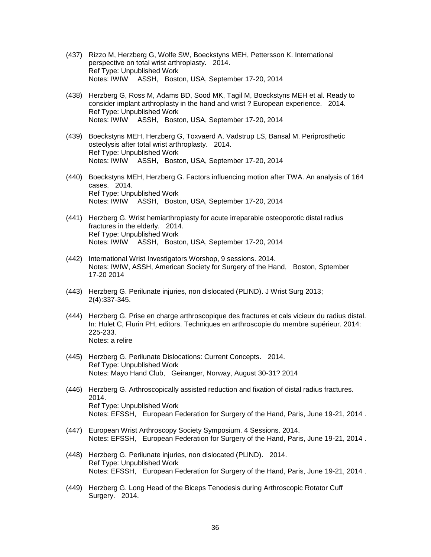- (437) Rizzo M, Herzberg G, Wolfe SW, Boeckstyns MEH, Pettersson K. International perspective on total wrist arthroplasty. 2014. Ref Type: Unpublished Work Notes: IWIW ASSH, Boston, USA, September 17-20, 2014
- (438) Herzberg G, Ross M, Adams BD, Sood MK, Tagil M, Boeckstyns MEH et al. Ready to consider implant arthroplasty in the hand and wrist ? European experience. 2014. Ref Type: Unpublished Work Notes: IWIW ASSH, Boston, USA, September 17-20, 2014
- (439) Boeckstyns MEH, Herzberg G, Toxvaerd A, Vadstrup LS, Bansal M. Periprosthetic osteolysis after total wrist arthroplasty. 2014. Ref Type: Unpublished Work Notes: IWIW ASSH, Boston, USA, September 17-20, 2014
- (440) Boeckstyns MEH, Herzberg G. Factors influencing motion after TWA. An analysis of 164 cases. 2014. Ref Type: Unpublished Work Notes: IWIW ASSH, Boston, USA, September 17-20, 2014
- (441) Herzberg G. Wrist hemiarthroplasty for acute irreparable osteoporotic distal radius fractures in the elderly. 2014. Ref Type: Unpublished Work Notes: IWIW ASSH, Boston, USA, September 17-20, 2014
- (442) International Wrist Investigators Worshop, 9 sessions. 2014. Notes: IWIW, ASSH, American Society for Surgery of the Hand, Boston, Sptember 17-20 2014
- (443) Herzberg G. Perilunate injuries, non dislocated (PLIND). J Wrist Surg 2013; 2(4):337-345.
- (444) Herzberg G. Prise en charge arthroscopique des fractures et cals vicieux du radius distal. In: Hulet C, Flurin PH, editors. Techniques en arthroscopie du membre supérieur. 2014: 225-233. Notes: a relire
- (445) Herzberg G. Perilunate Dislocations: Current Concepts. 2014. Ref Type: Unpublished Work Notes: Mayo Hand Club, Geiranger, Norway, August 30-31? 2014
- (446) Herzberg G. Arthroscopically assisted reduction and fixation of distal radius fractures. 2014. Ref Type: Unpublished Work Notes: EFSSH, European Federation for Surgery of the Hand, Paris, June 19-21, 2014 .
- (447) European Wrist Arthroscopy Society Symposium. 4 Sessions. 2014. Notes: EFSSH, European Federation for Surgery of the Hand, Paris, June 19-21, 2014 .
- (448) Herzberg G. Perilunate injuries, non dislocated (PLIND). 2014. Ref Type: Unpublished Work Notes: EFSSH, European Federation for Surgery of the Hand, Paris, June 19-21, 2014 .
- (449) Herzberg G. Long Head of the Biceps Tenodesis during Arthroscopic Rotator Cuff Surgery. 2014.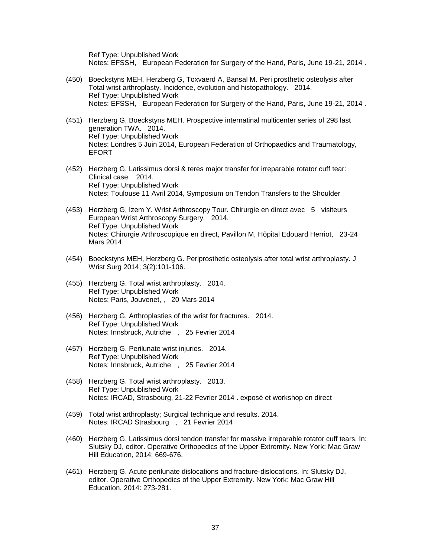Ref Type: Unpublished Work Notes: EFSSH, European Federation for Surgery of the Hand, Paris, June 19-21, 2014 .

- (450) Boeckstyns MEH, Herzberg G, Toxvaerd A, Bansal M. Peri prosthetic osteolysis after Total wrist arthroplasty. Incidence, evolution and histopathology. 2014. Ref Type: Unpublished Work Notes: EFSSH, European Federation for Surgery of the Hand, Paris, June 19-21, 2014 .
- (451) Herzberg G, Boeckstyns MEH. Prospective internatinal multicenter series of 298 last generation TWA. 2014. Ref Type: Unpublished Work Notes: Londres 5 Juin 2014, European Federation of Orthopaedics and Traumatology, **EFORT**
- (452) Herzberg G. Latissimus dorsi & teres major transfer for irreparable rotator cuff tear: Clinical case. 2014. Ref Type: Unpublished Work Notes: Toulouse 11 Avril 2014, Symposium on Tendon Transfers to the Shoulder
- (453) Herzberg G, Izem Y. Wrist Arthroscopy Tour. Chirurgie en direct avec 5 visiteurs European Wrist Arthroscopy Surgery. 2014. Ref Type: Unpublished Work Notes: Chirurgie Arthroscopique en direct, Pavillon M, Hôpital Edouard Herriot, 23-24 Mars 2014
- (454) Boeckstyns MEH, Herzberg G. Periprosthetic osteolysis after total wrist arthroplasty. J Wrist Surg 2014; 3(2):101-106.
- (455) Herzberg G. Total wrist arthroplasty. 2014. Ref Type: Unpublished Work Notes: Paris, Jouvenet, , 20 Mars 2014
- (456) Herzberg G. Arthroplasties of the wrist for fractures. 2014. Ref Type: Unpublished Work Notes: Innsbruck, Autriche , 25 Fevrier 2014
- (457) Herzberg G. Perilunate wrist injuries. 2014. Ref Type: Unpublished Work Notes: Innsbruck, Autriche , 25 Fevrier 2014
- (458) Herzberg G. Total wrist arthroplasty. 2013. Ref Type: Unpublished Work Notes: IRCAD, Strasbourg, 21-22 Fevrier 2014 . exposé et workshop en direct
- (459) Total wrist arthroplasty; Surgical technique and results. 2014. Notes: IRCAD Strasbourg , 21 Fevrier 2014
- (460) Herzberg G. Latissimus dorsi tendon transfer for massive irreparable rotator cuff tears. In: Slutsky DJ, editor. Operative Orthopedics of the Upper Extremity. New York: Mac Graw Hill Education, 2014: 669-676.
- (461) Herzberg G. Acute perilunate dislocations and fracture-dislocations. In: Slutsky DJ, editor. Operative Orthopedics of the Upper Extremity. New York: Mac Graw Hill Education, 2014: 273-281.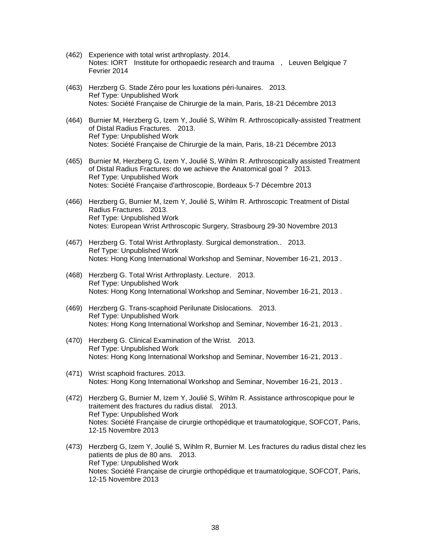- (462) Experience with total wrist arthroplasty. 2014. Notes: IORT Institute for orthopaedic research and trauma , Leuven Belgique 7 Fevrier 2014
- (463) Herzberg G. Stade Zéro pour les luxations péri-lunaires. 2013. Ref Type: Unpublished Work Notes: Société Française de Chirurgie de la main, Paris, 18-21 Décembre 2013
- (464) Burnier M, Herzberg G, Izem Y, Joulié S, Wihlm R. Arthroscopically-assisted Treatment of Distal Radius Fractures. 2013. Ref Type: Unpublished Work Notes: Société Française de Chirurgie de la main, Paris, 18-21 Décembre 2013
- (465) Burnier M, Herzberg G, Izem Y, Joulié S, Wihlm R. Arthroscopically assisted Treatment of Distal Radius Fractures: do we achieve the Anatomical goal ? 2013. Ref Type: Unpublished Work Notes: Société Française d'arthroscopie, Bordeaux 5-7 Décembre 2013
- (466) Herzberg G, Burnier M, Izem Y, Joulié S, Wihlm R. Arthroscopic Treatment of Distal Radius Fractures. 2013. Ref Type: Unpublished Work Notes: European Wrist Arthroscopic Surgery, Strasbourg 29-30 Novembre 2013
- (467) Herzberg G. Total Wrist Arthroplasty. Surgical demonstration.. 2013. Ref Type: Unpublished Work Notes: Hong Kong International Workshop and Seminar, November 16-21, 2013 .
- (468) Herzberg G. Total Wrist Arthroplasty. Lecture. 2013. Ref Type: Unpublished Work Notes: Hong Kong International Workshop and Seminar, November 16-21, 2013 .
- (469) Herzberg G. Trans-scaphoid Perilunate Dislocations. 2013. Ref Type: Unpublished Work Notes: Hong Kong International Workshop and Seminar, November 16-21, 2013 .
- (470) Herzberg G. Clinical Examination of the Wrist. 2013. Ref Type: Unpublished Work Notes: Hong Kong International Workshop and Seminar, November 16-21, 2013 .
- (471) Wrist scaphoid fractures. 2013. Notes: Hong Kong International Workshop and Seminar, November 16-21, 2013 .
- (472) Herzberg G, Burnier M, Izem Y, Joulié S, Wihlm R. Assistance arthroscopique pour le traitement des fractures du radius distal. 2013. Ref Type: Unpublished Work Notes: Société Française de cirurgie orthopédique et traumatologique, SOFCOT, Paris, 12-15 Novembre 2013
- (473) Herzberg G, Izem Y, Joulié S, Wihlm R, Burnier M. Les fractures du radius distal chez les patients de plus de 80 ans. 2013. Ref Type: Unpublished Work Notes: Société Française de cirurgie orthopédique et traumatologique, SOFCOT, Paris, 12-15 Novembre 2013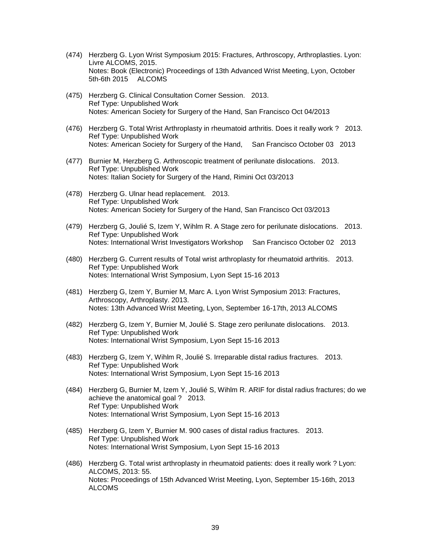- (474) Herzberg G. Lyon Wrist Symposium 2015: Fractures, Arthroscopy, Arthroplasties. Lyon: Livre ALCOMS, 2015. Notes: Book (Electronic) Proceedings of 13th Advanced Wrist Meeting, Lyon, October 5th-6th 2015 ALCOMS
- (475) Herzberg G. Clinical Consultation Corner Session. 2013. Ref Type: Unpublished Work Notes: American Society for Surgery of the Hand, San Francisco Oct 04/2013
- (476) Herzberg G. Total Wrist Arthroplasty in rheumatoid arthritis. Does it really work ? 2013. Ref Type: Unpublished Work Notes: American Society for Surgery of the Hand, San Francisco October 03 2013
- (477) Burnier M, Herzberg G. Arthroscopic treatment of perilunate dislocations. 2013. Ref Type: Unpublished Work Notes: Italian Society for Surgery of the Hand, Rimini Oct 03/2013
- (478) Herzberg G. Ulnar head replacement. 2013. Ref Type: Unpublished Work Notes: American Society for Surgery of the Hand, San Francisco Oct 03/2013
- (479) Herzberg G, Joulié S, Izem Y, Wihlm R. A Stage zero for perilunate dislocations. 2013. Ref Type: Unpublished Work Notes: International Wrist Investigators Workshop San Francisco October 02 2013
- (480) Herzberg G. Current results of Total wrist arthroplasty for rheumatoid arthritis. 2013. Ref Type: Unpublished Work Notes: International Wrist Symposium, Lyon Sept 15-16 2013
- (481) Herzberg G, Izem Y, Burnier M, Marc A. Lyon Wrist Symposium 2013: Fractures, Arthroscopy, Arthroplasty. 2013. Notes: 13th Advanced Wrist Meeting, Lyon, September 16-17th, 2013 ALCOMS
- (482) Herzberg G, Izem Y, Burnier M, Joulié S. Stage zero perilunate dislocations. 2013. Ref Type: Unpublished Work Notes: International Wrist Symposium, Lyon Sept 15-16 2013
- (483) Herzberg G, Izem Y, Wihlm R, Joulié S. Irreparable distal radius fractures. 2013. Ref Type: Unpublished Work Notes: International Wrist Symposium, Lyon Sept 15-16 2013
- (484) Herzberg G, Burnier M, Izem Y, Joulié S, Wihlm R. ARIF for distal radius fractures; do we achieve the anatomical goal ? 2013. Ref Type: Unpublished Work Notes: International Wrist Symposium, Lyon Sept 15-16 2013
- (485) Herzberg G, Izem Y, Burnier M. 900 cases of distal radius fractures. 2013. Ref Type: Unpublished Work Notes: International Wrist Symposium, Lyon Sept 15-16 2013
- (486) Herzberg G. Total wrist arthroplasty in rheumatoid patients: does it really work ? Lyon: ALCOMS, 2013: 55. Notes: Proceedings of 15th Advanced Wrist Meeting, Lyon, September 15-16th, 2013 ALCOMS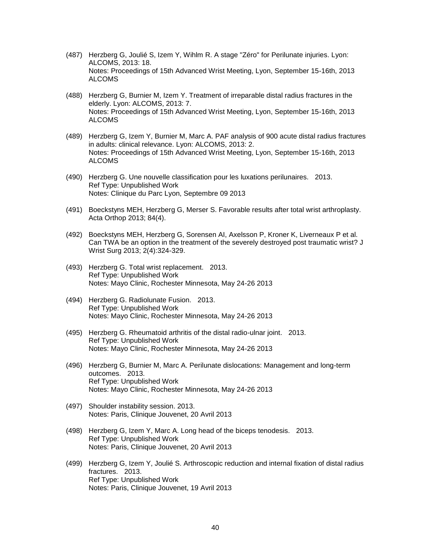- (487) Herzberg G, Joulié S, Izem Y, Wihlm R. A stage "Zéro" for Perilunate injuries. Lyon: ALCOMS, 2013: 18. Notes: Proceedings of 15th Advanced Wrist Meeting, Lyon, September 15-16th, 2013 ALCOMS
- (488) Herzberg G, Burnier M, Izem Y. Treatment of irreparable distal radius fractures in the elderly. Lyon: ALCOMS, 2013: 7. Notes: Proceedings of 15th Advanced Wrist Meeting, Lyon, September 15-16th, 2013 ALCOMS
- (489) Herzberg G, Izem Y, Burnier M, Marc A. PAF analysis of 900 acute distal radius fractures in adults: clinical relevance. Lyon: ALCOMS, 2013: 2. Notes: Proceedings of 15th Advanced Wrist Meeting, Lyon, September 15-16th, 2013 ALCOMS
- (490) Herzberg G. Une nouvelle classification pour les luxations perilunaires. 2013. Ref Type: Unpublished Work Notes: Clinique du Parc Lyon, Septembre 09 2013
- (491) Boeckstyns MEH, Herzberg G, Merser S. Favorable results after total wrist arthroplasty. Acta Orthop 2013; 84(4).
- (492) Boeckstyns MEH, Herzberg G, Sorensen AI, Axelsson P, Kroner K, Liverneaux P et al. Can TWA be an option in the treatment of the severely destroyed post traumatic wrist? J Wrist Surg 2013; 2(4):324-329.
- (493) Herzberg G. Total wrist replacement. 2013. Ref Type: Unpublished Work Notes: Mayo Clinic, Rochester Minnesota, May 24-26 2013
- (494) Herzberg G. Radiolunate Fusion. 2013. Ref Type: Unpublished Work Notes: Mayo Clinic, Rochester Minnesota, May 24-26 2013
- (495) Herzberg G. Rheumatoid arthritis of the distal radio-ulnar joint. 2013. Ref Type: Unpublished Work Notes: Mayo Clinic, Rochester Minnesota, May 24-26 2013
- (496) Herzberg G, Burnier M, Marc A. Perilunate dislocations: Management and long-term outcomes. 2013. Ref Type: Unpublished Work Notes: Mayo Clinic, Rochester Minnesota, May 24-26 2013
- (497) Shoulder instability session. 2013. Notes: Paris, Clinique Jouvenet, 20 Avril 2013
- (498) Herzberg G, Izem Y, Marc A. Long head of the biceps tenodesis. 2013. Ref Type: Unpublished Work Notes: Paris, Clinique Jouvenet, 20 Avril 2013
- (499) Herzberg G, Izem Y, Joulié S. Arthroscopic reduction and internal fixation of distal radius fractures. 2013. Ref Type: Unpublished Work Notes: Paris, Clinique Jouvenet, 19 Avril 2013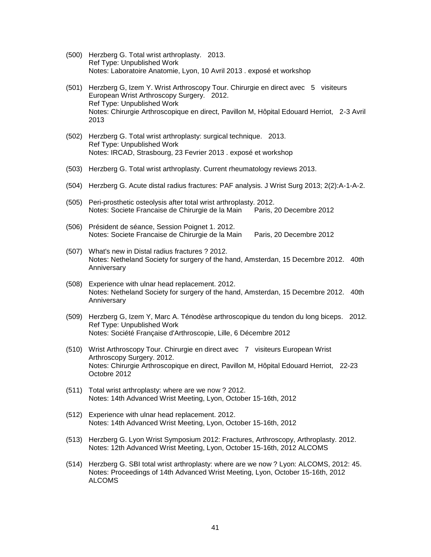- (500) Herzberg G. Total wrist arthroplasty. 2013. Ref Type: Unpublished Work Notes: Laboratoire Anatomie, Lyon, 10 Avril 2013 . exposé et workshop
- (501) Herzberg G, Izem Y. Wrist Arthroscopy Tour. Chirurgie en direct avec 5 visiteurs European Wrist Arthroscopy Surgery. 2012. Ref Type: Unpublished Work Notes: Chirurgie Arthroscopique en direct, Pavillon M, Hôpital Edouard Herriot, 2-3 Avril 2013
- (502) Herzberg G. Total wrist arthroplasty: surgical technique. 2013. Ref Type: Unpublished Work Notes: IRCAD, Strasbourg, 23 Fevrier 2013 . exposé et workshop
- (503) Herzberg G. Total wrist arthroplasty. Current rheumatology reviews 2013.
- (504) Herzberg G. Acute distal radius fractures: PAF analysis. J Wrist Surg 2013; 2(2):A-1-A-2.
- (505) Peri-prosthetic osteolysis after total wrist arthroplasty. 2012. Notes: Societe Francaise de Chirurgie de la Main Paris, 20 Decembre 2012
- (506) Président de séance, Session Poignet 1. 2012. Notes: Societe Francaise de Chirurgie de la Main Paris, 20 Decembre 2012
- (507) What's new in Distal radius fractures ? 2012. Notes: Netheland Society for surgery of the hand, Amsterdan, 15 Decembre 2012. 40th Anniversary
- (508) Experience with ulnar head replacement. 2012. Notes: Netheland Society for surgery of the hand, Amsterdan, 15 Decembre 2012. 40th Anniversary
- (509) Herzberg G, Izem Y, Marc A. Ténodèse arthroscopique du tendon du long biceps. 2012. Ref Type: Unpublished Work Notes: Société Française d'Arthroscopie, Lille, 6 Décembre 2012
- (510) Wrist Arthroscopy Tour. Chirurgie en direct avec 7 visiteurs European Wrist Arthroscopy Surgery. 2012. Notes: Chirurgie Arthroscopique en direct, Pavillon M, Hôpital Edouard Herriot, 22-23 Octobre 2012
- (511) Total wrist arthroplasty: where are we now ? 2012. Notes: 14th Advanced Wrist Meeting, Lyon, October 15-16th, 2012
- (512) Experience with ulnar head replacement. 2012. Notes: 14th Advanced Wrist Meeting, Lyon, October 15-16th, 2012
- (513) Herzberg G. Lyon Wrist Symposium 2012: Fractures, Arthroscopy, Arthroplasty. 2012. Notes: 12th Advanced Wrist Meeting, Lyon, October 15-16th, 2012 ALCOMS
- (514) Herzberg G. SBI total wrist arthroplasty: where are we now ? Lyon: ALCOMS, 2012: 45. Notes: Proceedings of 14th Advanced Wrist Meeting, Lyon, October 15-16th, 2012 ALCOMS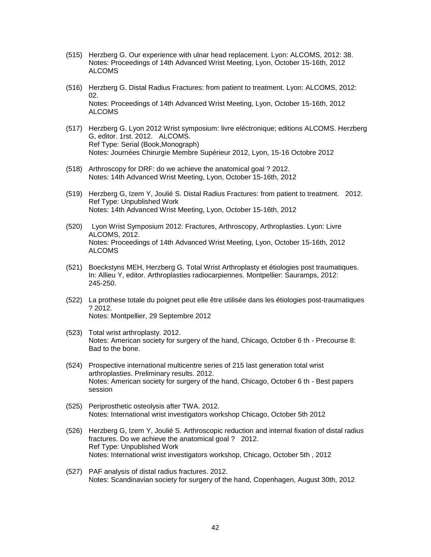- (515) Herzberg G. Our experience with ulnar head replacement. Lyon: ALCOMS, 2012: 38. Notes: Proceedings of 14th Advanced Wrist Meeting, Lyon, October 15-16th, 2012 ALCOMS
- (516) Herzberg G. Distal Radius Fractures: from patient to treatment. Lyon: ALCOMS, 2012: 02. Notes: Proceedings of 14th Advanced Wrist Meeting, Lyon, October 15-16th, 2012 ALCOMS
- (517) Herzberg G. Lyon 2012 Wrist symposium: livre eléctronique; editions ALCOMS. Herzberg G, editor. 1rst. 2012. ALCOMS. Ref Type: Serial (Book,Monograph) Notes: Journées Chirurgie Membre Supérieur 2012, Lyon, 15-16 Octobre 2012
- (518) Arthroscopy for DRF: do we achieve the anatomical goal ? 2012. Notes: 14th Advanced Wrist Meeting, Lyon, October 15-16th, 2012
- (519) Herzberg G, Izem Y, Joulié S. Distal Radius Fractures: from patient to treatment. 2012. Ref Type: Unpublished Work Notes: 14th Advanced Wrist Meeting, Lyon, October 15-16th, 2012
- (520) Lyon Wrist Symposium 2012: Fractures, Arthroscopy, Arthroplasties. Lyon: Livre ALCOMS, 2012. Notes: Proceedings of 14th Advanced Wrist Meeting, Lyon, October 15-16th, 2012 ALCOMS
- (521) Boeckstyns MEH, Herzberg G. Total Wrist Arthroplasty et étiologies post traumatiques. In: Allieu Y, editor. Arthroplasties radiocarpiennes. Montpellier: Sauramps, 2012: 245-250.
- (522) La prothese totale du poignet peut elle être utilisée dans les étiologies post-traumatiques ? 2012. Notes: Montpellier, 29 Septembre 2012
- (523) Total wrist arthroplasty. 2012. Notes: American society for surgery of the hand, Chicago, October 6 th - Precourse 8: Bad to the bone.
- (524) Prospective international multicentre series of 215 last generation total wrist arthroplasties. Preliminary results. 2012. Notes: American society for surgery of the hand, Chicago, October 6 th - Best papers session
- (525) Periprosthetic osteolysis after TWA. 2012. Notes: International wrist investigators workshop Chicago, October 5th 2012
- (526) Herzberg G, Izem Y, Joulié S. Arthroscopic reduction and internal fixation of distal radius fractures. Do we achieve the anatomical goal ? 2012. Ref Type: Unpublished Work Notes: International wrist investigators workshop, Chicago, October 5th , 2012
- (527) PAF analysis of distal radius fractures. 2012. Notes: Scandinavian society for surgery of the hand, Copenhagen, August 30th, 2012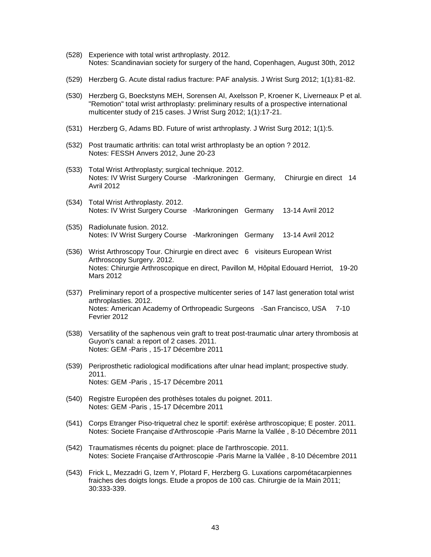- (528) Experience with total wrist arthroplasty. 2012. Notes: Scandinavian society for surgery of the hand, Copenhagen, August 30th, 2012
- (529) Herzberg G. Acute distal radius fracture: PAF analysis. J Wrist Surg 2012; 1(1):81-82.
- (530) Herzberg G, Boeckstyns MEH, Sorensen AI, Axelsson P, Kroener K, Liverneaux P et al. "Remotion" total wrist arthroplasty: preliminary results of a prospective international multicenter study of 215 cases. J Wrist Surg 2012; 1(1):17-21.
- (531) Herzberg G, Adams BD. Future of wrist arthroplasty. J Wrist Surg 2012; 1(1):5.
- (532) Post traumatic arthritis: can total wrist arthroplasty be an option ? 2012. Notes: FESSH Anvers 2012, June 20-23
- (533) Total Wrist Arthroplasty; surgical technique. 2012. Notes: IV Wrist Surgery Course -Markroningen Germany, Chirurgie en direct 14 Avril 2012
- (534) Total Wrist Arthroplasty. 2012. Notes: IV Wrist Surgery Course -Markroningen Germany 13-14 Avril 2012
- (535) Radiolunate fusion. 2012. Notes: IV Wrist Surgery Course -Markroningen Germany 13-14 Avril 2012
- (536) Wrist Arthroscopy Tour. Chirurgie en direct avec 6 visiteurs European Wrist Arthroscopy Surgery. 2012. Notes: Chirurgie Arthroscopique en direct, Pavillon M, Hôpital Edouard Herriot, 19-20 Mars 2012
- (537) Preliminary report of a prospective multicenter series of 147 last generation total wrist arthroplasties. 2012. Notes: American Academy of Orthropeadic Surgeons -San Francisco, USA 7-10 Fevrier 2012
- (538) Versatility of the saphenous vein graft to treat post-traumatic ulnar artery thrombosis at Guyon's canal: a report of 2 cases. 2011. Notes: GEM -Paris , 15-17 Décembre 2011
- (539) Periprosthetic radiological modifications after ulnar head implant; prospective study. 2011. Notes: GEM -Paris , 15-17 Décembre 2011
- (540) Registre Européen des prothèses totales du poignet. 2011. Notes: GEM -Paris , 15-17 Décembre 2011
- (541) Corps Etranger Piso-triquetral chez le sportif: exérèse arthroscopique; E poster. 2011. Notes: Societe Française d'Arthroscopie -Paris Marne la Vallée , 8-10 Décembre 2011
- (542) Traumatismes récents du poignet: place de l'arthroscopie. 2011. Notes: Societe Française d'Arthroscopie -Paris Marne la Vallée , 8-10 Décembre 2011
- (543) Frick L, Mezzadri G, Izem Y, Plotard F, Herzberg G. Luxations carpométacarpiennes fraiches des doigts longs. Etude a propos de 100 cas. Chirurgie de la Main 2011; 30:333-339.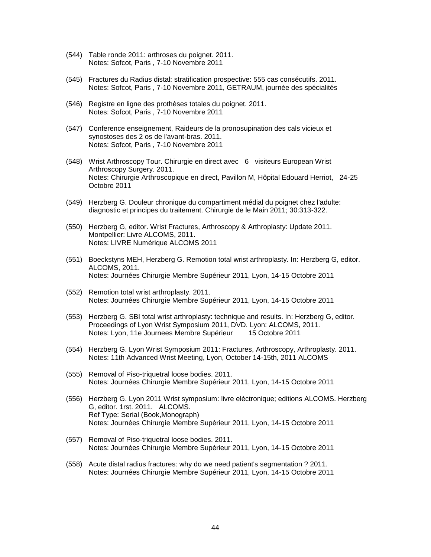- (544) Table ronde 2011: arthroses du poignet. 2011. Notes: Sofcot, Paris , 7-10 Novembre 2011
- (545) Fractures du Radius distal: stratification prospective: 555 cas consécutifs. 2011. Notes: Sofcot, Paris , 7-10 Novembre 2011, GETRAUM, journée des spécialités
- (546) Registre en ligne des prothèses totales du poignet. 2011. Notes: Sofcot, Paris , 7-10 Novembre 2011
- (547) Conference enseignement, Raideurs de la pronosupination des cals vicieux et synostoses des 2 os de l'avant-bras. 2011. Notes: Sofcot, Paris , 7-10 Novembre 2011
- (548) Wrist Arthroscopy Tour. Chirurgie en direct avec 6 visiteurs European Wrist Arthroscopy Surgery. 2011. Notes: Chirurgie Arthroscopique en direct, Pavillon M, Hôpital Edouard Herriot, 24-25 Octobre 2011
- (549) Herzberg G. Douleur chronique du compartiment médial du poignet chez l'adulte: diagnostic et principes du traitement. Chirurgie de le Main 2011; 30:313-322.
- (550) Herzberg G, editor. Wrist Fractures, Arthroscopy & Arthroplasty: Update 2011. Montpellier: Livre ALCOMS, 2011. Notes: LIVRE Numérique ALCOMS 2011
- (551) Boeckstyns MEH, Herzberg G. Remotion total wrist arthroplasty. In: Herzberg G, editor. ALCOMS, 2011. Notes: Journées Chirurgie Membre Supérieur 2011, Lyon, 14-15 Octobre 2011
- (552) Remotion total wrist arthroplasty. 2011. Notes: Journées Chirurgie Membre Supérieur 2011, Lyon, 14-15 Octobre 2011
- (553) Herzberg G. SBI total wrist arthroplasty: technique and results. In: Herzberg G, editor. Proceedings of Lyon Wrist Symposium 2011, DVD. Lyon: ALCOMS, 2011. Notes: Lyon, 11e Journees Membre Supérieur 15 Octobre 2011
- (554) Herzberg G. Lyon Wrist Symposium 2011: Fractures, Arthroscopy, Arthroplasty. 2011. Notes: 11th Advanced Wrist Meeting, Lyon, October 14-15th, 2011 ALCOMS
- (555) Removal of Piso-triquetral loose bodies. 2011. Notes: Journées Chirurgie Membre Supérieur 2011, Lyon, 14-15 Octobre 2011
- (556) Herzberg G. Lyon 2011 Wrist symposium: livre eléctronique; editions ALCOMS. Herzberg G, editor. 1rst. 2011. ALCOMS. Ref Type: Serial (Book,Monograph) Notes: Journées Chirurgie Membre Supérieur 2011, Lyon, 14-15 Octobre 2011
- (557) Removal of Piso-triquetral loose bodies. 2011. Notes: Journées Chirurgie Membre Supérieur 2011, Lyon, 14-15 Octobre 2011
- (558) Acute distal radius fractures: why do we need patient's segmentation ? 2011. Notes: Journées Chirurgie Membre Supérieur 2011, Lyon, 14-15 Octobre 2011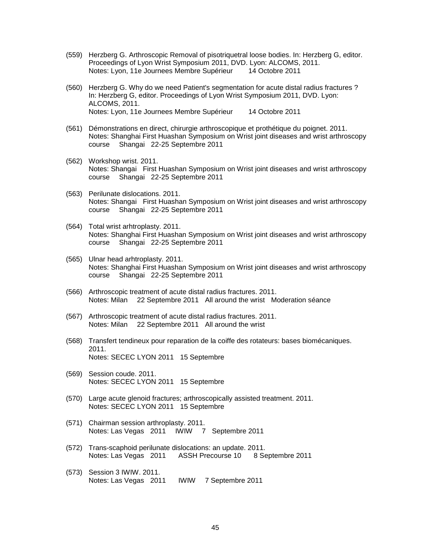- (559) Herzberg G. Arthroscopic Removal of pisotriquetral loose bodies. In: Herzberg G, editor. Proceedings of Lyon Wrist Symposium 2011, DVD. Lyon: ALCOMS, 2011. Notes: Lyon, 11e Journees Membre Supérieur 14 Octobre 2011
- (560) Herzberg G. Why do we need Patient's segmentation for acute distal radius fractures ? In: Herzberg G, editor. Proceedings of Lyon Wrist Symposium 2011, DVD. Lyon: ALCOMS, 2011. Notes: Lyon, 11e Journees Membre Supérieur 14 Octobre 2011
- (561) Démonstrations en direct, chirurgie arthroscopique et prothétique du poignet. 2011. Notes: Shanghai First Huashan Symposium on Wrist joint diseases and wrist arthroscopy course Shangai 22-25 Septembre 2011
- (562) Workshop wrist. 2011. Notes: Shangai First Huashan Symposium on Wrist joint diseases and wrist arthroscopy course Shangai 22-25 Septembre 2011
- (563) Perilunate dislocations. 2011. Notes: Shangai First Huashan Symposium on Wrist joint diseases and wrist arthroscopy course Shangai 22-25 Septembre 2011
- (564) Total wrist arhtroplasty. 2011. Notes: Shanghai First Huashan Symposium on Wrist joint diseases and wrist arthroscopy course Shangai 22-25 Septembre 2011
- (565) Ulnar head arhtroplasty. 2011. Notes: Shanghai First Huashan Symposium on Wrist joint diseases and wrist arthroscopy course Shangai 22-25 Septembre 2011
- (566) Arthroscopic treatment of acute distal radius fractures. 2011. Notes: Milan 22 Septembre 2011 All around the wrist Moderation séance
- (567) Arthroscopic treatment of acute distal radius fractures. 2011. Notes: Milan 22 Septembre 2011 All around the wrist
- (568) Transfert tendineux pour reparation de la coiffe des rotateurs: bases biomécaniques. 2011. Notes: SECEC LYON 2011 15 Septembre
- (569) Session coude. 2011. Notes: SECEC LYON 2011 15 Septembre
- (570) Large acute glenoid fractures; arthroscopically assisted treatment. 2011. Notes: SECEC LYON 2011 15 Septembre
- (571) Chairman session arthroplasty. 2011. Notes: Las Vegas 2011 IWIW 7 Septembre 2011
- (572) Trans-scaphoid perilunate dislocations: an update. 2011. Notes: Las Vegas 2011 ASSH Precourse 10 8 Septembre 2011
- (573) Session 3 IWIW. 2011. Notes: Las Vegas 2011 IWIW 7 Septembre 2011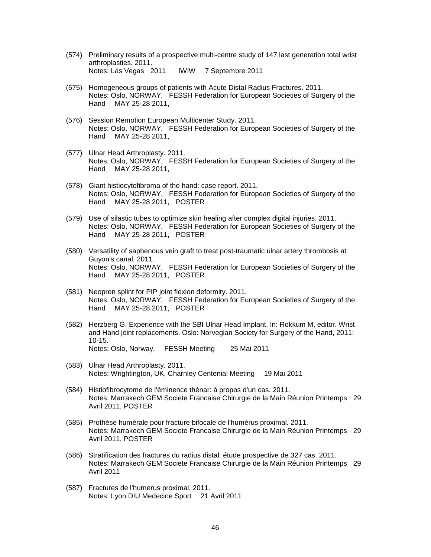- (574) Preliminary results of a prospective multi-centre study of 147 last generation total wrist arthroplasties. 2011. Notes: Las Vegas 2011 IWIW 7 Septembre 2011
- (575) Homogeneous groups of patients with Acute Distal Radius Fractures. 2011. Notes: Oslo, NORWAY, FESSH Federation for European Societies of Surgery of the Hand MAY 25-28 2011,
- (576) Session Remotion European Multicenter Study. 2011. Notes: Oslo, NORWAY, FESSH Federation for European Societies of Surgery of the Hand MAY 25-28 2011,
- (577) Ulnar Head Arthroplasty. 2011. Notes: Oslo, NORWAY, FESSH Federation for European Societies of Surgery of the Hand MAY 25-28 2011,
- (578) Giant histiocytofibroma of the hand: case report. 2011. Notes: Oslo, NORWAY, FESSH Federation for European Societies of Surgery of the Hand MAY 25-28 2011, POSTER
- (579) Use of silastic tubes to optimize skin healing after complex digital injuries. 2011. Notes: Oslo, NORWAY, FESSH Federation for European Societies of Surgery of the Hand MAY 25-28 2011, POSTER
- (580) Versatility of saphenous vein graft to treat post-traumatic ulnar artery thrombosis at Guyon's canal. 2011. Notes: Oslo, NORWAY, FESSH Federation for European Societies of Surgery of the Hand MAY 25-28 2011, POSTER
- (581) Neopren splint for PIP joint flexion deformity. 2011. Notes: Oslo, NORWAY, FESSH Federation for European Societies of Surgery of the Hand MAY 25-28 2011, POSTER
- (582) Herzberg G. Experience with the SBI Ulnar Head Implant. In: Rokkum M, editor. Wrist and Hand joint replacements. Oslo: Norvegian Society for Surgery of the Hand, 2011: 10-15. Notes: Oslo, Norway, FESSH Meeting 25 Mai 2011
- (583) Ulnar Head Arthroplasty. 2011. Notes: Wrightington, UK, Charnley Centenial Meeting 19 Mai 2011
- (584) Histiofibrocytome de l'éminence thénar: à propos d'un cas. 2011. Notes: Marrakech GEM Societe Francaise Chirurgie de la Main Réunion Printemps 29 Avril 2011, POSTER
- (585) Prothèse humérale pour fracture bifocale de l'humérus proximal. 2011. Notes: Marrakech GEM Societe Francaise Chirurgie de la Main Réunion Printemps 29 Avril 2011, POSTER
- (586) Stratification des fractures du radius distal: étude prospective de 327 cas. 2011. Notes: Marrakech GEM Societe Francaise Chirurgie de la Main Réunion Printemps 29 Avril 2011
- (587) Fractures de l'humerus proximal. 2011. Notes: Lyon DIU Medecine Sport 21 Avril 2011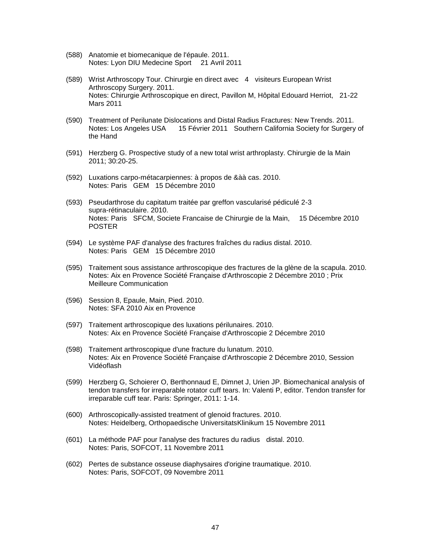- (588) Anatomie et biomecanique de l'épaule. 2011. Notes: Lyon DIU Medecine Sport 21 Avril 2011
- (589) Wrist Arthroscopy Tour. Chirurgie en direct avec 4 visiteurs European Wrist Arthroscopy Surgery. 2011. Notes: Chirurgie Arthroscopique en direct, Pavillon M, Hôpital Edouard Herriot, 21-22 Mars 2011
- (590) Treatment of Perilunate Dislocations and Distal Radius Fractures: New Trends. 2011. Notes: Los Angeles USA 15 Février 2011 Southern California Society for Surgery of the Hand
- (591) Herzberg G. Prospective study of a new total wrist arthroplasty. Chirurgie de la Main 2011; 30:20-25.
- (592) Luxations carpo-métacarpiennes: à propos de &àà cas. 2010. Notes: Paris GEM 15 Décembre 2010
- (593) Pseudarthrose du capitatum traitée par greffon vascularisé pédiculé 2-3 supra-rétinaculaire. 2010. Notes: Paris SFCM, Societe Francaise de Chirurgie de la Main, 15 Décembre 2010 POSTER
- (594) Le système PAF d'analyse des fractures fraîches du radius distal. 2010. Notes: Paris GEM 15 Décembre 2010
- (595) Traitement sous assistance arthroscopique des fractures de la glène de la scapula. 2010. Notes: Aix en Provence Société Française d'Arthroscopie 2 Décembre 2010 ; Prix Meilleure Communication
- (596) Session 8, Epaule, Main, Pied. 2010. Notes: SFA 2010 Aix en Provence
- (597) Traitement arthroscopique des luxations périlunaires. 2010. Notes: Aix en Provence Société Française d'Arthroscopie 2 Décembre 2010
- (598) Traitement arthroscopique d'une fracture du lunatum. 2010. Notes: Aix en Provence Société Française d'Arthroscopie 2 Décembre 2010, Session Vidéoflash
- (599) Herzberg G, Schoierer O, Berthonnaud E, Dimnet J, Urien JP. Biomechanical analysis of tendon transfers for irreparable rotator cuff tears. In: Valenti P, editor. Tendon transfer for irreparable cuff tear. Paris: Springer, 2011: 1-14.
- (600) Arthroscopically-assisted treatment of glenoid fractures. 2010. Notes: Heidelberg, Orthopaedische UniversitatsKlinikum 15 Novembre 2011
- (601) La méthode PAF pour l'analyse des fractures du radius distal. 2010. Notes: Paris, SOFCOT, 11 Novembre 2011
- (602) Pertes de substance osseuse diaphysaires d'origine traumatique. 2010. Notes: Paris, SOFCOT, 09 Novembre 2011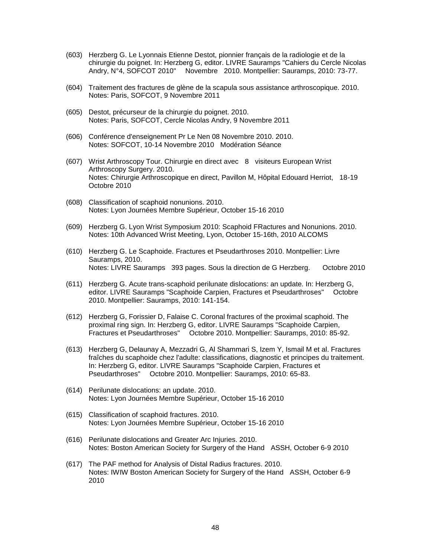- (603) Herzberg G. Le Lyonnais Etienne Destot, pionnier français de la radiologie et de la chirurgie du poignet. In: Herzberg G, editor. LIVRE Sauramps "Cahiers du Cercle Nicolas Andry, N°4, SOFCOT 2010" Novembre 2010. Montpellier: Sauramps, 2010: 73-77.
- (604) Traitement des fractures de glène de la scapula sous assistance arthroscopique. 2010. Notes: Paris, SOFCOT, 9 Novembre 2011
- (605) Destot, précurseur de la chirurgie du poignet. 2010. Notes: Paris, SOFCOT, Cercle Nicolas Andry, 9 Novembre 2011
- (606) Conférence d'enseignement Pr Le Nen 08 Novembre 2010. 2010. Notes: SOFCOT, 10-14 Novembre 2010 Modération Séance
- (607) Wrist Arthroscopy Tour. Chirurgie en direct avec 8 visiteurs European Wrist Arthroscopy Surgery. 2010. Notes: Chirurgie Arthroscopique en direct, Pavillon M, Hôpital Edouard Herriot, 18-19 Octobre 2010
- (608) Classification of scaphoid nonunions. 2010. Notes: Lyon Journées Membre Supérieur, October 15-16 2010
- (609) Herzberg G. Lyon Wrist Symposium 2010: Scaphoid FRactures and Nonunions. 2010. Notes: 10th Advanced Wrist Meeting, Lyon, October 15-16th, 2010 ALCOMS
- (610) Herzberg G. Le Scaphoide. Fractures et Pseudarthroses 2010. Montpellier: Livre Sauramps, 2010. Notes: LIVRE Sauramps 393 pages. Sous la direction de G Herzberg. Octobre 2010
- (611) Herzberg G. Acute trans-scaphoid perilunate dislocations: an update. In: Herzberg G, editor. LIVRE Sauramps "Scaphoide Carpien, Fractures et Pseudarthroses" Octobre 2010. Montpellier: Sauramps, 2010: 141-154.
- (612) Herzberg G, Forissier D, Falaise C. Coronal fractures of the proximal scaphoid. The proximal ring sign. In: Herzberg G, editor. LIVRE Sauramps "Scaphoide Carpien, Fractures et Pseudarthroses" Octobre 2010. Montpellier: Sauramps, 2010: 85-92.
- (613) Herzberg G, Delaunay A, Mezzadri G, Al Shammari S, Izem Y, Ismail M et al. Fractures fraîches du scaphoide chez l'adulte: classifications, diagnostic et principes du traitement. In: Herzberg G, editor. LIVRE Sauramps "Scaphoide Carpien, Fractures et Pseudarthroses" Octobre 2010. Montpellier: Sauramps, 2010: 65-83.
- (614) Perilunate dislocations: an update. 2010. Notes: Lyon Journées Membre Supérieur, October 15-16 2010
- (615) Classification of scaphoid fractures. 2010. Notes: Lyon Journées Membre Supérieur, October 15-16 2010
- (616) Perilunate dislocations and Greater Arc Injuries. 2010. Notes: Boston American Society for Surgery of the Hand ASSH, October 6-9 2010
- (617) The PAF method for Analysis of Distal Radius fractures. 2010. Notes: IWIW Boston American Society for Surgery of the Hand ASSH, October 6-9 2010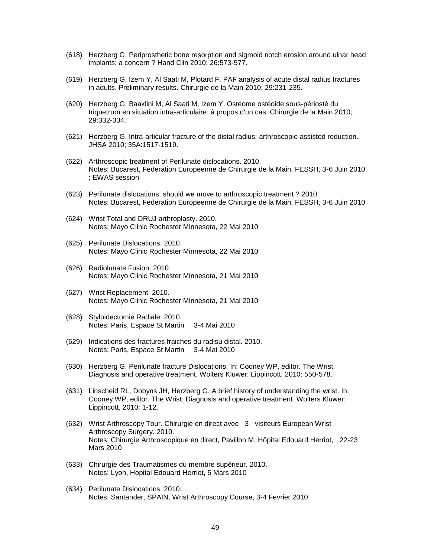- (618) Herzberg G. Periprosthetic bone resorption and sigmoid notch erosion around ulnar head implants: a concern ? Hand Clin 2010; 26:573-577.
- (619) Herzberg G, Izem Y, Al Saati M, Plotard F. PAF analysis of acute distal radius fractures in adults. Preliminary results. Chirurgie de la Main 2010; 29:231-235.
- (620) Herzberg G, Baaklini M, Al Saati M, Izem Y. Ostéome ostéoide sous-périosté du triquetrum en situation intra-articulaire: à propos d'un cas. Chirurgie de la Main 2010; 29:332-334.
- (621) Herzberg G. Intra-articular fracture of the distal radius: arthroscopic-assisted reduction. JHSA 2010; 35A:1517-1519.
- (622) Arthroscopic treatment of Perilunate dislocations. 2010. Notes: Bucarest, Federation Europeenne de Chirurgie de la Main, FESSH, 3-6 Juin 2010 ; EWAS session
- (623) Perilunate dislocations: should we move to arthroscopic treatment ? 2010. Notes: Bucarest, Federation Europeenne de Chirurgie de la Main, FESSH, 3-6 Juin 2010
- (624) Wrist Total and DRUJ arthroplasty. 2010. Notes: Mayo Clinic Rochester Minnesota, 22 Mai 2010
- (625) Perilunate Dislocations. 2010. Notes: Mayo Clinic Rochester Minnesota, 22 Mai 2010
- (626) Radiolunate Fusion. 2010. Notes: Mayo Clinic Rochester Minnesota, 21 Mai 2010
- (627) Wrist Replacement. 2010. Notes: Mayo Clinic Rochester Minnesota, 21 Mai 2010
- (628) Styloidectomie Radiale. 2010. Notes: Paris, Espace St Martin 3-4 Mai 2010
- (629) Indications des fractures fraiches du radisu distal. 2010. Notes: Paris, Espace St Martin 3-4 Mai 2010
- (630) Herzberg G. Perilunate fracture Dislocations. In: Cooney WP, editor. The Wrist. Diagnosis and operative treatment. Wolters Kluwer: Lippincott, 2010: 550-578.
- (631) Linscheid RL, Dobyns JH, Herzberg G. A brief history of understanding the wrist. In: Cooney WP, editor. The Wrist. Diagnosis and operative treatment. Wolters Kluwer: Lippincott, 2010: 1-12.
- (632) Wrist Arthroscopy Tour. Chirurgie en direct avec 3 visiteurs European Wrist Arthroscopy Surgery. 2010. Notes: Chirurgie Arthroscopique en direct, Pavillon M, Hôpital Edouard Herriot, 22-23 Mars 2010
- (633) Chirurgie des Traumatismes du membre supérieur. 2010. Notes: Lyon, Hopital Edouard Herriot, 5 Mars 2010
- (634) Perilunate Dislocations. 2010. Notes: Santander, SPAIN, Wrist Arthroscopy Course, 3-4 Fevrier 2010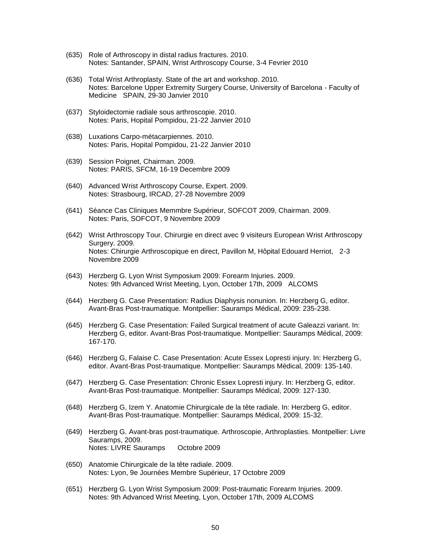- (635) Role of Arthroscopy in distal radius fractures. 2010. Notes: Santander, SPAIN, Wrist Arthroscopy Course, 3-4 Fevrier 2010
- (636) Total Wrist Arthroplasty. State of the art and workshop. 2010. Notes: Barcelone Upper Extremity Surgery Course, University of Barcelona - Faculty of Medicine SPAIN, 29-30 Janvier 2010
- (637) Styloidectomie radiale sous arthroscopie. 2010. Notes: Paris, Hopital Pompidou, 21-22 Janvier 2010
- (638) Luxations Carpo-métacarpiennes. 2010. Notes: Paris, Hopital Pompidou, 21-22 Janvier 2010
- (639) Session Poignet, Chairman. 2009. Notes: PARIS, SFCM, 16-19 Decembre 2009
- (640) Advanced Wrist Arthroscopy Course, Expert. 2009. Notes: Strasbourg, IRCAD, 27-28 Novembre 2009
- (641) Séance Cas Cliniques Memmbre Supérieur, SOFCOT 2009, Chairman. 2009. Notes: Paris, SOFCOT, 9 Novembre 2009
- (642) Wrist Arthroscopy Tour. Chirurgie en direct avec 9 visiteurs European Wrist Arthroscopy Surgery. 2009. Notes: Chirurgie Arthroscopique en direct, Pavillon M, Hôpital Edouard Herriot, 2-3 Novembre 2009
- (643) Herzberg G. Lyon Wrist Symposium 2009: Forearm Injuries. 2009. Notes: 9th Advanced Wrist Meeting, Lyon, October 17th, 2009 ALCOMS
- (644) Herzberg G. Case Presentation: Radius Diaphysis nonunion. In: Herzberg G, editor. Avant-Bras Post-traumatique. Montpellier: Sauramps Médical, 2009: 235-238.
- (645) Herzberg G. Case Presentation: Failed Surgical treatment of acute Galeazzi variant. In: Herzberg G, editor. Avant-Bras Post-traumatique. Montpellier: Sauramps Médical, 2009: 167-170.
- (646) Herzberg G, Falaise C. Case Presentation: Acute Essex Lopresti injury. In: Herzberg G, editor. Avant-Bras Post-traumatique. Montpellier: Sauramps Médical, 2009: 135-140.
- (647) Herzberg G. Case Presentation: Chronic Essex Lopresti injury. In: Herzberg G, editor. Avant-Bras Post-traumatique. Montpellier: Sauramps Médical, 2009: 127-130.
- (648) Herzberg G, Izem Y. Anatomie Chirurgicale de la tête radiale. In: Herzberg G, editor. Avant-Bras Post-traumatique. Montpellier: Sauramps Médical, 2009: 15-32.
- (649) Herzberg G. Avant-bras post-traumatique. Arthroscopie, Arthroplasties. Montpellier: Livre Sauramps, 2009. Notes: LIVRE Sauramps Octobre 2009
- (650) Anatomie Chirurgicale de la tête radiale. 2009. Notes: Lyon, 9e Journées Membre Supérieur, 17 Octobre 2009
- (651) Herzberg G. Lyon Wrist Symposium 2009: Post-traumatic Forearm Injuries. 2009. Notes: 9th Advanced Wrist Meeting, Lyon, October 17th, 2009 ALCOMS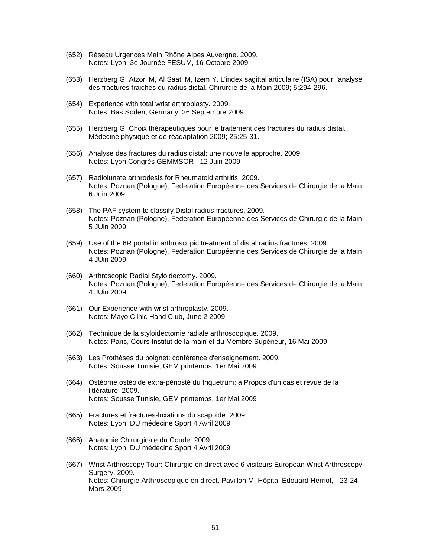- (652) Réseau Urgences Main Rhône Alpes Auvergne. 2009. Notes: Lyon, 3e Journée FESUM, 16 Octobre 2009
- (653) Herzberg G, Atzori M, Al Saati M, Izem Y. L'index sagittal articulaire (ISA) pour l'analyse des fractures fraiches du radius distal. Chirurgie de la Main 2009; 5:294-296.
- (654) Experience with total wrist arthroplasty. 2009. Notes: Bas Soden, Germany, 26 Septembre 2009
- (655) Herzberg G. Choix thérapeutiques pour le traitement des fractures du radius distal. Médecine physique et de réadaptation 2009; 25:25-31.
- (656) Analyse des fractures du radius distal: une nouvelle approche. 2009. Notes: Lyon Congrès GEMMSOR 12 Juin 2009
- (657) Radiolunate arthrodesis for Rheumatoid arthritis. 2009. Notes: Poznan (Pologne), Federation Européenne des Services de Chirurgie de la Main 6 Juin 2009
- (658) The PAF system to classify Distal radius fractures. 2009. Notes: Poznan (Pologne), Federation Européenne des Services de Chirurgie de la Main 5 JUin 2009
- (659) Use of the 6R portal in arthroscopic treatment of distal radius fractures. 2009. Notes: Poznan (Pologne), Federation Européenne des Services de Chirurgie de la Main 4 JUin 2009
- (660) Arthroscopic Radial Styloidectomy. 2009. Notes: Poznan (Pologne), Federation Européenne des Services de Chirurgie de la Main 4 JUin 2009
- (661) Our Experience with wrist arthroplasty. 2009. Notes: Mayo Clinic Hand Club, June 2 2009
- (662) Technique de la styloidectomie radiale arthroscopique. 2009. Notes: Paris, Cours Institut de la main et du Membre Supérieur, 16 Mai 2009
- (663) Les Prothèses du poignet: conférence d'enseignement. 2009. Notes: Sousse Tunisie, GEM printemps, 1er Mai 2009
- (664) Ostéome ostéoide extra-périosté du triquetrum: à Propos d'un cas et revue de la littérature. 2009. Notes: Sousse Tunisie, GEM printemps, 1er Mai 2009
- (665) Fractures et fractures-luxations du scapoide. 2009. Notes: Lyon, DU médecine Sport 4 Avril 2009
- (666) Anatomie Chirurgicale du Coude. 2009. Notes: Lyon, DU médecine Sport 4 Avril 2009
- (667) Wrist Arthroscopy Tour: Chirurgie en direct avec 6 visiteurs European Wrist Arthroscopy Surgery. 2009. Notes: Chirurgie Arthroscopique en direct, Pavillon M, Hôpital Edouard Herriot, 23-24 Mars 2009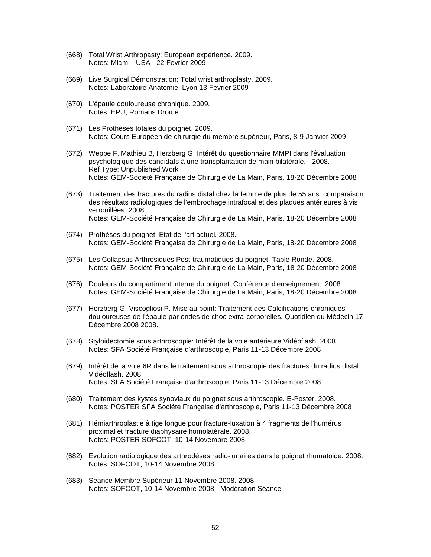- (668) Total Wrist Arthropasty: European experience. 2009. Notes: Miami USA 22 Fevrier 2009
- (669) Live Surgical Démonstration: Total wrist arthroplasty. 2009. Notes: Laboratoire Anatomie, Lyon 13 Fevrier 2009
- (670) L'épaule douloureuse chronique. 2009. Notes: EPU, Romans Drome
- (671) Les Prothèses totales du poignet. 2009. Notes: Cours Européen de chirurgie du membre supérieur, Paris, 8-9 Janvier 2009
- (672) Weppe F, Mathieu B, Herzberg G. Intérêt du questionnaire MMPI dans l'évaluation psychologique des candidats à une transplantation de main bilatérale. 2008. Ref Type: Unpublished Work Notes: GEM-Société Française de Chirurgie de La Main, Paris, 18-20 Décembre 2008
- (673) Traitement des fractures du radius distal chez la femme de plus de 55 ans: comparaison des résultats radiologiques de l'embrochage intrafocal et des plaques antérieures à vis verrouillées. 2008. Notes: GEM-Société Française de Chirurgie de La Main, Paris, 18-20 Décembre 2008
- (674) Prothèses du poignet. Etat de l'art actuel. 2008. Notes: GEM-Société Française de Chirurgie de La Main, Paris, 18-20 Décembre 2008
- (675) Les Collapsus Arthrosiques Post-traumatiques du poignet. Table Ronde. 2008. Notes: GEM-Société Française de Chirurgie de La Main, Paris, 18-20 Décembre 2008
- (676) Douleurs du compartiment interne du poignet. Conférence d'enseignement. 2008. Notes: GEM-Société Française de Chirurgie de La Main, Paris, 18-20 Décembre 2008
- (677) Herzberg G, Viscogliosi P. Mise au point: Traitement des Calcifications chroniques douloureuses de l'épaule par ondes de choc extra-corporelles. Quotidien du Médecin 17 Décembre 2008 2008.
- (678) Styloidectomie sous arthroscopie: Intérêt de la voie antérieure.Vidéoflash. 2008. Notes: SFA Société Française d'arthroscopie, Paris 11-13 Décembre 2008
- (679) Intérêt de la voie 6R dans le traitement sous arthroscopie des fractures du radius distal. Vidéoflash. 2008. Notes: SFA Société Française d'arthroscopie, Paris 11-13 Décembre 2008
- (680) Traitement des kystes synoviaux du poignet sous arthroscopie. E-Poster. 2008. Notes: POSTER SFA Société Française d'arthroscopie, Paris 11-13 Décembre 2008
- (681) Hémiarthroplastie à tige longue pour fracture-luxation à 4 fragments de l'humérus proximal et fracture diaphysaire homolatérale. 2008. Notes: POSTER SOFCOT, 10-14 Novembre 2008
- (682) Evolution radiologique des arthrodèses radio-lunaires dans le poignet rhumatoide. 2008. Notes: SOFCOT, 10-14 Novembre 2008
- (683) Séance Membre Supérieur 11 Novembre 2008. 2008. Notes: SOFCOT, 10-14 Novembre 2008 Modération Séance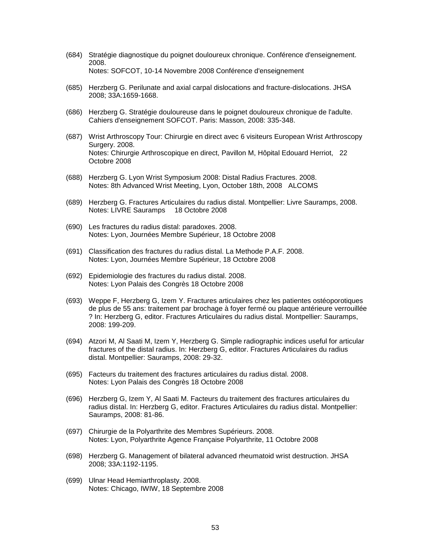- (684) Stratégie diagnostique du poignet douloureux chronique. Conférence d'enseignement. 2008. Notes: SOFCOT, 10-14 Novembre 2008 Conférence d'enseignement
- (685) Herzberg G. Perilunate and axial carpal dislocations and fracture-dislocations. JHSA 2008; 33A:1659-1668.
- (686) Herzberg G. Stratégie douloureuse dans le poignet douloureux chronique de l'adulte. Cahiers d'enseignement SOFCOT. Paris: Masson, 2008: 335-348.
- (687) Wrist Arthroscopy Tour: Chirurgie en direct avec 6 visiteurs European Wrist Arthroscopy Surgery, 2008. Notes: Chirurgie Arthroscopique en direct, Pavillon M, Hôpital Edouard Herriot, 22 Octobre 2008
- (688) Herzberg G. Lyon Wrist Symposium 2008: Distal Radius Fractures. 2008. Notes: 8th Advanced Wrist Meeting, Lyon, October 18th, 2008 ALCOMS
- (689) Herzberg G. Fractures Articulaires du radius distal. Montpellier: Livre Sauramps, 2008. Notes: LIVRE Sauramps 18 Octobre 2008
- (690) Les fractures du radius distal: paradoxes. 2008. Notes: Lyon, Journées Membre Supérieur, 18 Octobre 2008
- (691) Classification des fractures du radius distal. La Methode P.A.F. 2008. Notes: Lyon, Journées Membre Supérieur, 18 Octobre 2008
- (692) Epidemiologie des fractures du radius distal. 2008. Notes: Lyon Palais des Congrès 18 Octobre 2008
- (693) Weppe F, Herzberg G, Izem Y. Fractures articulaires chez les patientes ostéoporotiques de plus de 55 ans: traitement par brochage à foyer fermé ou plaque antérieure verrouillée ? In: Herzberg G, editor. Fractures Articulaires du radius distal. Montpellier: Sauramps, 2008: 199-209.
- (694) Atzori M, Al Saati M, Izem Y, Herzberg G. Simple radiographic indices useful for articular fractures of the distal radius. In: Herzberg G, editor. Fractures Articulaires du radius distal. Montpellier: Sauramps, 2008: 29-32.
- (695) Facteurs du traitement des fractures articulaires du radius distal. 2008. Notes: Lyon Palais des Congrès 18 Octobre 2008
- (696) Herzberg G, Izem Y, Al Saati M. Facteurs du traitement des fractures articulaires du radius distal. In: Herzberg G, editor. Fractures Articulaires du radius distal. Montpellier: Sauramps, 2008: 81-86.
- (697) Chirurgie de la Polyarthrite des Membres Supérieurs. 2008. Notes: Lyon, Polyarthrite Agence Française Polyarthrite, 11 Octobre 2008
- (698) Herzberg G. Management of bilateral advanced rheumatoid wrist destruction. JHSA 2008; 33A:1192-1195.
- (699) Ulnar Head Hemiarthroplasty. 2008. Notes: Chicago, IWIW, 18 Septembre 2008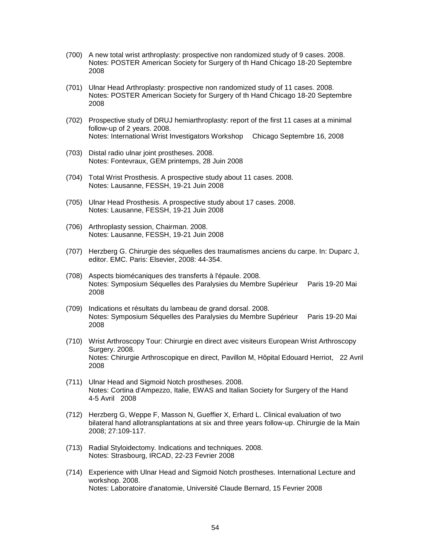- (700) A new total wrist arthroplasty: prospective non randomized study of 9 cases. 2008. Notes: POSTER American Society for Surgery of th Hand Chicago 18-20 Septembre 2008
- (701) Ulnar Head Arthroplasty: prospective non randomized study of 11 cases. 2008. Notes: POSTER American Society for Surgery of th Hand Chicago 18-20 Septembre 2008
- (702) Prospective study of DRUJ hemiarthroplasty: report of the first 11 cases at a minimal follow-up of 2 years. 2008. Notes: International Wrist Investigators Workshop Chicago Septembre 16, 2008
- (703) Distal radio ulnar joint prostheses. 2008. Notes: Fontevraux, GEM printemps, 28 Juin 2008
- (704) Total Wrist Prosthesis. A prospective study about 11 cases. 2008. Notes: Lausanne, FESSH, 19-21 Juin 2008
- (705) Ulnar Head Prosthesis. A prospective study about 17 cases. 2008. Notes: Lausanne, FESSH, 19-21 Juin 2008
- (706) Arthroplasty session, Chairman. 2008. Notes: Lausanne, FESSH, 19-21 Juin 2008
- (707) Herzberg G. Chirurgie des séquelles des traumatismes anciens du carpe. In: Duparc J, editor. EMC. Paris: Elsevier, 2008: 44-354.
- (708) Aspects biomécaniques des transferts à l'épaule. 2008. Notes: Symposium Séquelles des Paralysies du Membre Supérieur Paris 19-20 Mai 2008
- (709) Indications et résultats du lambeau de grand dorsal. 2008. Notes: Symposium Séquelles des Paralysies du Membre Supérieur Paris 19-20 Mai 2008
- (710) Wrist Arthroscopy Tour: Chirurgie en direct avec visiteurs European Wrist Arthroscopy Surgery. 2008. Notes: Chirurgie Arthroscopique en direct, Pavillon M, Hôpital Edouard Herriot, 22 Avril 2008
- (711) Ulnar Head and Sigmoid Notch prostheses. 2008. Notes: Cortina d'Ampezzo, Italie, EWAS and Italian Society for Surgery of the Hand 4-5 Avril 2008
- (712) Herzberg G, Weppe F, Masson N, Gueffier X, Erhard L. Clinical evaluation of two bilateral hand allotransplantations at six and three years follow-up. Chirurgie de la Main 2008; 27:109-117.
- (713) Radial Styloidectomy. Indications and techniques. 2008. Notes: Strasbourg, IRCAD, 22-23 Fevrier 2008
- (714) Experience with Ulnar Head and Sigmoid Notch prostheses. International Lecture and workshop. 2008. Notes: Laboratoire d'anatomie, Université Claude Bernard, 15 Fevrier 2008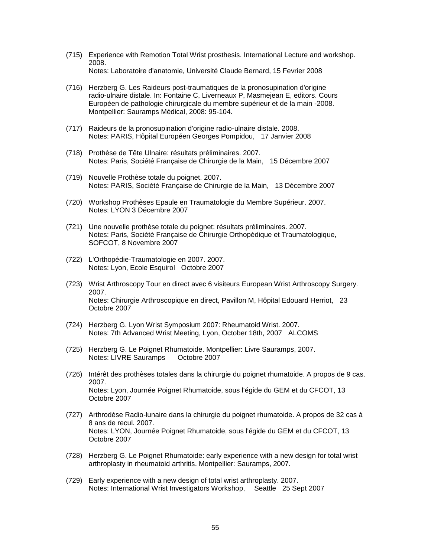- (715) Experience with Remotion Total Wrist prosthesis. International Lecture and workshop. 2008. Notes: Laboratoire d'anatomie, Université Claude Bernard, 15 Fevrier 2008
- (716) Herzberg G. Les Raideurs post-traumatiques de la pronosupination d'origine radio-ulnaire distale. In: Fontaine C, Liverneaux P, Masmejean E, editors. Cours Européen de pathologie chirurgicale du membre supérieur et de la main -2008. Montpellier: Sauramps Médical, 2008: 95-104.
- (717) Raideurs de la pronosupination d'origine radio-ulnaire distale. 2008. Notes: PARIS, Hôpital Européen Georges Pompidou, 17 Janvier 2008
- (718) Prothèse de Tête Ulnaire: résultats préliminaires. 2007. Notes: Paris, Société Française de Chirurgie de la Main, 15 Décembre 2007
- (719) Nouvelle Prothèse totale du poignet. 2007. Notes: PARIS, Société Française de Chirurgie de la Main, 13 Décembre 2007
- (720) Workshop Prothèses Epaule en Traumatologie du Membre Supérieur. 2007. Notes: LYON 3 Décembre 2007
- (721) Une nouvelle prothèse totale du poignet: résultats préliminaires. 2007. Notes: Paris, Société Française de Chirurgie Orthopédique et Traumatologique, SOFCOT, 8 Novembre 2007
- (722) L'Orthopédie-Traumatologie en 2007. 2007. Notes: Lyon, Ecole Esquirol Octobre 2007
- (723) Wrist Arthroscopy Tour en direct avec 6 visiteurs European Wrist Arthroscopy Surgery. 2007. Notes: Chirurgie Arthroscopique en direct, Pavillon M, Hôpital Edouard Herriot, 23 Octobre 2007
- (724) Herzberg G. Lyon Wrist Symposium 2007: Rheumatoid Wrist. 2007. Notes: 7th Advanced Wrist Meeting, Lyon, October 18th, 2007 ALCOMS
- (725) Herzberg G. Le Poignet Rhumatoide. Montpellier: Livre Sauramps, 2007. Notes: LIVRE Sauramps Octobre 2007
- (726) Intérêt des prothèses totales dans la chirurgie du poignet rhumatoide. A propos de 9 cas. 2007. Notes: Lyon, Journée Poignet Rhumatoide, sous l'égide du GEM et du CFCOT, 13 Octobre 2007
- (727) Arthrodèse Radio-lunaire dans la chirurgie du poignet rhumatoide. A propos de 32 cas à 8 ans de recul. 2007. Notes: LYON, Journée Poignet Rhumatoide, sous l'égide du GEM et du CFCOT, 13 Octobre 2007
- (728) Herzberg G. Le Poignet Rhumatoide: early experience with a new design for total wrist arthroplasty in rheumatoid arthritis. Montpellier: Sauramps, 2007.
- (729) Early experience with a new design of total wrist arthroplasty. 2007. Notes: International Wrist Investigators Workshop, Seattle 25 Sept 2007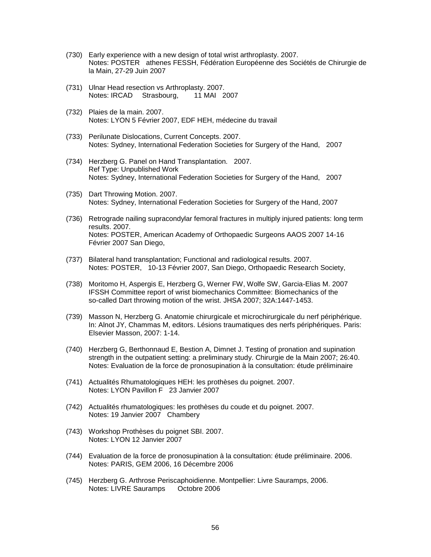- (730) Early experience with a new design of total wrist arthroplasty. 2007. Notes: POSTER athenes FESSH, Fédération Européenne des Sociétés de Chirurgie de la Main, 27-29 Juin 2007
- (731) Ulnar Head resection vs Arthroplasty. 2007. Notes: IRCAD Strasbourg, 11 MAI 2007
- (732) Plaies de la main. 2007. Notes: LYON 5 Février 2007, EDF HEH, médecine du travail
- (733) Perilunate Dislocations, Current Concepts. 2007. Notes: Sydney, International Federation Societies for Surgery of the Hand, 2007
- (734) Herzberg G. Panel on Hand Transplantation. 2007. Ref Type: Unpublished Work Notes: Sydney, International Federation Societies for Surgery of the Hand, 2007
- (735) Dart Throwing Motion. 2007. Notes: Sydney, International Federation Societies for Surgery of the Hand, 2007
- (736) Retrograde nailing supracondylar femoral fractures in multiply injured patients: long term results. 2007. Notes: POSTER, American Academy of Orthopaedic Surgeons AAOS 2007 14-16 Février 2007 San Diego,
- (737) Bilateral hand transplantation; Functional and radiological results. 2007. Notes: POSTER, 10-13 Février 2007, San Diego, Orthopaedic Research Society,
- (738) Moritomo H, Aspergis E, Herzberg G, Werner FW, Wolfe SW, Garcia-Elias M. 2007 IFSSH Committee report of wrist biomechanics Committee: Biomechanics of the so-called Dart throwing motion of the wrist. JHSA 2007; 32A:1447-1453.
- (739) Masson N, Herzberg G. Anatomie chirurgicale et microchirurgicale du nerf périphérique. In: Alnot JY, Chammas M, editors. Lésions traumatiques des nerfs périphériques. Paris: Elsevier Masson, 2007: 1-14.
- (740) Herzberg G, Berthonnaud E, Bestion A, Dimnet J. Testing of pronation and supination strength in the outpatient setting: a preliminary study. Chirurgie de la Main 2007; 26:40. Notes: Evaluation de la force de pronosupination à la consultation: étude préliminaire
- (741) Actualités Rhumatologiques HEH: les prothèses du poignet. 2007. Notes: LYON Pavillon F 23 Janvier 2007
- (742) Actualités rhumatologiques: les prothèses du coude et du poignet. 2007. Notes: 19 Janvier 2007 Chambery
- (743) Workshop Prothèses du poignet SBI. 2007. Notes: LYON 12 Janvier 2007
- (744) Evaluation de la force de pronosupination à la consultation: étude préliminaire. 2006. Notes: PARIS, GEM 2006, 16 Décembre 2006
- (745) Herzberg G. Arthrose Periscaphoidienne. Montpellier: Livre Sauramps, 2006. Notes: LIVRE Sauramps Octobre 2006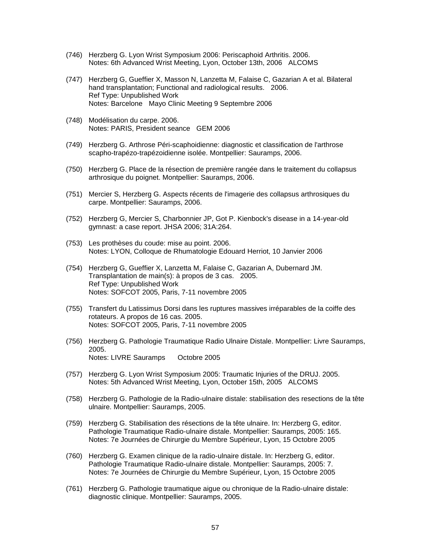- (746) Herzberg G. Lyon Wrist Symposium 2006: Periscaphoid Arthritis. 2006. Notes: 6th Advanced Wrist Meeting, Lyon, October 13th, 2006 ALCOMS
- (747) Herzberg G, Gueffier X, Masson N, Lanzetta M, Falaise C, Gazarian A et al. Bilateral hand transplantation; Functional and radiological results. 2006. Ref Type: Unpublished Work Notes: Barcelone Mayo Clinic Meeting 9 Septembre 2006
- (748) Modélisation du carpe. 2006. Notes: PARIS, President seance GEM 2006
- (749) Herzberg G. Arthrose Péri-scaphoidienne: diagnostic et classification de l'arthrose scapho-trapézo-trapézoidienne isolée. Montpellier: Sauramps, 2006.
- (750) Herzberg G. Place de la résection de première rangée dans le traitement du collapsus arthrosique du poignet. Montpellier: Sauramps, 2006.
- (751) Mercier S, Herzberg G. Aspects récents de l'imagerie des collapsus arthrosiques du carpe. Montpellier: Sauramps, 2006.
- (752) Herzberg G, Mercier S, Charbonnier JP, Got P. Kienbock's disease in a 14-year-old gymnast: a case report. JHSA 2006; 31A:264.
- (753) Les prothèses du coude: mise au point. 2006. Notes: LYON, Colloque de Rhumatologie Edouard Herriot, 10 Janvier 2006
- (754) Herzberg G, Gueffier X, Lanzetta M, Falaise C, Gazarian A, Dubernard JM. Transplantation de main(s): à propos de 3 cas. 2005. Ref Type: Unpublished Work Notes: SOFCOT 2005, Paris, 7-11 novembre 2005
- (755) Transfert du Latissimus Dorsi dans les ruptures massives irréparables de la coiffe des rotateurs. A propos de 16 cas. 2005. Notes: SOFCOT 2005, Paris, 7-11 novembre 2005
- (756) Herzberg G. Pathologie Traumatique Radio Ulnaire Distale. Montpellier: Livre Sauramps, 2005. Notes: LIVRE Sauramps Octobre 2005
- (757) Herzberg G. Lyon Wrist Symposium 2005: Traumatic Injuries of the DRUJ. 2005. Notes: 5th Advanced Wrist Meeting, Lyon, October 15th, 2005 ALCOMS
- (758) Herzberg G. Pathologie de la Radio-ulnaire distale: stabilisation des resections de la tête ulnaire. Montpellier: Sauramps, 2005.
- (759) Herzberg G. Stabilisation des résections de la tête ulnaire. In: Herzberg G, editor. Pathologie Traumatique Radio-ulnaire distale. Montpellier: Sauramps, 2005: 165. Notes: 7e Journées de Chirurgie du Membre Supérieur, Lyon, 15 Octobre 2005
- (760) Herzberg G. Examen clinique de la radio-ulnaire distale. In: Herzberg G, editor. Pathologie Traumatique Radio-ulnaire distale. Montpellier: Sauramps, 2005: 7. Notes: 7e Journées de Chirurgie du Membre Supérieur, Lyon, 15 Octobre 2005
- (761) Herzberg G. Pathologie traumatique aigue ou chronique de la Radio-ulnaire distale: diagnostic clinique. Montpellier: Sauramps, 2005.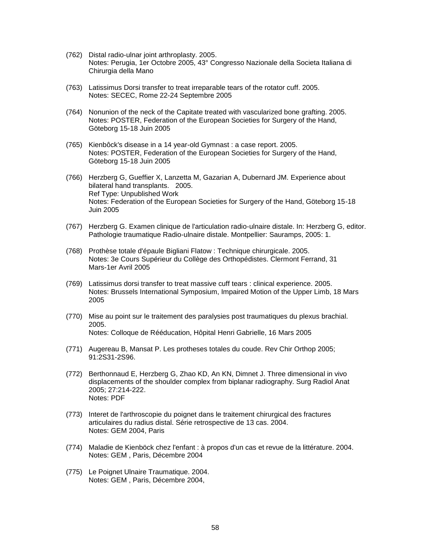- (762) Distal radio-ulnar joint arthroplasty. 2005. Notes: Perugia, 1er Octobre 2005, 43° Congresso Nazionale della Societa Italiana di Chirurgia della Mano
- (763) Latissimus Dorsi transfer to treat irreparable tears of the rotator cuff. 2005. Notes: SECEC, Rome 22-24 Septembre 2005
- (764) Nonunion of the neck of the Capitate treated with vascularized bone grafting. 2005. Notes: POSTER, Federation of the European Societies for Surgery of the Hand, Göteborg 15-18 Juin 2005
- (765) Kienbôck's disease in a 14 year-old Gymnast : a case report. 2005. Notes: POSTER, Federation of the European Societies for Surgery of the Hand, Göteborg 15-18 Juin 2005
- (766) Herzberg G, Gueffier X, Lanzetta M, Gazarian A, Dubernard JM. Experience about bilateral hand transplants. 2005. Ref Type: Unpublished Work Notes: Federation of the European Societies for Surgery of the Hand, Göteborg 15-18 Juin 2005
- (767) Herzberg G. Examen clinique de l'articulation radio-ulnaire distale. In: Herzberg G, editor. Pathologie traumatique Radio-ulnaire distale. Montpellier: Sauramps, 2005: 1.
- (768) Prothèse totale d'épaule Bigliani Flatow : Technique chirurgicale. 2005. Notes: 3e Cours Supérieur du Collège des Orthopédistes. Clermont Ferrand, 31 Mars-1er Avril 2005
- (769) Latissimus dorsi transfer to treat massive cuff tears : clinical experience. 2005. Notes: Brussels International Symposium, Impaired Motion of the Upper Limb, 18 Mars 2005
- (770) Mise au point sur le traitement des paralysies post traumatiques du plexus brachial. 2005. Notes: Colloque de Rééducation, Hôpital Henri Gabrielle, 16 Mars 2005
- (771) Augereau B, Mansat P. Les protheses totales du coude. Rev Chir Orthop 2005; 91:2S31-2S96.
- (772) Berthonnaud E, Herzberg G, Zhao KD, An KN, Dimnet J. Three dimensional in vivo displacements of the shoulder complex from biplanar radiography. Surg Radiol Anat 2005; 27:214-222. Notes: PDF
- (773) Interet de l'arthroscopie du poignet dans le traitement chirurgical des fractures articulaires du radius distal. Série retrospective de 13 cas. 2004. Notes: GEM 2004, Paris
- (774) Maladie de Kienböck chez l'enfant : à propos d'un cas et revue de la littérature. 2004. Notes: GEM , Paris, Décembre 2004
- (775) Le Poignet Ulnaire Traumatique. 2004. Notes: GEM , Paris, Décembre 2004,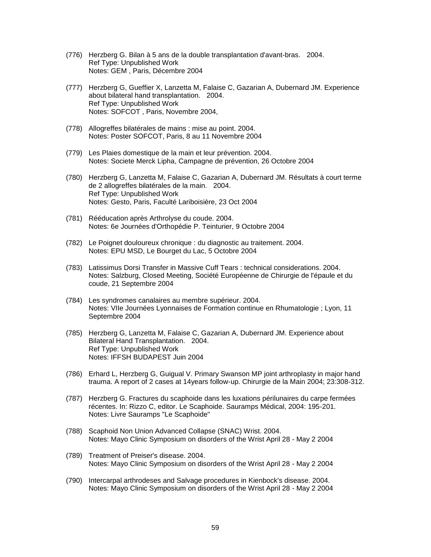- (776) Herzberg G. Bilan à 5 ans de la double transplantation d'avant-bras. 2004. Ref Type: Unpublished Work Notes: GEM , Paris, Décembre 2004
- (777) Herzberg G, Gueffier X, Lanzetta M, Falaise C, Gazarian A, Dubernard JM. Experience about bilateral hand transplantation. 2004. Ref Type: Unpublished Work Notes: SOFCOT , Paris, Novembre 2004,
- (778) Allogreffes bilatérales de mains : mise au point. 2004. Notes: Poster SOFCOT, Paris, 8 au 11 Novembre 2004
- (779) Les Plaies domestique de la main et leur prévention. 2004. Notes: Societe Merck Lipha, Campagne de prévention, 26 Octobre 2004
- (780) Herzberg G, Lanzetta M, Falaise C, Gazarian A, Dubernard JM. Résultats à court terme de 2 allogreffes bilatérales de la main. 2004. Ref Type: Unpublished Work Notes: Gesto, Paris, Faculté Lariboisière, 23 Oct 2004
- (781) Rééducation après Arthrolyse du coude. 2004. Notes: 6e Journées d'Orthopédie P. Teinturier, 9 Octobre 2004
- (782) Le Poignet douloureux chronique : du diagnostic au traitement. 2004. Notes: EPU MSD, Le Bourget du Lac, 5 Octobre 2004
- (783) Latissimus Dorsi Transfer in Massive Cuff Tears : technical considerations. 2004. Notes: Salzburg, Closed Meeting, Société Européenne de Chirurgie de l'épaule et du coude, 21 Septembre 2004
- (784) Les syndromes canalaires au membre supérieur. 2004. Notes: VIIe Journées Lyonnaises de Formation continue en Rhumatologie ; Lyon, 11 Septembre 2004
- (785) Herzberg G, Lanzetta M, Falaise C, Gazarian A, Dubernard JM. Experience about Bilateral Hand Transplantation. 2004. Ref Type: Unpublished Work Notes: IFFSH BUDAPEST Juin 2004
- (786) Erhard L, Herzberg G, Guigual V. Primary Swanson MP joint arthroplasty in major hand trauma. A report of 2 cases at 14years follow-up. Chirurgie de la Main 2004; 23:308-312.
- (787) Herzberg G. Fractures du scaphoide dans les luxations périlunaires du carpe fermées récentes. In: Rizzo C, editor. Le Scaphoide. Sauramps Médical, 2004: 195-201. Notes: Livre Sauramps "Le Scaphoide"
- (788) Scaphoid Non Union Advanced Collapse (SNAC) Wrist. 2004. Notes: Mayo Clinic Symposium on disorders of the Wrist April 28 - May 2 2004
- (789) Treatment of Preiser's disease. 2004. Notes: Mayo Clinic Symposium on disorders of the Wrist April 28 - May 2 2004
- (790) Intercarpal arthrodeses and Salvage procedures in Kienbock's disease. 2004. Notes: Mayo Clinic Symposium on disorders of the Wrist April 28 - May 2 2004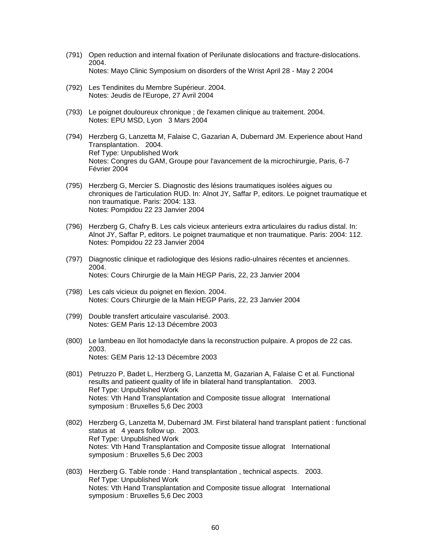- (791) Open reduction and internal fixation of Perilunate dislocations and fracture-dislocations. 2004. Notes: Mayo Clinic Symposium on disorders of the Wrist April 28 - May 2 2004
- (792) Les Tendinites du Membre Supérieur. 2004. Notes: Jeudis de l'Europe, 27 Avril 2004
- (793) Le poignet douloureux chronique ; de l'examen clinique au traitement. 2004. Notes: EPU MSD, Lyon 3 Mars 2004
- (794) Herzberg G, Lanzetta M, Falaise C, Gazarian A, Dubernard JM. Experience about Hand Transplantation. 2004. Ref Type: Unpublished Work Notes: Congres du GAM, Groupe pour l'avancement de la microchirurgie, Paris, 6-7 Février 2004
- (795) Herzberg G, Mercier S. Diagnostic des lésions traumatiques isolées aigues ou chroniques de l'articulation RUD. In: Alnot JY, Saffar P, editors. Le poignet traumatique et non traumatique. Paris: 2004: 133. Notes: Pompidou 22 23 Janvier 2004
- (796) Herzberg G, Chafry B. Les cals vicieux anterieurs extra articulaires du radius distal. In: Alnot JY, Saffar P, editors. Le poignet traumatique et non traumatique. Paris: 2004: 112. Notes: Pompidou 22 23 Janvier 2004
- (797) Diagnostic clinique et radiologique des lésions radio-ulnaires récentes et anciennes. 2004. Notes: Cours Chirurgie de la Main HEGP Paris, 22, 23 Janvier 2004
- (798) Les cals vicieux du poignet en flexion. 2004. Notes: Cours Chirurgie de la Main HEGP Paris, 22, 23 Janvier 2004
- (799) Double transfert articulaire vascularisé. 2003. Notes: GEM Paris 12-13 Décembre 2003
- (800) Le lambeau en îlot homodactyle dans la reconstruction pulpaire. A propos de 22 cas. 2003. Notes: GEM Paris 12-13 Décembre 2003
- (801) Petruzzo P, Badet L, Herzberg G, Lanzetta M, Gazarian A, Falaise C et al. Functional results and patieent quality of life in bilateral hand transplantation. 2003. Ref Type: Unpublished Work Notes: Vth Hand Transplantation and Composite tissue allograt International symposium : Bruxelles 5,6 Dec 2003
- (802) Herzberg G, Lanzetta M, Dubernard JM. First bilateral hand transplant patient : functional status at 4 years follow up. 2003. Ref Type: Unpublished Work Notes: Vth Hand Transplantation and Composite tissue allograt International symposium : Bruxelles 5,6 Dec 2003
- (803) Herzberg G. Table ronde : Hand transplantation , technical aspects. 2003. Ref Type: Unpublished Work Notes: Vth Hand Transplantation and Composite tissue allograt International symposium : Bruxelles 5,6 Dec 2003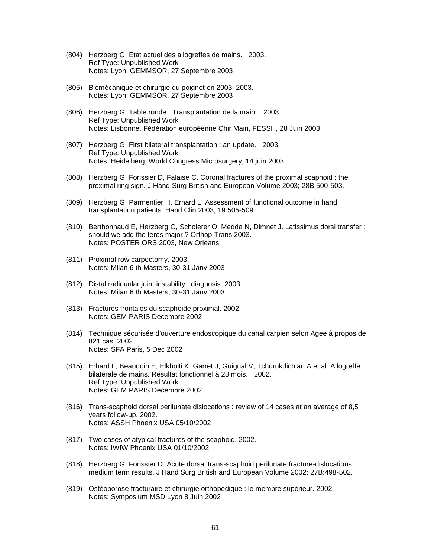- (804) Herzberg G. Etat actuel des allogreffes de mains. 2003. Ref Type: Unpublished Work Notes: Lyon, GEMMSOR, 27 Septembre 2003
- (805) Biomécanique et chirurgie du poignet en 2003. 2003. Notes: Lyon, GEMMSOR, 27 Septembre 2003
- (806) Herzberg G. Table ronde : Transplantation de la main. 2003. Ref Type: Unpublished Work Notes: Lisbonne, Fédération européenne Chir Main, FESSH, 28 Juin 2003
- (807) Herzberg G. First bilateral transplantation : an update. 2003. Ref Type: Unpublished Work Notes: Heidelberg, World Congress Microsurgery, 14 juin 2003
- (808) Herzberg G, Forissier D, Falaise C. Coronal fractures of the proximal scaphoid : the proximal ring sign. J Hand Surg British and European Volume 2003; 28B:500-503.
- (809) Herzberg G, Parmentier H, Erhard L. Assessment of functional outcome in hand transplantation patients. Hand Clin 2003; 19:505-509.
- (810) Berthonnaud E, Herzberg G, Schoierer O, Medda N, Dimnet J. Latissimus dorsi transfer : should we add the teres major ? Orthop Trans 2003. Notes: POSTER ORS 2003, New Orleans
- (811) Proximal row carpectomy. 2003. Notes: Milan 6 th Masters, 30-31 Janv 2003
- (812) Distal radiounlar joint instability : diagnosis. 2003. Notes: Milan 6 th Masters, 30-31 Janv 2003
- (813) Fractures frontales du scaphoide proximal. 2002. Notes: GEM PARIS Decembre 2002
- (814) Technique sécurisée d'ouverture endoscopique du canal carpien selon Agee à propos de 821 cas. 2002. Notes: SFA Paris, 5 Dec 2002
- (815) Erhard L, Beaudoin E, Elkholti K, Garret J, Guigual V, Tchurukdichian A et al. Allogreffe bilatérale de mains. Résultat fonctionnel à 28 mois. 2002. Ref Type: Unpublished Work Notes: GEM PARIS Decembre 2002
- (816) Trans-scaphoid dorsal perilunate dislocations : review of 14 cases at an average of 8,5 years follow-up. 2002. Notes: ASSH Phoenix USA 05/10/2002
- (817) Two cases of atypical fractures of the scaphoid. 2002. Notes: IWIW Phoenix USA 01/10/2002
- (818) Herzberg G, Forissier D. Acute dorsal trans-scaphoid perilunate fracture-dislocations : medium term results. J Hand Surg British and European Volume 2002; 27B:498-502.
- (819) Ostéoporose fracturaire et chirurgie orthopedique : le membre supérieur. 2002. Notes: Symposium MSD Lyon 8 Juin 2002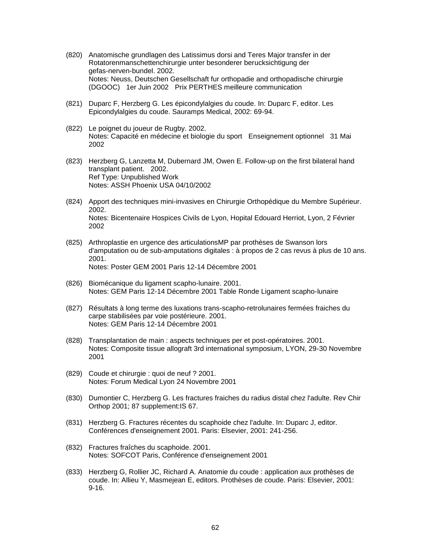- (820) Anatomische grundlagen des Latissimus dorsi and Teres Major transfer in der Rotatorenmanschettenchirurgie unter besonderer berucksichtigung der gefas-nerven-bundel. 2002. Notes: Neuss, Deutschen Gesellschaft fur orthopadie and orthopadische chirurgie (DGOOC) 1er Juin 2002 Prix PERTHES meilleure communication
- (821) Duparc F, Herzberg G. Les épicondylalgies du coude. In: Duparc F, editor. Les Epicondylalgies du coude. Sauramps Medical, 2002: 69-94.
- (822) Le poignet du joueur de Rugby. 2002. Notes: Capacité en médecine et biologie du sport Enseignement optionnel 31 Mai 2002
- (823) Herzberg G, Lanzetta M, Dubernard JM, Owen E. Follow-up on the first bilateral hand transplant patient. 2002. Ref Type: Unpublished Work Notes: ASSH Phoenix USA 04/10/2002
- (824) Apport des techniques mini-invasives en Chirurgie Orthopédique du Membre Supérieur. 2002. Notes: Bicentenaire Hospices Civils de Lyon, Hopital Edouard Herriot, Lyon, 2 Février 2002
- (825) Arthroplastie en urgence des articulationsMP par prothèses de Swanson lors d'amputation ou de sub-amputations digitales : à propos de 2 cas revus à plus de 10 ans. 2001. Notes: Poster GEM 2001 Paris 12-14 Décembre 2001
- (826) Biomécanique du ligament scapho-lunaire. 2001. Notes: GEM Paris 12-14 Décembre 2001 Table Ronde Ligament scapho-lunaire
- (827) Résultats à long terme des luxations trans-scapho-retrolunaires fermées fraiches du carpe stabilisées par voie postérieure. 2001. Notes: GEM Paris 12-14 Décembre 2001
- (828) Transplantation de main : aspects techniques per et post-opératoires. 2001. Notes: Composite tissue allograft 3rd international symposium, LYON, 29-30 Novembre 2001
- (829) Coude et chirurgie : quoi de neuf ? 2001. Notes: Forum Medical Lyon 24 Novembre 2001
- (830) Dumontier C, Herzberg G. Les fractures fraiches du radius distal chez l'adulte. Rev Chir Orthop 2001; 87 supplement:IS 67.
- (831) Herzberg G. Fractures récentes du scaphoide chez l'adulte. In: Duparc J, editor. Conférences d'enseignement 2001. Paris: Elsevier, 2001: 241-256.
- (832) Fractures fraîches du scaphoide. 2001. Notes: SOFCOT Paris, Conférence d'enseignement 2001
- (833) Herzberg G, Rollier JC, Richard A. Anatomie du coude : application aux prothèses de coude. In: Allieu Y, Masmejean E, editors. Prothèses de coude. Paris: Elsevier, 2001: 9-16.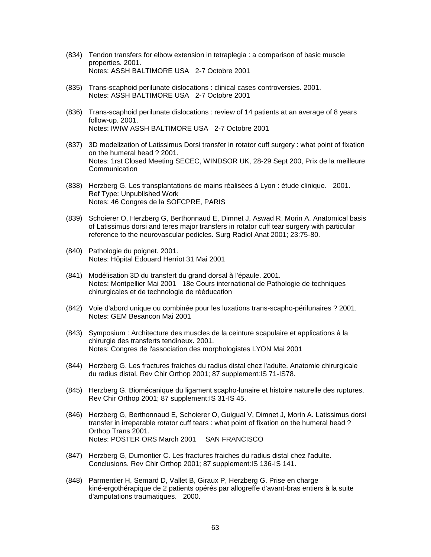- (834) Tendon transfers for elbow extension in tetraplegia : a comparison of basic muscle properties. 2001. Notes: ASSH BALTIMORE USA 2-7 Octobre 2001
- (835) Trans-scaphoid perilunate dislocations : clinical cases controversies. 2001. Notes: ASSH BALTIMORE USA 2-7 Octobre 2001
- (836) Trans-scaphoid perilunate dislocations : review of 14 patients at an average of 8 years follow-up. 2001. Notes: IWIW ASSH BALTIMORE USA 2-7 Octobre 2001
- (837) 3D modelization of Latissimus Dorsi transfer in rotator cuff surgery : what point of fixation on the humeral head ? 2001. Notes: 1rst Closed Meeting SECEC, WINDSOR UK, 28-29 Sept 200, Prix de la meilleure Communication
- (838) Herzberg G. Les transplantations de mains réalisées à Lyon : étude clinique. 2001. Ref Type: Unpublished Work Notes: 46 Congres de la SOFCPRE, PARIS
- (839) Schoierer O, Herzberg G, Berthonnaud E, Dimnet J, Aswad R, Morin A. Anatomical basis of Latissimus dorsi and teres major transfers in rotator cuff tear surgery with particular reference to the neurovascular pedicles. Surg Radiol Anat 2001; 23:75-80.
- (840) Pathologie du poignet. 2001. Notes: Hôpital Edouard Herriot 31 Mai 2001
- (841) Modélisation 3D du transfert du grand dorsal à l'épaule. 2001. Notes: Montpellier Mai 2001 18e Cours international de Pathologie de techniques chirurgicales et de technologie de rééducation
- (842) Voie d'abord unique ou combinée pour les luxations trans-scapho-périlunaires ? 2001. Notes: GEM Besancon Mai 2001
- (843) Symposium : Architecture des muscles de la ceinture scapulaire et applications à la chirurgie des transferts tendineux. 2001. Notes: Congres de l'association des morphologistes LYON Mai 2001
- (844) Herzberg G. Les fractures fraiches du radius distal chez l'adulte. Anatomie chirurgicale du radius distal. Rev Chir Orthop 2001; 87 supplement:IS 71-IS78.
- (845) Herzberg G. Biomécanique du ligament scapho-lunaire et histoire naturelle des ruptures. Rev Chir Orthop 2001; 87 supplement:IS 31-IS 45.
- (846) Herzberg G, Berthonnaud E, Schoierer O, Guigual V, Dimnet J, Morin A. Latissimus dorsi transfer in irreparable rotator cuff tears : what point of fixation on the humeral head ? Orthop Trans 2001. Notes: POSTER ORS March 2001 SAN FRANCISCO
- (847) Herzberg G, Dumontier C. Les fractures fraiches du radius distal chez l'adulte. Conclusions. Rev Chir Orthop 2001; 87 supplement:IS 136-IS 141.
- (848) Parmentier H, Semard D, Vallet B, Giraux P, Herzberg G. Prise en charge kiné-ergothérapique de 2 patients opérés par allogreffe d'avant-bras entiers à la suite d'amputations traumatiques. 2000.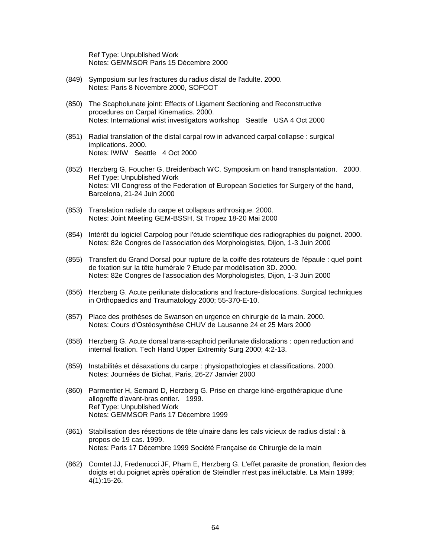Ref Type: Unpublished Work Notes: GEMMSOR Paris 15 Décembre 2000

- (849) Symposium sur les fractures du radius distal de l'adulte. 2000. Notes: Paris 8 Novembre 2000, SOFCOT
- (850) The Scapholunate joint: Effects of Ligament Sectioning and Reconstructive procedures on Carpal Kinematics. 2000. Notes: International wrist investigators workshop Seattle USA 4 Oct 2000
- (851) Radial translation of the distal carpal row in advanced carpal collapse : surgical implications. 2000. Notes: IWIW Seattle 4 Oct 2000
- (852) Herzberg G, Foucher G, Breidenbach WC. Symposium on hand transplantation. 2000. Ref Type: Unpublished Work Notes: VII Congress of the Federation of European Societies for Surgery of the hand, Barcelona, 21-24 Juin 2000
- (853) Translation radiale du carpe et collapsus arthrosique. 2000. Notes: Joint Meeting GEM-BSSH, St Tropez 18-20 Mai 2000
- (854) Intérêt du logiciel Carpolog pour l'étude scientifique des radiographies du poignet. 2000. Notes: 82e Congres de l'association des Morphologistes, Dijon, 1-3 Juin 2000
- (855) Transfert du Grand Dorsal pour rupture de la coiffe des rotateurs de l'épaule : quel point de fixation sur la tête humérale ? Etude par modélisation 3D. 2000. Notes: 82e Congres de l'association des Morphologistes, Dijon, 1-3 Juin 2000
- (856) Herzberg G. Acute perilunate dislocations and fracture-dislocations. Surgical techniques in Orthopaedics and Traumatology 2000; 55-370-E-10.
- (857) Place des prothèses de Swanson en urgence en chirurgie de la main. 2000. Notes: Cours d'Ostéosynthèse CHUV de Lausanne 24 et 25 Mars 2000
- (858) Herzberg G. Acute dorsal trans-scaphoid perilunate dislocations : open reduction and internal fixation. Tech Hand Upper Extremity Surg 2000; 4:2-13.
- (859) Instabilités et désaxations du carpe : physiopathologies et classifications. 2000. Notes: Journées de Bichat, Paris, 26-27 Janvier 2000
- (860) Parmentier H, Semard D, Herzberg G. Prise en charge kiné-ergothérapique d'une allogreffe d'avant-bras entier. 1999. Ref Type: Unpublished Work Notes: GEMMSOR Paris 17 Décembre 1999
- (861) Stabilisation des résections de tête ulnaire dans les cals vicieux de radius distal : à propos de 19 cas. 1999. Notes: Paris 17 Décembre 1999 Société Française de Chirurgie de la main
- (862) Comtet JJ, Fredenucci JF, Pham E, Herzberg G. L'effet parasite de pronation, flexion des doigts et du poignet après opération de Steindler n'est pas inéluctable. La Main 1999; 4(1):15-26.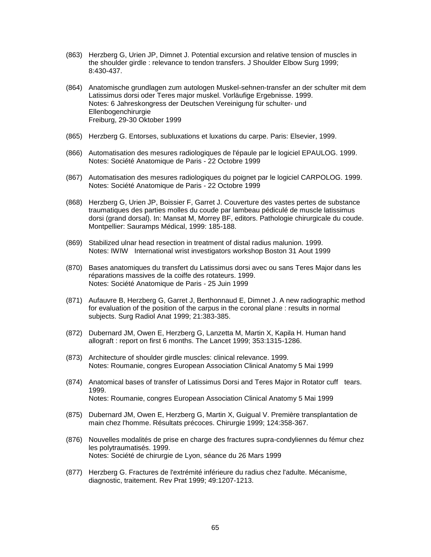- (863) Herzberg G, Urien JP, Dimnet J. Potential excursion and relative tension of muscles in the shoulder girdle : relevance to tendon transfers. J Shoulder Elbow Surg 1999; 8:430-437.
- (864) Anatomische grundlagen zum autologen Muskel-sehnen-transfer an der schulter mit dem Latissimus dorsi oder Teres major muskel. Vorläufige Ergebnisse. 1999. Notes: 6 Jahreskongress der Deutschen Vereinigung für schulter- und Ellenbogenchirurgie Freiburg, 29-30 Oktober 1999
- (865) Herzberg G. Entorses, subluxations et luxations du carpe. Paris: Elsevier, 1999.
- (866) Automatisation des mesures radiologiques de l'épaule par le logiciel EPAULOG. 1999. Notes: Société Anatomique de Paris - 22 Octobre 1999
- (867) Automatisation des mesures radiologiques du poignet par le logiciel CARPOLOG. 1999. Notes: Société Anatomique de Paris - 22 Octobre 1999
- (868) Herzberg G, Urien JP, Boissier F, Garret J. Couverture des vastes pertes de substance traumatiques des parties molles du coude par lambeau pédiculé de muscle latissimus dorsi (grand dorsal). In: Mansat M, Morrey BF, editors. Pathologie chirurgicale du coude. Montpellier: Sauramps Médical, 1999: 185-188.
- (869) Stabilized ulnar head resection in treatment of distal radius malunion. 1999. Notes: IWIW International wrist investigators workshop Boston 31 Aout 1999
- (870) Bases anatomiques du transfert du Latissimus dorsi avec ou sans Teres Major dans les réparations massives de la coiffe des rotateurs. 1999. Notes: Société Anatomique de Paris - 25 Juin 1999
- (871) Aufauvre B, Herzberg G, Garret J, Berthonnaud E, Dimnet J. A new radiographic method for evaluation of the position of the carpus in the coronal plane : results in normal subjects. Surg Radiol Anat 1999; 21:383-385.
- (872) Dubernard JM, Owen E, Herzberg G, Lanzetta M, Martin X, Kapila H. Human hand allograft : report on first 6 months. The Lancet 1999; 353:1315-1286.
- (873) Architecture of shoulder girdle muscles: clinical relevance. 1999. Notes: Roumanie, congres European Association Clinical Anatomy 5 Mai 1999
- (874) Anatomical bases of transfer of Latissimus Dorsi and Teres Major in Rotator cuff tears. 1999. Notes: Roumanie, congres European Association Clinical Anatomy 5 Mai 1999
- (875) Dubernard JM, Owen E, Herzberg G, Martin X, Guigual V. Première transplantation de main chez l'homme. Résultats précoces. Chirurgie 1999; 124:358-367.
- (876) Nouvelles modalités de prise en charge des fractures supra-condyliennes du fémur chez les polytraumatisés. 1999. Notes: Société de chirurgie de Lyon, séance du 26 Mars 1999
- (877) Herzberg G. Fractures de l'extrémité inférieure du radius chez l'adulte. Mécanisme, diagnostic, traitement. Rev Prat 1999; 49:1207-1213.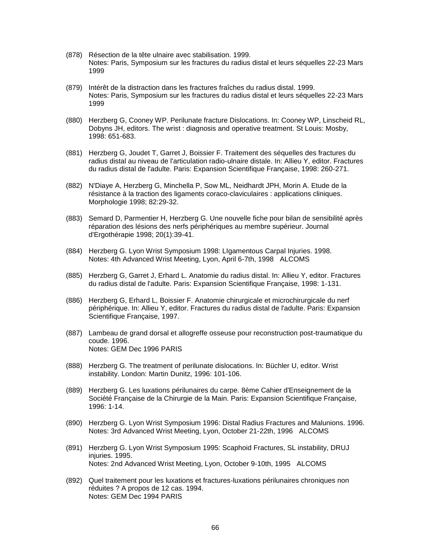- (878) Résection de la tête ulnaire avec stabilisation. 1999. Notes: Paris, Symposium sur les fractures du radius distal et leurs séquelles 22-23 Mars 1999
- (879) Intérêt de la distraction dans les fractures fraîches du radius distal. 1999. Notes: Paris, Symposium sur les fractures du radius distal et leurs séquelles 22-23 Mars 1999
- (880) Herzberg G, Cooney WP. Perilunate fracture Dislocations. In: Cooney WP, Linscheid RL, Dobyns JH, editors. The wrist : diagnosis and operative treatment. St Louis: Mosby, 1998: 651-683.
- (881) Herzberg G, Joudet T, Garret J, Boissier F. Traitement des séquelles des fractures du radius distal au niveau de l'articulation radio-ulnaire distale. In: Allieu Y, editor. Fractures du radius distal de l'adulte. Paris: Expansion Scientifique Française, 1998: 260-271.
- (882) N'Diaye A, Herzberg G, Minchella P, Sow ML, Neidhardt JPH, Morin A. Etude de la résistance à la traction des ligaments coraco-claviculaires : applications cliniques. Morphologie 1998; 82:29-32.
- (883) Semard D, Parmentier H, Herzberg G. Une nouvelle fiche pour bilan de sensibilité après réparation des lésions des nerfs périphériques au membre supérieur. Journal d'Ergothérapie 1998; 20(1):39-41.
- (884) Herzberg G. Lyon Wrist Symposium 1998: LIgamentous Carpal Injuries. 1998. Notes: 4th Advanced Wrist Meeting, Lyon, April 6-7th, 1998 ALCOMS
- (885) Herzberg G, Garret J, Erhard L. Anatomie du radius distal. In: Allieu Y, editor. Fractures du radius distal de l'adulte. Paris: Expansion Scientifique Française, 1998: 1-131.
- (886) Herzberg G, Erhard L, Boissier F. Anatomie chirurgicale et microchirurgicale du nerf périphérique. In: Allieu Y, editor. Fractures du radius distal de l'adulte. Paris: Expansion Scientifique Française, 1997.
- (887) Lambeau de grand dorsal et allogreffe osseuse pour reconstruction post-traumatique du coude. 1996. Notes: GEM Dec 1996 PARIS
- (888) Herzberg G. The treatment of perilunate dislocations. In: Büchler U, editor. Wrist instability. London: Martin Dunitz, 1996: 101-106.
- (889) Herzberg G. Les luxations périlunaires du carpe. 8ème Cahier d'Enseignement de la Société Française de la Chirurgie de la Main. Paris: Expansion Scientifique Française, 1996: 1-14.
- (890) Herzberg G. Lyon Wrist Symposium 1996: Distal Radius Fractures and Malunions. 1996. Notes: 3rd Advanced Wrist Meeting, Lyon, October 21-22th, 1996 ALCOMS
- (891) Herzberg G. Lyon Wrist Symposium 1995: Scaphoid Fractures, SL instability, DRUJ injuries. 1995. Notes: 2nd Advanced Wrist Meeting, Lyon, October 9-10th, 1995 ALCOMS
- (892) Quel traitement pour les luxations et fractures-luxations périlunaires chroniques non réduites ? A propos de 12 cas. 1994. Notes: GEM Dec 1994 PARIS